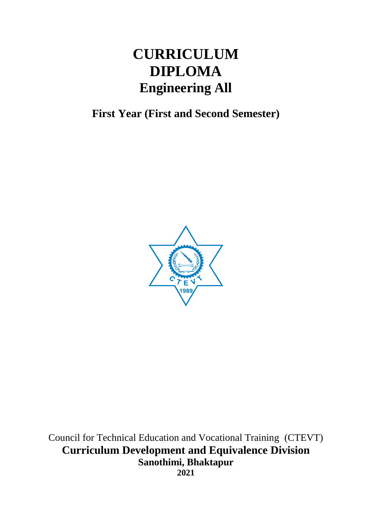# **CURRICULUM DIPLOMA Engineering All**

**First Year (First and Second Semester)** 



Council for Technical Education and Vocational Training (CTEVT) **Curriculum Development and Equivalence Division Sanothimi, Bhaktapur 2021**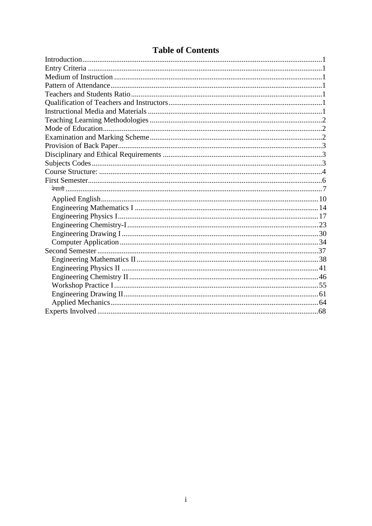| <b>Table of Contents</b> |  |
|--------------------------|--|
|--------------------------|--|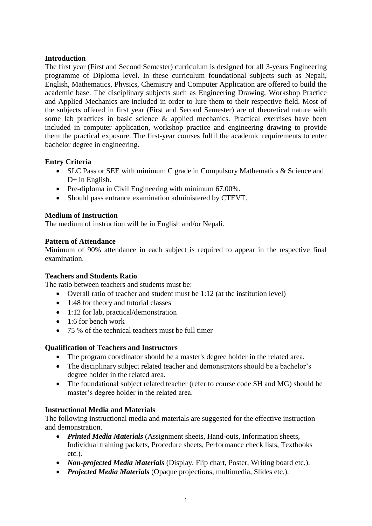# <span id="page-2-0"></span>**Introduction**

The first year (First and Second Semester) curriculum is designed for all 3-years Engineering programme of Diploma level. In these curriculum foundational subjects such as Nepali, English, Mathematics, Physics, Chemistry and Computer Application are offered to build the academic base. The disciplinary subjects such as Engineering Drawing, Workshop Practice and Applied Mechanics are included in order to lure them to their respective field. Most of the subjects offered in first year (First and Second Semester) are of theoretical nature with some lab practices in basic science & applied mechanics. Practical exercises have been included in computer application, workshop practice and engineering drawing to provide them the practical exposure. The first-year courses fulfil the academic requirements to enter bachelor degree in engineering.

# <span id="page-2-1"></span>**Entry Criteria**

- SLC Pass or SEE with minimum C grade in Compulsory Mathematics & Science and D+ in English.
- Pre-diploma in Civil Engineering with minimum 67.00%.
- Should pass entrance examination administered by CTEVT.

# <span id="page-2-2"></span>**Medium of Instruction**

The medium of instruction will be in English and/or Nepali.

# <span id="page-2-3"></span>**Pattern of Attendance**

Minimum of 90% attendance in each subject is required to appear in the respective final examination.

# <span id="page-2-4"></span>**Teachers and Students Ratio**

The ratio between teachers and students must be:

- Overall ratio of teacher and student must be 1:12 (at the institution level)
- 1:48 for theory and tutorial classes
- 1:12 for lab, practical/demonstration
- 1:6 for bench work
- 75 % of the technical teachers must be full timer

# <span id="page-2-5"></span>**Qualification of Teachers and Instructors**

- The program coordinator should be a master's degree holder in the related area.
- The disciplinary subject related teacher and demonstrators should be a bachelor's degree holder in the related area.
- The foundational subject related teacher (refer to course code SH and MG) should be master's degree holder in the related area.

# <span id="page-2-6"></span>**Instructional Media and Materials**

The following instructional media and materials are suggested for the effective instruction and demonstration.

- *Printed Media Materials* (Assignment sheets, Hand-outs, Information sheets, Individual training packets, Procedure sheets, Performance check lists, Textbooks etc.).
- *Non-projected Media Materials* (Display, Flip chart, Poster, Writing board etc.).
- *Projected Media Materials* (Opaque projections, multimedia, Slides etc.).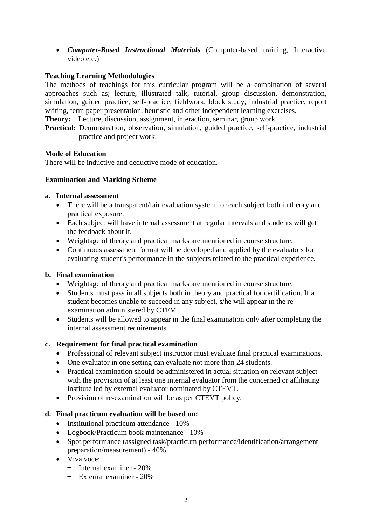• *Computer-Based Instructional Materials* (Computer-based training, Interactive video etc.)

# <span id="page-3-0"></span>**Teaching Learning Methodologies**

The methods of teachings for this curricular program will be a combination of several approaches such as; lecture, illustrated talk, tutorial, group discussion, demonstration, simulation, guided practice, self-practice, fieldwork, block study, industrial practice, report writing, term paper presentation, heuristic and other independent learning exercises.

**Theory:** Lecture, discussion, assignment, interaction, seminar, group work.

**Practical:** Demonstration, observation, simulation, guided practice, self-practice, industrial practice and project work.

#### <span id="page-3-1"></span>**Mode of Education**

<span id="page-3-2"></span>There will be inductive and deductive mode of education.

### **Examination and Marking Scheme**

#### **a. Internal assessment**

- There will be a transparent/fair evaluation system for each subject both in theory and practical exposure.
- Each subject will have internal assessment at regular intervals and students will get the feedback about it.
- Weightage of theory and practical marks are mentioned in course structure.
- Continuous assessment format will be developed and applied by the evaluators for evaluating student's performance in the subjects related to the practical experience.

#### **b. Final examination**

- Weightage of theory and practical marks are mentioned in course structure.
- Students must pass in all subjects both in theory and practical for certification. If a student becomes unable to succeed in any subject, s/he will appear in the reexamination administered by CTEVT.
- Students will be allowed to appear in the final examination only after completing the internal assessment requirements.

# **c. Requirement for final practical examination**

- Professional of relevant subject instructor must evaluate final practical examinations.
- One evaluator in one setting can evaluate not more than 24 students.
- Practical examination should be administered in actual situation on relevant subject with the provision of at least one internal evaluator from the concerned or affiliating institute led by external evaluator nominated by CTEVT.
- Provision of re-examination will be as per CTEVT policy.

#### **d. Final practicum evaluation will be based on:**

- Institutional practicum attendance 10%
- Logbook/Practicum book maintenance 10%
- Spot performance (assigned task/practicum performance/identification/arrangement preparation/measurement) - 40%
- Viva voce:
	- Internal examiner 20%
	- External examiner 20%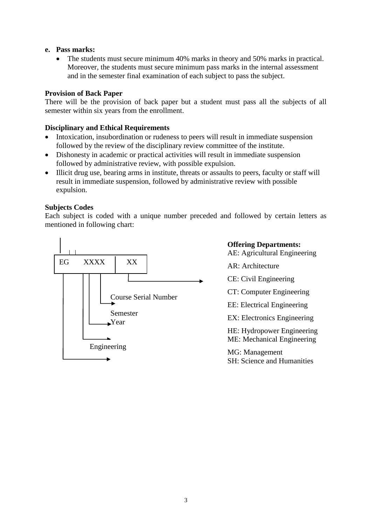#### **e. Pass marks:**

• The students must secure minimum 40% marks in theory and 50% marks in practical. Moreover, the students must secure minimum pass marks in the internal assessment and in the semester final examination of each subject to pass the subject.

### <span id="page-4-0"></span>**Provision of Back Paper**

There will be the provision of back paper but a student must pass all the subjects of all semester within six years from the enrollment.

#### <span id="page-4-1"></span>**Disciplinary and Ethical Requirements**

- Intoxication, insubordination or rudeness to peers will result in immediate suspension followed by the review of the disciplinary review committee of the institute.
- Dishonesty in academic or practical activities will result in immediate suspension followed by administrative review, with possible expulsion.
- Illicit drug use, bearing arms in institute, threats or assaults to peers, faculty or staff will result in immediate suspension, followed by administrative review with possible expulsion.

### <span id="page-4-2"></span>**Subjects Codes**

Each subject is coded with a unique number preceded and followed by certain letters as mentioned in following chart:



AE: Agricultural Engineering AR: Architecture CE: Civil Engineering CT: Computer Engineering EE: Electrical Engineering EX: Electronics Engineering HE: Hydropower Engineering ME: Mechanical Engineering MG: Management SH: Science and Humanities

**Offering Departments:**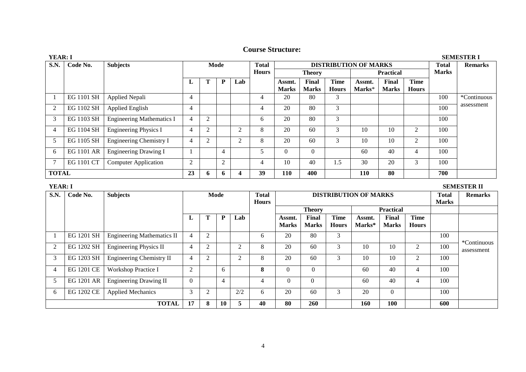| <b>YEAR: I</b> |            |                                  |                |              |                |                |              |              |                              |              |                  | <b>SEMESTER I</b> |              |              |                |
|----------------|------------|----------------------------------|----------------|--------------|----------------|----------------|--------------|--------------|------------------------------|--------------|------------------|-------------------|--------------|--------------|----------------|
| <b>S.N.</b>    | Code No.   | <b>Subjects</b>                  | Mode           |              |                |                | <b>Total</b> |              | <b>DISTRIBUTION OF MARKS</b> |              |                  |                   |              | <b>Total</b> | <b>Remarks</b> |
|                |            |                                  |                |              |                |                | <b>Hours</b> |              | <b>Theory</b>                |              | <b>Practical</b> |                   |              | <b>Marks</b> |                |
|                |            |                                  | ┺              |              | P              | Lab            |              | Assmt.       | Final                        | <b>Time</b>  | Assmt.           | Final             | Time         |              |                |
|                |            |                                  |                |              |                |                |              | <b>Marks</b> | <b>Marks</b>                 | <b>Hours</b> | Marks*           | <b>Marks</b>      | <b>Hours</b> |              |                |
|                | EG 1101 SH | <b>Applied Nepali</b>            | 4              |              |                |                | 4            | 20           | 80                           | 3            |                  |                   |              | 100          | *Continuous    |
| $\overline{2}$ | EG 1102 SH | <b>Applied English</b>           | 4              |              |                |                | 4            | 20           | 80                           | 3            |                  |                   |              | 100          | assessment     |
| 3              | EG 1103 SH | <b>Engineering Mathematics I</b> | $\overline{4}$ |              |                |                | 6            | 20           | 80                           | 3            |                  |                   |              | 100          |                |
| 4              | EG 1104 SH | <b>Engineering Physics I</b>     | 4              |              |                | $\overline{2}$ | 8            | 20           | 60                           | 3            | 10               | 10                | 2            | 100          |                |
| 5              | EG 1105 SH | Engineering Chemistry I          | 4              |              |                | $\overline{2}$ | 8            | 20           | 60                           | 3            | 10               | 10                | 2            | 100          |                |
| 6              | EG 1101 AR | <b>Engineering Drawing I</b>     |                |              | $\overline{4}$ |                |              | $\Omega$     | $\overline{0}$               |              | 60               | 40                | 4            | 100          |                |
| 7              | EG 1101 CT | <b>Computer Application</b>      | $\overline{2}$ |              | $\overline{2}$ |                | 4            | 10           | 40                           | 1.5          | 30               | 20                | 3            | 100          |                |
| <b>TOTAL</b>   |            |                                  | 23             | $\mathbf{v}$ | 6              | 4              | 39           | 110          | 400                          |              | 110              | 80                |              | 700          |                |

<span id="page-5-0"></span>

| <b>YEAR: I</b> |                   |                                   |          |                |              |                |                                              |              |               |              |              | <b>SEMESTER II</b> |                |              |                           |
|----------------|-------------------|-----------------------------------|----------|----------------|--------------|----------------|----------------------------------------------|--------------|---------------|--------------|--------------|--------------------|----------------|--------------|---------------------------|
| S.N.           | Code No.          | <b>Subjects</b>                   | Mode     |                |              |                | <b>Total</b><br><b>DISTRIBUTION OF MARKS</b> |              |               |              | <b>Total</b> | <b>Remarks</b>     |                |              |                           |
|                |                   |                                   |          |                |              |                | <b>Hours</b>                                 |              |               |              |              |                    |                | <b>Marks</b> |                           |
|                |                   |                                   |          |                |              |                |                                              |              | <b>Theory</b> |              |              | <b>Practical</b>   |                |              |                           |
|                |                   |                                   | L        | Т              | $\mathbf{P}$ | Lab            |                                              | Assmt.       | Final         | <b>Time</b>  | Assmt.       | Final              | Time           |              |                           |
|                |                   |                                   |          |                |              |                |                                              | <b>Marks</b> | <b>Marks</b>  | <b>Hours</b> | Marks*       | <b>Marks</b>       | <b>Hours</b>   |              |                           |
|                | EG 1201 SH        | <b>Engineering Mathematics II</b> | 4        | $\mathfrak{D}$ |              |                | 6                                            | 20           | 80            | 3            |              |                    |                | 100          |                           |
| $\overline{2}$ | EG 1202 SH        | <b>Engineering Physics II</b>     | 4        |                |              | $\overline{c}$ | 8                                            | 20           | 60            | 3            | 10           | 10                 | 2              | 100          | *Continuous<br>assessment |
| 3              | EG 1203 SH        | Engineering Chemistry II          | 4        | $\mathfrak{D}$ |              | 2              | 8                                            | 20           | 60            | 3            | 10           | 10                 | $\overline{2}$ | 100          |                           |
| 4              | EG 1201 CE        | <b>Workshop Practice I</b>        | 2        |                | 6            |                | 8                                            | 0            | $\theta$      |              | 60           | 40                 | $\overline{4}$ | 100          |                           |
| 5              | <b>EG 1201 AR</b> | <b>Engineering Drawing II</b>     | $\Omega$ |                | 4            |                | 4                                            | $\theta$     | $\Omega$      |              | 60           | 40                 | $\overline{4}$ | 100          |                           |
| 6              | EG 1202 CE        | <b>Applied Mechanics</b>          | 3        | $\mathcal{L}$  |              | 2/2            | 6                                            | 20           | 60            | 3            | 20           | $\Omega$           |                | 100          |                           |
|                |                   | <b>TOTAL</b>                      | 17       | 8              | 10           | 5              | 40                                           | 80           | 260           |              | 160          | 100                |                | 600          |                           |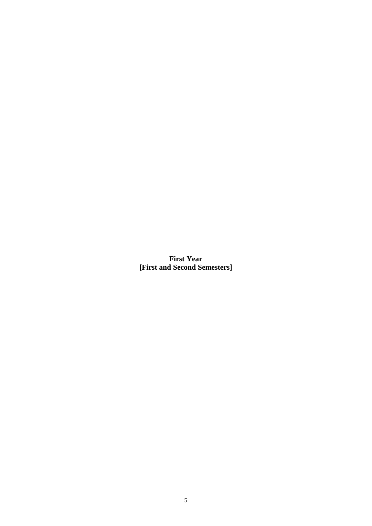**First Year [First and Second Semesters]**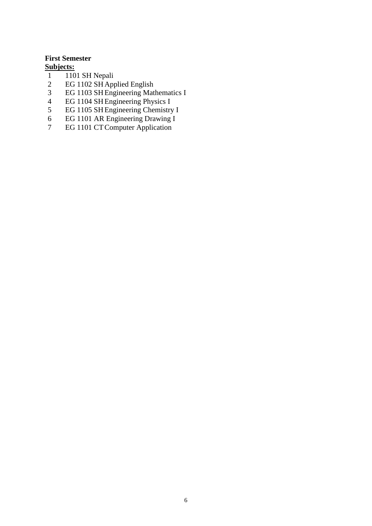### <span id="page-7-0"></span>**First Semester Subjects:**

- 
- 1 1101 SH Nepali<br>2 EG 1102 SH App 2 EG 1102 SH Applied English<br>3 EG 1103 SH Engineering Mat
- 3 EG 1103 SH Engineering Mathematics I<br>4 EG 1104 SH Engineering Physics I
- 4 EG 1104 SHEngineering Physics I
- 5 EG 1105 SHEngineering Chemistry I
- 6 EG 1101 AR Engineering Drawing I
- 7 EG 1101 CTComputer Application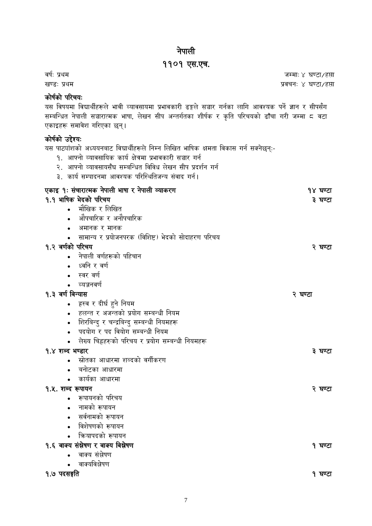# नेपाली

# ११०१ एस.एच.

<span id="page-8-0"></span>वर्ष: प्रथम जम्मा: ४ घण्टा/हप्ता खण्ड: प्रथम प्रवचन: ४ घण्टा/हप्ता

# कोर्षको परिचय:

यस विषयमा विद्यार्थीहरूले भावी व्यावसायमा प्रभावकारी ढङ्गले सञ्चार गर्नका लागि आवश्यक पर्ने ज्ञान र सीपसँग सम्बन्धित नेपाली सञ्चारात्मक भाषा, लेखन सीप अन्तर्गतका शीर्षक र कृति परिचयको ढाँचा गरी जम्मा ८ वटा एकाइहरू समावेश गरिएका छन।्

# कोर्षको उद्देश्य:

यस पाठ्यांशको अध्ययनबाट विद्यार्थीहरूले निम्न लिखित भाषिक क्षमता विकास गर्न सक्नेछन्:-

- १. आफ्नो व्यावसायिक कार्य क्षेत्रमा प्रभावकारी सञ्चार गर्न
- २. आफ्नो व्यावसायसँघ सम्बन्धित विविध लेखन सीप प्रदर्शन गर्न
- ३. कार्य सम्पादनमा आवश्यक परिस्थितिजन्य संवाद गर्न।

| एकाइ १: संचारात्मक नेपाली भाषा र नेपाली व्याकरण    | १४ घण्टा |
|----------------------------------------------------|----------|
| १.१ भाषिक भेदको परिचय                              | ३ घण्टा  |
| मौखिक र लिखित                                      |          |
| औपचारिक र अनौपचारिक                                |          |
| अमानक र मानक                                       |          |
| सामान्य र प्रयोजनपरक (विशिष्ट) भेदको सोदाहरण परिचय |          |
| १.२ वर्णको परिचय                                   | २ घण्टा  |
| नेपाली वर्णहरूको पहिचान                            |          |
| ध्वनि र वर्ण                                       |          |
| स्वर वर्ण                                          |          |
| व्यञ्जनवर्ण                                        |          |
| १.३ वर्ण विन्यास                                   | २ घण्टा  |
| हस्व र दीर्घ हुने नियम                             |          |
| हलन्त र अजन्तको प्रयोग सम्बन्धी नियम               |          |
| शिरबिन्दु र चन्द्रबिन्दु सम्बन्धी नियमहरू          |          |
| पदयोग र पद वियोग सम्बन्धी नियम                     |          |
| लेख्य चिह्नहरुको परिचय र प्रयोग सम्बन्धी नियमहरू   |          |
| १.४ शब्द भण्डार                                    | ३ घण्टा  |
| स्रोतका आधारमा शब्दको वर्गीकरण                     |          |
| बनोटका आधारमा                                      |          |
| कार्यका आधारमा                                     |          |
| १.५. शब्द रूपायन                                   | २ घण्टा  |
| रूपायनको परिचय                                     |          |
| नामको रूपायन                                       |          |
| सर्वनामको रूपायन                                   |          |
| विशेषणको रूपायन                                    |          |
| कियापदको रूपायन                                    |          |
| १.६ वाक्य संस्नेषण र वाक्य विस्नेषण                | १ घण्टा  |
| वाक्य संश्लेषण                                     |          |
| वाक्यविश्लेषण                                      |          |
| १.७ पदसङ्गति                                       | १ घण्टा  |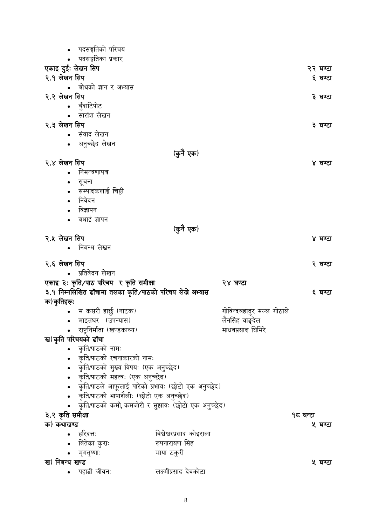|                    | पदसङ्गतिको परिचय                                         |                          |                           |          |          |
|--------------------|----------------------------------------------------------|--------------------------|---------------------------|----------|----------|
|                    | पदसङ्गतिका प्रकार                                        |                          |                           |          |          |
| एकाइ दुईः लेखन सिप |                                                          |                          |                           |          | २२ घण्टा |
| २.१ लेखन सिप       |                                                          |                          |                           |          | ६ घण्टा  |
|                    | • बोधको ज्ञान र अभ्यास                                   |                          |                           |          |          |
| २.२ लेखन सिप       |                                                          |                          |                           |          | ३ घण्टा  |
|                    | • बुँदाटिपोट                                             |                          |                           |          |          |
|                    | • सारांश लेखन                                            |                          |                           |          |          |
| २.३ लेखन सिप       |                                                          |                          |                           |          | ३ घण्टा  |
|                    | संवाद लेखन                                               |                          |                           |          |          |
|                    | • अनुच्छेद लेखन                                          |                          |                           |          |          |
|                    |                                                          | (कुनै एक)                |                           |          |          |
| २.४ लेखन सिप       |                                                          |                          |                           |          | ४ घण्टा  |
|                    | निमन्त्रणापत्र                                           |                          |                           |          |          |
|                    | सूचना                                                    |                          |                           |          |          |
|                    | सम्पादकलाई चिट्ठी                                        |                          |                           |          |          |
|                    | निवेदन                                                   |                          |                           |          |          |
|                    | विज्ञापन                                                 |                          |                           |          |          |
|                    | बधाई ज्ञापन                                              |                          |                           |          |          |
|                    |                                                          | (कुनै एक)                |                           |          |          |
| २.५ लेखन सिप       |                                                          |                          |                           |          | ४ घण्टा  |
|                    | • निबन्ध लेखन                                            |                          |                           |          |          |
| २.६ लेखन सिप       |                                                          |                          |                           |          | २ घण्टा  |
|                    | प्रतिवेदन लेखन                                           |                          |                           |          |          |
|                    | एकाइ ३: कृति/पाठ परिचय र कृति समीक्षा                    |                          | २४ घण्टा                  |          |          |
|                    | ३.१ निम्नलिखित ढाँचामा तलका कृति/पाठको परिचय लेखे अभ्यास |                          |                           |          | ६ घण्टा  |
| क)कृतिहरूः         |                                                          |                          |                           |          |          |
| $\bullet$          | म कसरी हार्छु (नाटक)                                     |                          | गोविन्दबहादुर मल्ल गोठाले |          |          |
|                    | माइतघर (उपन्यास)                                         |                          | लैनसिंह वाङ्देल           |          |          |
|                    | राष्ट्रनिर्माता (खण्डकाव्य)                              |                          | माधवप्रसाद घिमिरे         |          |          |
|                    | ख)कृति परिचयको ढाँचा                                     |                          |                           |          |          |
|                    | कृति/पाठको नामः                                          |                          |                           |          |          |
|                    | कृति/पाठको रचनाकारको नामः                                |                          |                           |          |          |
|                    | कृति/पाठको मुख्य विषयः (एक अनुच्छेद)                     |                          |                           |          |          |
|                    | कृति/पाठको महत्वः (एक अनुच्छेद)                          |                          |                           |          |          |
|                    | कृति/पाठले आफूलाई पारेको प्रभावः (छोटो एक अनुच्छेद)      |                          |                           |          |          |
|                    | कृति/पाठको भाषाशैलीः (छोटो एक अनुच्छेद)                  |                          |                           |          |          |
|                    | कृति/पाठको कमी, कमजोरी र सुझावः (छोटो एक अनुच्छेद)       |                          |                           |          |          |
| ३.२ कृति समीक्षा   |                                                          |                          |                           | १८ घन्टा |          |
| क) कथाखण्ड         |                                                          |                          |                           |          | ५ घण्टा  |
|                    | हरिदत्तः                                                 | विश्वेश्वरप्रसाद कोइराला |                           |          |          |
|                    | बितेका कुराः                                             | रुपनारायण सिंह           |                           |          |          |
|                    | मृगतृष्णाः                                               | माया ठकुरी               |                           |          |          |
| ख) निबन्ध खण्ड     |                                                          |                          |                           |          | ५ घण्टा  |
|                    | पहाडी जीवनः                                              | लक्ष्मीप्रसाद देवकोटा    |                           |          |          |
|                    |                                                          |                          |                           |          |          |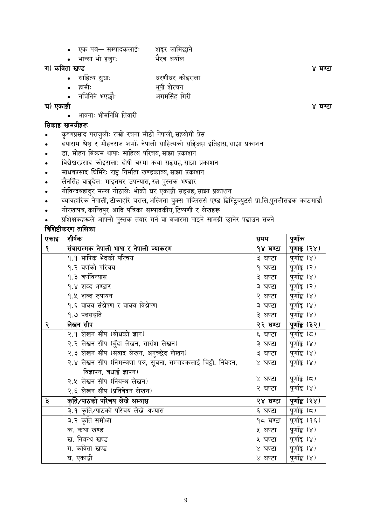- एक पत्र– सम्पादकलाईूः शङ्कि लागमछाने
- भान्सा भो हजुरः भैरव अर्याल

# ग) कववता खण्ड ४ घण्टा

- साहित्य सुधाः <sup>साहित्य</sup> सुधाः स्वरणीधर कोइराला
- हामीूः भपूी शेिचन
	- नन्चगननेभएछौूः अगमगसांह गगिी
- घ) एकाङ्की ४ घण्टा
	- भावनाूः भीमगनगि गतवािी

# गसकाइ सामग्रीहरू

- कृष्णप्रसाद पिाजलुीूः िाम्रो िचना मीठो नेपाली**,** सहयोगी प्रसे
- दयािाम श्रेष्ठ ि मोहनिाज शमाष**:** नेपाली सावहत्यको सन्ङ्क्षप्त इगतहास**,** साझा प्रकाशन
- डा. मोहन गबिम थापाूः सावहत्य परिचय**,** साझा प्रकाशन
- ववश्वश्वे िप्रसाद कोइिालाूः दोर्ी चथमा कथा सङ्ग्रह**,** साझा प्रकाशन
- मािवप्रसाद न्घगमिेूः िाष्ट्र गनमाषता खण्डकाव्य**,** साझा प्रकाशन
- लैनगसांह वाङ्देलूः माइतघि उपधयास**,** ित्न पथुतक भण्डाि
- गोववधदबहादिु मल्ल गोठालेूः भोको घि एकाङ्की सङ्ग्रह**,** साझा प्रकाशन
- व्यावहारिक नेपाली**,** टीकाहरि बिाल**,** अन्थमता बक्ुस पन्ब्लससष एण्ड गडन्थिब्यटुसष प्रा.गल.पतुलीसडक काठमाडौ
- गोिखापत्र**,** कान्धतपिु आदद पगत्रका सम्पादकीय**,** वटप्पणी ि लेखहरू
- <u>प्रशिक्षकहरूले आफ्नो पुस्तक तयार गर्न वा बजारमा पाइने सामग्री छानेर पढाउन सक्ने</u>

# ववन्शष्टीकिण तागलका

| एकाइ         | शीर्षक                                                           | समय      | पूर्णाक        |
|--------------|------------------------------------------------------------------|----------|----------------|
| $\mathbf{P}$ | संचारात्मक नेपाली भाषा र नेपाली व्याकरण                          | १४ घण्टा | पुणाङ्क (२४)   |
|              | १.१ भाषिक भेदको परिचय                                            | ३ घण्टा  | पूर्णाङ्क (४)  |
|              | १.२ वर्णको परिचय                                                 | १ घण्टा  | पूर्णाङ्क (२)  |
|              | १.३ वर्णविन्यास                                                  | ३ घण्टा  | पूर्णाङ्क (४)  |
|              | १.४ शव्द भण्डार                                                  | ३ घण्टा  | पूर्णाङ्क (२)  |
|              | १.५ शब्द रुपायन                                                  | २ घण्टा  | पूर्णाङ्क (४)  |
|              | १.६ वाक्य संस्नेषण र वाक्य विश्लेषण                              | ३ घण्टा  | पूर्णाङ्क (४)  |
|              | १.७ पदसङ्गति                                                     | ३ घण्टा  | पूर्णाङ्क (४)  |
| २            | लेखन सीप                                                         | २२ घण्टा | पूर्णाङ्क (३२) |
|              | २.१ लेखन सीप (बोधको ज्ञान)                                       | ६ घण्टा  | पूर्णाङ्क (८)  |
|              | २.२ लेखन सीप (बुँदा लेखन, सारांश लेखन)                           | ३ घण्टा  | पूर्णाङ्क (४)  |
|              | २.३ लेखन सीप (संवाद लेखन, अनुच्छेद लेखन)                         | ३ घण्टा  | पूर्णाङ्क (४)  |
|              | २.४ लेखन सीप (निमन्त्रणा पत्र, सूचना, सम्पादकलाई चिट्ठी, निवेदन, | ४ घण्टा  | पूर्णाङ्क (४)  |
|              | विज्ञापन, बधाई ज्ञापन)                                           |          |                |
|              | २.५ लेखन सीप (निबन्ध लेखन)                                       | ४ घण्टा  | पूर्णाङ्क (८)  |
|              | २.६ लेखन सीप (प्रतिवेदन लेखन)                                    | २ घण्टा  | पूर्णाङ्क (४)  |
| $\vec{z}$    | कृति/पाठको परिचय लेखे अभ्यास                                     | २४ घण्टा | पूर्णाङ्क (२४) |
|              | ३.१ कृति/पाठको परिचय लेखे अभ्यास                                 | ६ घण्टा  | पूर्णाङ्क (८)  |
|              | ३.२ कृति समीक्षा                                                 | १८ घण्टा | पूर्णाङ्क (१६) |
|              | क. कथा खण्ड                                                      | ५ घण्टा  | पूर्णाङ्क (४)  |
|              | ख. निवन्ध खण्ड                                                   | ५ घण्टा  | पूर्णाङ्क (४)  |
|              | ग. कविता खण्ड                                                    | ४ घण्टा  | पूर्णाङ्क (४)  |
|              | घ. एकाङ्की                                                       | ४ घण्टा  | पूर्णाङ्क (४)  |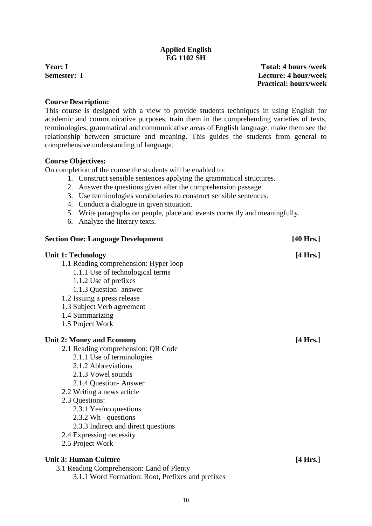# **Applied English EG 1102 SH**

<span id="page-11-0"></span>**Year: I Total: 4 hours /week Semester: I Lecture: 4 hour/week Practical: hours/week**

### **Course Description:**

This course is designed with a view to provide students techniques in using English for academic and communicative purposes, train them in the comprehending varieties of texts, terminologies, grammatical and communicative areas of English language, make them see the relationship between structure and meaning. This guides the students from general to comprehensive understanding of language.

### **Course Objectives:**

On completion of the course the students will be enabled to:

- 1. Construct sensible sentences applying the grammatical structures.
- 2. Answer the questions given after the comprehension passage.
- 3. Use terminologies vocabularies to construct sensible sentences.
- 4. Conduct a dialogue in given situation.
- 5. Write paragraphs on people, place and events correctly and meaningfully.
- 6. Analyze the literary texts.

| <b>Section One: Language Development</b>            | $[40$ Hrs.]        |
|-----------------------------------------------------|--------------------|
| <b>Unit 1: Technology</b>                           | $[4 \text{ Hrs.}]$ |
| 1.1 Reading comprehension: Hyper loop               |                    |
| 1.1.1 Use of technological terms                    |                    |
| 1.1.2 Use of prefixes                               |                    |
| 1.1.3 Question- answer                              |                    |
| 1.2 Issuing a press release                         |                    |
| 1.3 Subject Verb agreement                          |                    |
| 1.4 Summarizing                                     |                    |
| 1.5 Project Work                                    |                    |
| <b>Unit 2: Money and Economy</b>                    | $[4 \text{ Hrs.}]$ |
| 2.1 Reading comprehension: QR Code                  |                    |
| 2.1.1 Use of terminologies                          |                    |
| 2.1.2 Abbreviations                                 |                    |
| 2.1.3 Vowel sounds                                  |                    |
| 2.1.4 Question-Answer                               |                    |
| 2.2 Writing a news article                          |                    |
| 2.3 Questions:                                      |                    |
| 2.3.1 Yes/no questions                              |                    |
| 2.3.2 Wh - questions                                |                    |
| 2.3.3 Indirect and direct questions                 |                    |
| 2.4 Expressing necessity                            |                    |
| 2.5 Project Work                                    |                    |
| <b>Unit 3: Human Culture</b>                        | $[4 \text{ Hrs.}]$ |
| $\mathbf{r}$ $\mathbf{r}$ $\mathbf{r}$ $\mathbf{r}$ |                    |

3.1 Reading Comprehension: Land of Plenty

3.1.1 Word Formation: Root, Prefixes and prefixes

10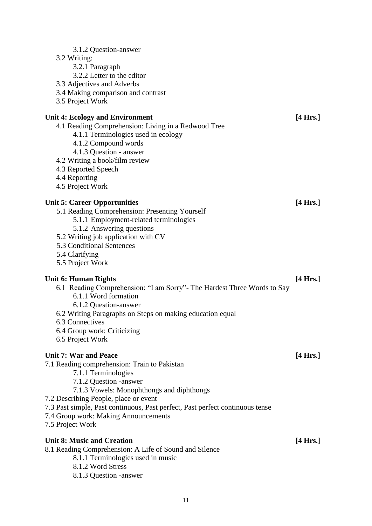| 3.1.2 Question-answer<br>3.2 Writing:<br>3.2.1 Paragraph<br>3.2.2 Letter to the editor<br>3.3 Adjectives and Adverbs<br>3.4 Making comparison and contrast<br>3.5 Project Work                                                                                                                                                                                   |                    |
|------------------------------------------------------------------------------------------------------------------------------------------------------------------------------------------------------------------------------------------------------------------------------------------------------------------------------------------------------------------|--------------------|
| <b>Unit 4: Ecology and Environment</b><br>4.1 Reading Comprehension: Living in a Redwood Tree<br>4.1.1 Terminologies used in ecology<br>4.1.2 Compound words<br>4.1.3 Question - answer<br>4.2 Writing a book/film review<br>4.3 Reported Speech<br>4.4 Reporting<br>4.5 Project Work                                                                            | [4 Hrs.]           |
| <b>Unit 5: Career Opportunities</b><br>5.1 Reading Comprehension: Presenting Yourself<br>5.1.1 Employment-related terminologies<br>5.1.2 Answering questions<br>5.2 Writing job application with CV<br>5.3 Conditional Sentences<br>5.4 Clarifying<br>5.5 Project Work                                                                                           | $[4 \text{ Hrs.}]$ |
| <b>Unit 6: Human Rights</b><br>6.1 Reading Comprehension: "I am Sorry" - The Hardest Three Words to Say<br>6.1.1 Word formation<br>6.1.2 Question-answer<br>6.2 Writing Paragraphs on Steps on making education equal<br>6.3 Connectives<br>6.4 Group work: Criticizing<br>6.5 Project Work                                                                      | [4 Hrs.]           |
| <b>Unit 7: War and Peace</b><br>7.1 Reading comprehension: Train to Pakistan<br>7.1.1 Terminologies<br>7.1.2 Question -answer<br>7.1.3 Vowels: Monophthongs and diphthongs<br>7.2 Describing People, place or event<br>7.3 Past simple, Past continuous, Past perfect, Past perfect continuous tense<br>7.4 Group work: Making Announcements<br>7.5 Project Work | $[4 \text{ Hrs.}]$ |
| <b>Unit 8: Music and Creation</b><br>8.1 Reading Comprehension: A Life of Sound and Silence<br>8.1.1 Terminologies used in music<br>8.1.2 Word Stress<br>8.1.3 Question -answer                                                                                                                                                                                  | [4 Hrs.]           |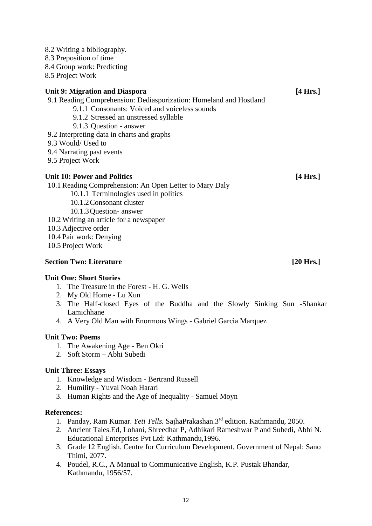- 8.2 Writing a bibliography.
- 8.3 Preposition of time
- 8.4 Group work: Predicting
- 8.5 Project Work

# **Unit 9: Migration and Diaspora [4 Hrs.]**

- 9.1 Reading Comprehension: Dediasporization: Homeland and Hostland
	- 9.1.1 Consonants: Voiced and voiceless sounds
	- 9.1.2 Stressed an unstressed syllable
	- 9.1.3 Question answer
- 9.2 Interpreting data in charts and graphs
- 9.3 Would/ Used to
- 9.4 Narrating past events
- 9.5 Project Work

# **Unit 10: Power and Politics [4 Hrs.]**

- 10.1 Reading Comprehension: An Open Letter to Mary Daly
	- 10.1.1 Terminologies used in politics
		- 10.1.2Consonant cluster
	- 10.1.3Question- answer
- 10.2 Writing an article for a newspaper
- 10.3 Adjective order
- 10.4 Pair work: Denying
- 10.5 Project Work

# **Section Two: Literature [20 Hrs.]**

# **Unit One: Short Stories**

- 1. The Treasure in the Forest H. G. Wells
- 2. My Old Home Lu Xun
- 3. The Half-closed Eyes of the Buddha and the Slowly Sinking Sun -Shankar Lamichhane
- 4. A Very Old Man with Enormous Wings Gabriel Garcia Marquez

# **Unit Two: Poems**

- 1. The Awakening Age Ben Okri
- 2. Soft Storm Abhi Subedi

# **Unit Three: Essays**

- 1. Knowledge and Wisdom Bertrand Russell
- 2. Humility Yuval Noah Harari
- 3. Human Rights and the Age of Inequality Samuel Moyn

#### **References:**

- 1. Panday, Ram Kumar. *Yeti Tells.* SajhaPrakashan.3rd edition. Kathmandu, 2050.
- 2. Ancient Tales.Ed, Lohani, Shreedhar P, Adhikari Rameshwar P and Subedi, Abhi N. Educational Enterprises Pvt Ltd: Kathmandu,1996.
- 3. Grade 12 English. Centre for Curriculum Development, Government of Nepal: Sano Thimi, 2077.
- 4. Poudel, R.C., A Manual to Communicative English, K.P. Pustak Bhandar, Kathmandu, 1956/57.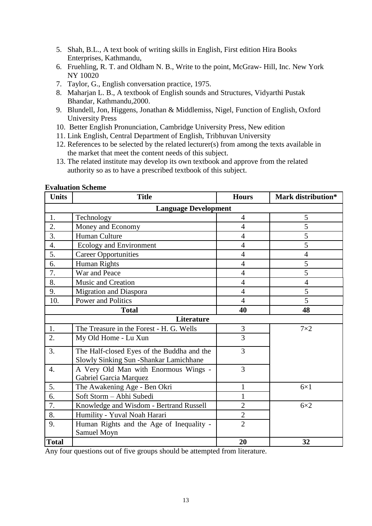- 5. Shah, B.L., A text book of writing skills in English, First edition Hira Books Enterprises, Kathmandu,
- 6. Fruehling, R. T. and Oldham N. B., Write to the point, McGraw- Hill, Inc. New York NY 10020
- 7. Taylor, G., English conversation practice, 1975.
- 8. Maharjan L. B., A textbook of English sounds and Structures, Vidyarthi Pustak Bhandar, Kathmandu,2000.
- 9. Blundell, Jon, Higgens, Jonathan & Middlemiss, Nigel, Function of English, Oxford University Press
- 10. Better English Pronunciation, Cambridge University Press, New edition
- 11. Link English, Central Department of English, Tribhuvan University
- 12. References to be selected by the related lecturer(s) from among the texts available in the market that meet the content needs of this subject.
- 13. The related institute may develop its own textbook and approve from the related authority so as to have a prescribed textbook of this subject.

| <b>Units</b>     | <b>Title</b>                                                                          | <b>Hours</b>   | Mark distribution* |  |  |  |  |  |  |  |
|------------------|---------------------------------------------------------------------------------------|----------------|--------------------|--|--|--|--|--|--|--|
|                  | <b>Language Development</b>                                                           |                |                    |  |  |  |  |  |  |  |
| 1.               | Technology                                                                            | $\overline{4}$ | 5                  |  |  |  |  |  |  |  |
| 2.               | Money and Economy                                                                     | $\overline{4}$ | 5                  |  |  |  |  |  |  |  |
| 3.               | Human Culture                                                                         | $\overline{4}$ | 5                  |  |  |  |  |  |  |  |
| $\overline{4}$ . | Ecology and Environment                                                               | $\overline{4}$ | 5                  |  |  |  |  |  |  |  |
| 5.               | <b>Career Opportunities</b>                                                           | $\overline{4}$ | $\overline{4}$     |  |  |  |  |  |  |  |
| 6.               | Human Rights                                                                          | $\overline{4}$ | 5                  |  |  |  |  |  |  |  |
| 7.               | War and Peace                                                                         | $\overline{4}$ | 5                  |  |  |  |  |  |  |  |
| 8.               | Music and Creation                                                                    | $\overline{4}$ | $\overline{4}$     |  |  |  |  |  |  |  |
| 9.               | <b>Migration and Diaspora</b>                                                         | $\overline{4}$ | 5                  |  |  |  |  |  |  |  |
| 10.              | <b>Power and Politics</b>                                                             | $\overline{4}$ | 5                  |  |  |  |  |  |  |  |
|                  | <b>Total</b>                                                                          | 40             | 48                 |  |  |  |  |  |  |  |
|                  | Literature                                                                            |                |                    |  |  |  |  |  |  |  |
| 1.               | The Treasure in the Forest - H. G. Wells                                              | 3              | $7\times2$         |  |  |  |  |  |  |  |
| 2.               | My Old Home - Lu Xun                                                                  | 3              |                    |  |  |  |  |  |  |  |
| 3.               | The Half-closed Eyes of the Buddha and the<br>Slowly Sinking Sun - Shankar Lamichhane | 3              |                    |  |  |  |  |  |  |  |
| $\overline{4}$ . | A Very Old Man with Enormous Wings -<br>Gabriel Garcia Marquez                        | 3              |                    |  |  |  |  |  |  |  |
| 5.               | The Awakening Age - Ben Okri                                                          |                | $6\times1$         |  |  |  |  |  |  |  |
| 6.               | Soft Storm - Abhi Subedi                                                              | 1              |                    |  |  |  |  |  |  |  |
| 7.               | Knowledge and Wisdom - Bertrand Russell                                               | $\overline{2}$ | $6\times2$         |  |  |  |  |  |  |  |
| 8.               | Humility - Yuval Noah Harari                                                          | $\overline{c}$ |                    |  |  |  |  |  |  |  |
| 9.               | Human Rights and the Age of Inequality -<br>Samuel Moyn                               | $\overline{2}$ |                    |  |  |  |  |  |  |  |
| <b>Total</b>     |                                                                                       | 20             | 32                 |  |  |  |  |  |  |  |

#### **Evaluation Scheme**

Any four questions out of five groups should be attempted from literature.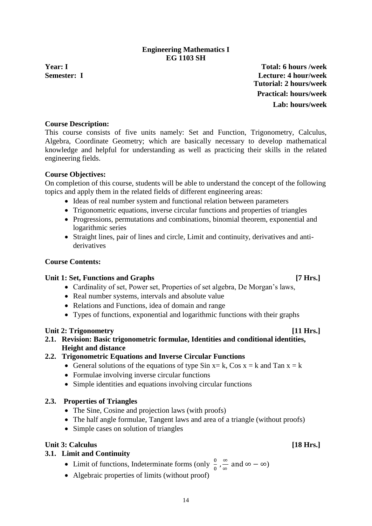### **Engineering Mathematics I EG 1103 SH**

<span id="page-15-0"></span>**Year: I Total: 6 hours /week Semester: I Lecture: 4 hour/week Tutorial: 2 hours/week Practical: hours/week Lab: hours/week**

## **Course Description:**

This course consists of five units namely: Set and Function, Trigonometry, Calculus, Algebra, Coordinate Geometry; which are basically necessary to develop mathematical knowledge and helpful for understanding as well as practicing their skills in the related engineering fields.

### **Course Objectives:**

On completion of this course, students will be able to understand the concept of the following topics and apply them in the related fields of different engineering areas:

- Ideas of real number system and functional relation between parameters
- Trigonometric equations, inverse circular functions and properties of triangles
- Progressions, permutations and combinations, binomial theorem, exponential and logarithmic series
- Straight lines, pair of lines and circle, Limit and continuity, derivatives and antiderivatives

## **Course Contents:**

#### **Unit 1: Set, Functions and Graphs [7 Hrs.]**

- Cardinality of set, Power set, Properties of set algebra, De Morgan's laws,
- Real number systems, intervals and absolute value
- Relations and Functions, idea of domain and range
- Types of functions, exponential and logarithmic functions with their graphs

#### Unit 2: Trigonometry *I1* **Hrs.**

**2.1. Revision: Basic trigonometric formulae, Identities and conditional identities, Height and distance**

#### **2.2. Trigonometric Equations and Inverse Circular Functions**

- General solutions of the equations of type Sin  $x = k$ , Cos  $x = k$  and Tan  $x = k$
- Formulae involving inverse circular functions
- Simple identities and equations involving circular functions

#### **2.3. Properties of Triangles**

- The Sine, Cosine and projection laws (with proofs)
- The half angle formulae, Tangent laws and area of a triangle (without proofs)
- Simple cases on solution of triangles

# Unit 3: Calculus **Internal Contract Contract Contract Contract Contract Contract Contract Contract Contract Contract Contract Contract Contract Contract Contract Contract Contract Contract Contract Contract Contract Contra**

# **3.1. Limit and Continuity**

- Limit of functions, Indeterminate forms (only  $\frac{0}{0}$ ,  $\frac{\infty}{\infty}$  $\frac{\infty}{\infty}$  and  $\infty - \infty$ )
- Algebraic properties of limits (without proof)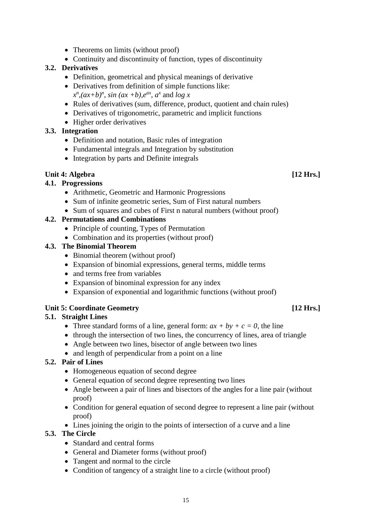- Theorems on limits (without proof)
- Continuity and discontinuity of function, types of discontinuity

# **3.2. Derivatives**

- Definition, geometrical and physical meanings of derivative
- Derivatives from definition of simple functions like:  $x^n$ ,  $(ax+b)^n$ , *sin*  $(ax+b)$ ,  $e^{ax}$ ,  $a^x$  and  $\log x$
- Rules of derivatives (sum, difference, product, quotient and chain rules)
- Derivatives of trigonometric, parametric and implicit functions
- Higher order derivatives

# **3.3. Integration**

- Definition and notation, Basic rules of integration
- Fundamental integrals and Integration by substitution
- Integration by parts and Definite integrals

# **Unit 4: Algebra [12 Hrs.]**

# **4.1. Progressions**

- Arithmetic, Geometric and Harmonic Progressions
- Sum of infinite geometric series, Sum of First natural numbers
- Sum of squares and cubes of First n natural numbers (without proof)

# **4.2. Permutations and Combinations**

- Principle of counting, Types of Permutation
- Combination and its properties (without proof)

# **4.3. The Binomial Theorem**

- Binomial theorem (without proof)
- Expansion of binomial expressions, general terms, middle terms
- and terms free from variables
- Expansion of binominal expression for any index
- Expansion of exponential and logarithmic functions (without proof)

# **Unit 5: Coordinate Geometry [12 Hrs.]**

# **5.1. Straight Lines**

- Three standard forms of a line, general form:  $ax + by + c = 0$ , the line
- through the intersection of two lines, the concurrency of lines, area of triangle
- Angle between two lines, bisector of angle between two lines
- and length of perpendicular from a point on a line

# **5.2. Pair of Lines**

- Homogeneous equation of second degree
- General equation of second degree representing two lines
- Angle between a pair of lines and bisectors of the angles for a line pair (without proof)
- Condition for general equation of second degree to represent a line pair (without proof)
- Lines joining the origin to the points of intersection of a curve and a line

# **5.3. The Circle**

- Standard and central forms
- General and Diameter forms (without proof)
- Tangent and normal to the circle
- Condition of tangency of a straight line to a circle (without proof)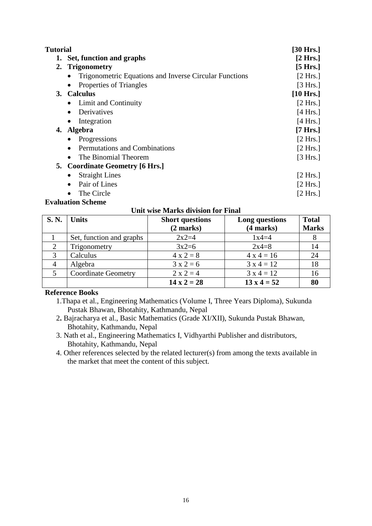| <b>Tutorial</b> |                                                               | [30 Hrs.]           |
|-----------------|---------------------------------------------------------------|---------------------|
|                 | 1. Set, function and graphs                                   | $[2 \text{ Hrs.}]$  |
|                 | 2. Trigonometry                                               | [5 Hrs.]            |
|                 | <b>Trigonometric Equations and Inverse Circular Functions</b> | [2 Hrs.]            |
|                 | Properties of Triangles                                       | [3 Hrs.]            |
|                 | 3. Calculus                                                   | $[10 \text{ Hrs.}]$ |
|                 | • Limit and Continuity                                        | [2 Hrs.]            |
|                 | Derivatives<br>$\bullet$                                      | $[4 \text{ Hrs.}]$  |
|                 | Integration                                                   | $[4 \text{ Hrs.}]$  |
|                 | 4. Algebra                                                    | [7 Hrs.]            |
|                 | Progressions                                                  | [2 Hrs.]            |
|                 | Permutations and Combinations                                 | [2 Hrs.]            |
|                 | The Binomial Theorem                                          | [3 Hrs.]            |
|                 | 5. Coordinate Geometry [6 Hrs.]                               |                     |
|                 | <b>Straight Lines</b>                                         | [2 Hrs.]            |
|                 | Pair of Lines                                                 | [2 Hrs.]            |
|                 | The Circle                                                    | [2 Hrs.]            |

### **Evaluation Scheme**

**Unit wise Marks division for Final**

| <b>S. N.</b> | <b>Units</b>               | <b>Short questions</b><br>(2 marks) | Long questions<br>(4 marks) | <b>Total</b><br><b>Marks</b> |
|--------------|----------------------------|-------------------------------------|-----------------------------|------------------------------|
|              | Set, function and graphs   | $2x2=4$                             | $1x4=4$                     |                              |
|              | Trigonometry               | $3x2=6$                             | $2x4=8$                     | 14                           |
| 3            | Calculus                   | $4 x 2 = 8$                         | $4x4 = 16$                  | 24                           |
|              | Algebra                    | $3x2=6$                             | $3x4 = 12$                  | 18                           |
|              | <b>Coordinate Geometry</b> | $2 \times 2 = 4$                    | $3 \times 4 = 12$           | 16                           |
|              |                            | $14 \times 2 = 28$                  | $13 \times 4 = 52$          | 80                           |

# **Reference Books**

- 1.Thapa et al., Engineering Mathematics (Volume I, Three Years Diploma), Sukunda Pustak Bhawan, Bhotahity, Kathmandu, Nepal
- 2**.** Bajracharya et al., Basic Mathematics (Grade XI/XII), Sukunda Pustak Bhawan, Bhotahity, Kathmandu, Nepal
- 3. Nath et al., Engineering Mathematics I, Vidhyarthi Publisher and distributors, Bhotahity, Kathmandu, Nepal
- 4. Other references selected by the related lecturer(s) from among the texts available in the market that meet the content of this subject.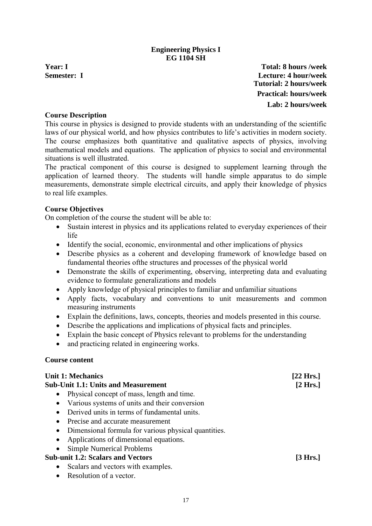# **Engineering Physics I EG 1104 SH**

<span id="page-18-0"></span>

**Year: I Total: 8 hours /week Semester: I Lecture: 4 hour/week Tutorial: 2 hours/week Practical: hours/week Lab: 2 hours/week**

### **Course Description**

This course in physics is designed to provide students with an understanding of the scientific laws of our physical world, and how physics contributes to life's activities in modern society. The course emphasizes both quantitative and qualitative aspects of physics, involving mathematical models and equations. The application of physics to social and environmental situations is well illustrated.

The practical component of this course is designed to supplement learning through the application of learned theory. The students will handle simple apparatus to do simple measurements, demonstrate simple electrical circuits, and apply their knowledge of physics to real life examples.

### **Course Objectives**

On completion of the course the student will be able to:

- Sustain interest in physics and its applications related to everyday experiences of their life
- Identify the social, economic, environmental and other implications of physics
- Describe physics as a coherent and developing framework of knowledge based on fundamental theories ofthe structures and processes of the physical world
- Demonstrate the skills of experimenting, observing, interpreting data and evaluating evidence to formulate generalizations and models
- Apply knowledge of physical principles to familiar and unfamiliar situations
- Apply facts, vocabulary and conventions to unit measurements and common measuring instruments
- Explain the definitions, laws, concepts, theories and models presented in this course.
- Describe the applications and implications of physical facts and principles.
- Explain the basic concept of Physics relevant to problems for the understanding
- and practicing related in engineering works.

#### **Course content**

| <b>Unit 1: Mechanics</b>                                          | $[22$ Hrs.]        |
|-------------------------------------------------------------------|--------------------|
| <b>Sub-Unit 1.1: Units and Measurement</b>                        | $[2 \text{ Hrs.}]$ |
| Physical concept of mass, length and time.                        |                    |
| Various systems of units and their conversion                     |                    |
| Derived units in terms of fundamental units.<br>$\bullet$         |                    |
| Precise and accurate measurement<br>$\bullet$                     |                    |
| Dimensional formula for various physical quantities.<br>$\bullet$ |                    |
| Applications of dimensional equations.<br>$\bullet$               |                    |
| <b>Simple Numerical Problems</b>                                  |                    |
| <b>Sub-unit 1.2: Scalars and Vectors</b>                          | [3 Hrs.]           |
| Scalars and vectors with examples.<br>$\bullet$                   |                    |
| Resolution of a vector.<br>$\bullet$                              |                    |
|                                                                   |                    |
|                                                                   |                    |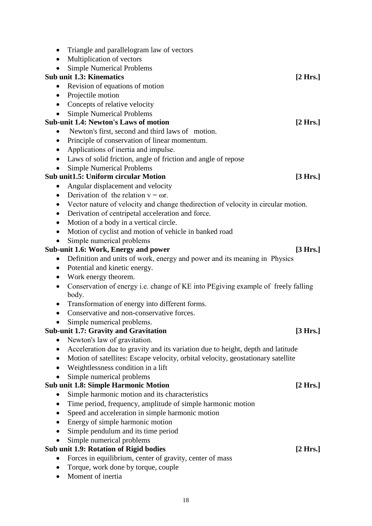| $\bullet$ | Triangle and parallelogram law of vectors                                          |  |
|-----------|------------------------------------------------------------------------------------|--|
| $\bullet$ | Multiplication of vectors                                                          |  |
|           | <b>Simple Numerical Problems</b>                                                   |  |
|           | <b>Sub unit 1.3: Kinematics</b><br>[2 Hrs.]                                        |  |
|           | Revision of equations of motion                                                    |  |
| $\bullet$ | Projectile motion                                                                  |  |
| $\bullet$ | Concepts of relative velocity                                                      |  |
|           | <b>Simple Numerical Problems</b>                                                   |  |
|           | <b>Sub-unit 1.4: Newton's Laws of motion</b><br>[2 Hrs.]                           |  |
|           | Newton's first, second and third laws of motion.                                   |  |
| $\bullet$ | Principle of conservation of linear momentum.                                      |  |
| $\bullet$ | Applications of inertia and impulse.                                               |  |
| $\bullet$ | Laws of solid friction, angle of friction and angle of repose                      |  |
|           | <b>Simple Numerical Problems</b>                                                   |  |
|           | <b>Sub unit1.5: Uniform circular Motion</b><br>[3 Hrs.]                            |  |
| $\bullet$ | Angular displacement and velocity                                                  |  |
| $\bullet$ | Derivation of the relation $v = \omega r$ .                                        |  |
|           | Vector nature of velocity and change the direction of velocity in circular motion. |  |
| $\bullet$ | Derivation of centripetal acceleration and force.                                  |  |
|           | Motion of a body in a vertical circle.                                             |  |
| $\bullet$ | Motion of cyclist and motion of vehicle in banked road                             |  |
|           | Simple numerical problems                                                          |  |
|           | Sub-unit 1.6: Work, Energy and power<br>[3 Hrs.]                                   |  |
| $\bullet$ | Definition and units of work, energy and power and its meaning in Physics          |  |
| $\bullet$ | Potential and kinetic energy.                                                      |  |
| $\bullet$ | Work energy theorem.                                                               |  |
| $\bullet$ | Conservation of energy i.e. change of KE into PEgiving example of freely falling   |  |
|           | body.                                                                              |  |
|           | Transformation of energy into different forms.                                     |  |
| $\bullet$ | Conservative and non-conservative forces.                                          |  |
| $\bullet$ | Simple numerical problems.                                                         |  |
|           | <b>Sub-unit 1.7: Gravity and Gravitation</b><br>[3 Hrs.]                           |  |
| $\bullet$ | Newton's law of gravitation.                                                       |  |
| $\bullet$ | Acceleration due to gravity and its variation due to height, depth and latitude    |  |
| $\bullet$ | Motion of satellites: Escape velocity, orbital velocity, geostationary satellite   |  |
| $\bullet$ | Weightlessness condition in a lift                                                 |  |
|           | Simple numerical problems                                                          |  |
|           | <b>Sub unit 1.8: Simple Harmonic Motion</b><br>[2 Hrs.]                            |  |
|           | Simple harmonic motion and its characteristics                                     |  |
|           | Time period, frequency, amplitude of simple harmonic motion                        |  |
|           | Speed and acceleration in simple harmonic motion                                   |  |
| $\bullet$ | Energy of simple harmonic motion                                                   |  |
| $\bullet$ | Simple pendulum and its time period                                                |  |
|           | Simple numerical problems                                                          |  |
|           | Sub unit 1.9: Rotation of Rigid bodies<br>[2 Hrs.]                                 |  |
|           | Forces in equilibrium, center of gravity, center of mass                           |  |
|           | Torque, work done by torque, couple                                                |  |
|           | Moment of inertia                                                                  |  |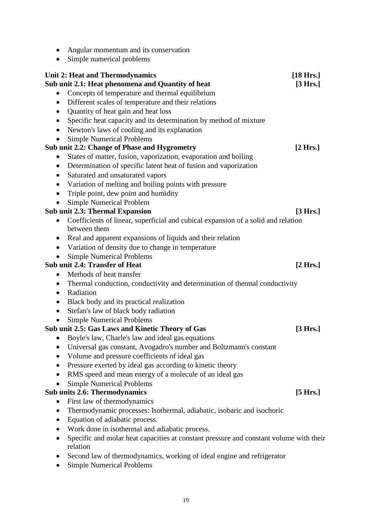|           | Simple numerical problems                                                              |                     |
|-----------|----------------------------------------------------------------------------------------|---------------------|
|           | <b>Unit 2: Heat and Thermodynamics</b>                                                 | $[18 \text{ Hrs.}]$ |
|           | Sub unit 2.1: Heat phenomena and Quantity of heat                                      | [3 Hrs.]            |
| $\bullet$ | Concepts of temperature and thermal equilibrium                                        |                     |
|           | Different scales of temperature and their relations                                    |                     |
|           | Quantity of heat gain and heat loss                                                    |                     |
|           | Specific heat capacity and its determination by method of mixture                      |                     |
| $\bullet$ | Newton's laws of cooling and its explanation                                           |                     |
|           | <b>Simple Numerical Problems</b>                                                       |                     |
|           | Sub unit 2.2: Change of Phase and Hygrometry                                           | $[2 \text{ Hrs.}]$  |
| $\bullet$ | States of matter, fusion, vaporization, evaporation and boiling                        |                     |
| $\bullet$ | Determination of specific latent heat of fusion and vaporization                       |                     |
| $\bullet$ | Saturated and unsaturated vapors                                                       |                     |
| $\bullet$ | Variation of melting and boiling points with pressure                                  |                     |
| $\bullet$ | Triple point, dew point and humidity                                                   |                     |
|           | <b>Simple Numerical Problem</b>                                                        |                     |
|           | <b>Sub unit 2.3: Thermal Expansion</b>                                                 | [3 Hrs.]            |
| $\bullet$ | Coefficients of linear, superficial and cubical expansion of a solid and relation      |                     |
|           | between them                                                                           |                     |
| $\bullet$ | Real and apparent expansions of liquids and their relation                             |                     |
| $\bullet$ | Variation of density due to change in temperature                                      |                     |
|           | <b>Simple Numerical Problems</b>                                                       |                     |
|           | Sub unit 2.4: Transfer of Heat                                                         | [2 Hrs.]            |
| ٠         | Methods of heat transfer                                                               |                     |
| ٠         | Thermal conduction, conductivity and determination of thermal conductivity             |                     |
| $\bullet$ | Radiation                                                                              |                     |
| ٠         | Black body and its practical realization                                               |                     |
| $\bullet$ | Stefan's law of black body radiation                                                   |                     |
|           | <b>Simple Numerical Problems</b>                                                       |                     |
|           | Sub unit 2.5: Gas Laws and Kinetic Theory of Gas                                       | [3 Hrs.]            |
|           | Boyle's law, Charle's law and ideal gas equations                                      |                     |
|           | Universal gas constant, Avogadro's number and Boltzmann's constant                     |                     |
|           | Volume and pressure coefficients of ideal gas                                          |                     |
| $\bullet$ | Pressure exerted by ideal gas according to kinetic theory                              |                     |
| $\bullet$ | RMS speed and mean energy of a molecule of an ideal gas                                |                     |
|           | <b>Simple Numerical Problems</b>                                                       |                     |
|           | Sub units 2.6: Thermodynamics                                                          | [5 Hrs.]            |
| $\bullet$ | First law of thermodynamics                                                            |                     |
| $\bullet$ | Thermodynamic processes: Isothermal, adiabatic, isobaric and isochoric                 |                     |
| $\bullet$ | Equation of adiabatic process.                                                         |                     |
| $\bullet$ | Work done in isothermal and adiabatic process.                                         |                     |
| $\bullet$ | Specific and molar heat capacities at constant pressure and constant volume with their |                     |
|           | relation                                                                               |                     |
|           | Second law of thermodynamics, working of ideal engine and refrigerator                 |                     |
|           | <b>Simple Numerical Problems</b>                                                       |                     |

• Angular momentum and its conservation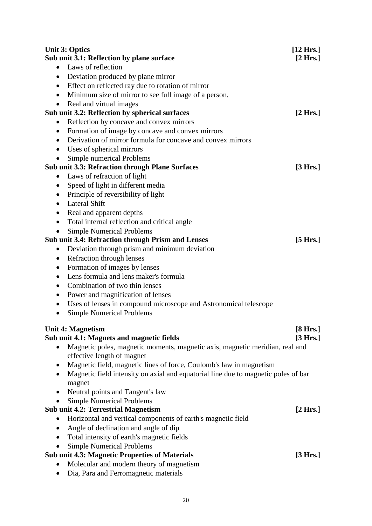| <b>Unit 3: Optics</b>                                                                                      | $[12 \text{ Hrs.}]$ |
|------------------------------------------------------------------------------------------------------------|---------------------|
| Sub unit 3.1: Reflection by plane surface                                                                  | [2 Hrs.]            |
| Laws of reflection<br>$\bullet$                                                                            |                     |
| Deviation produced by plane mirror<br>$\bullet$                                                            |                     |
| Effect on reflected ray due to rotation of mirror<br>$\bullet$                                             |                     |
| Minimum size of mirror to see full image of a person.<br>$\bullet$                                         |                     |
| Real and virtual images<br>$\bullet$                                                                       |                     |
| Sub unit 3.2: Reflection by spherical surfaces                                                             | [2 Hrs.]            |
| Reflection by concave and convex mirrors<br>$\bullet$                                                      |                     |
| Formation of image by concave and convex mirrors<br>$\bullet$                                              |                     |
| Derivation of mirror formula for concave and convex mirrors<br>$\bullet$                                   |                     |
| Uses of spherical mirrors<br>$\bullet$                                                                     |                     |
| Simple numerical Problems                                                                                  |                     |
| <b>Sub unit 3.3: Refraction through Plane Surfaces</b>                                                     | [3 Hrs.]            |
| Laws of refraction of light                                                                                |                     |
| Speed of light in different media<br>$\bullet$                                                             |                     |
| Principle of reversibility of light<br>$\bullet$                                                           |                     |
| <b>Lateral Shift</b><br>$\bullet$                                                                          |                     |
| Real and apparent depths<br>$\bullet$                                                                      |                     |
| Total internal reflection and critical angle                                                               |                     |
| <b>Simple Numerical Problems</b>                                                                           |                     |
| <b>Sub unit 3.4: Refraction through Prism and Lenses</b>                                                   | [5 Hrs.]            |
| Deviation through prism and minimum deviation<br>$\bullet$                                                 |                     |
| Refraction through lenses<br>$\bullet$                                                                     |                     |
| Formation of images by lenses<br>$\bullet$                                                                 |                     |
| Lens formula and lens maker's formula<br>$\bullet$                                                         |                     |
| Combination of two thin lenses<br>$\bullet$                                                                |                     |
| Power and magnification of lenses<br>٠                                                                     |                     |
| Uses of lenses in compound microscope and Astronomical telescope<br>$\bullet$                              |                     |
| <b>Simple Numerical Problems</b>                                                                           |                     |
|                                                                                                            |                     |
| <b>Unit 4: Magnetism</b>                                                                                   | [8 Hrs.]            |
| Sub unit 4.1: Magnets and magnetic fields                                                                  | [3 Hrs.]            |
| Magnetic poles, magnetic moments, magnetic axis, magnetic meridian, real and<br>effective length of magnet |                     |
| Magnetic field, magnetic lines of force, Coulomb's law in magnetism                                        |                     |
| Magnetic field intensity on axial and equatorial line due to magnetic poles of bar                         |                     |
| magnet                                                                                                     |                     |
| Neutral points and Tangent's law                                                                           |                     |
| <b>Simple Numerical Problems</b>                                                                           |                     |
| <b>Sub unit 4.2: Terrestrial Magnetism</b>                                                                 | [2 Hrs.]            |
| Horizontal and vertical components of earth's magnetic field<br>$\bullet$                                  |                     |
| Angle of declination and angle of dip                                                                      |                     |
| Total intensity of earth's magnetic fields<br>$\bullet$                                                    |                     |
| <b>Simple Numerical Problems</b>                                                                           |                     |
| <b>Sub unit 4.3: Magnetic Properties of Materials</b>                                                      | [3 Hrs.]            |
| Molecular and modern theory of magnetism                                                                   |                     |
| Dia, Para and Ferromagnetic materials                                                                      |                     |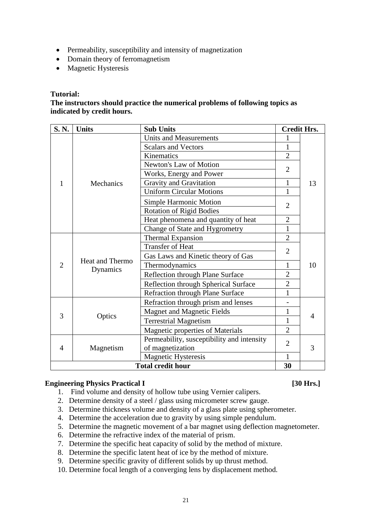- Permeability, susceptibility and intensity of magnetization
- Domain theory of ferromagnetism
- Magnetic Hysteresis

#### **Tutorial:**

### **The instructors should practice the numerical problems of following topics as indicated by credit hours.**

| S.N.                     | <b>Units</b>                       | <b>Sub Units</b>                           |                | <b>Credit Hrs.</b> |
|--------------------------|------------------------------------|--------------------------------------------|----------------|--------------------|
|                          |                                    | <b>Units and Measurements</b>              | 1              |                    |
|                          |                                    | <b>Scalars and Vectors</b>                 | 1              |                    |
|                          |                                    | Kinematics                                 | $\overline{2}$ |                    |
|                          |                                    | Newton's Law of Motion                     | $\overline{2}$ |                    |
|                          |                                    | Works, Energy and Power                    |                |                    |
| 1                        | Mechanics                          | Gravity and Gravitation                    | $\mathbf{1}$   | 13                 |
|                          |                                    | <b>Uniform Circular Motions</b>            | 1              |                    |
|                          |                                    | <b>Simple Harmonic Motion</b>              | $\overline{2}$ |                    |
|                          |                                    | <b>Rotation of Rigid Bodies</b>            |                |                    |
|                          |                                    | Heat phenomena and quantity of heat        | $\overline{2}$ |                    |
|                          |                                    | Change of State and Hygrometry             | $\mathbf{1}$   |                    |
|                          | <b>Heat and Thermo</b><br>Dynamics | <b>Thermal Expansion</b>                   | $\overline{2}$ | 10                 |
|                          |                                    | <b>Transfer of Heat</b>                    | $\overline{2}$ |                    |
|                          |                                    | Gas Laws and Kinetic theory of Gas         |                |                    |
| $\overline{2}$           |                                    | Thermodynamics                             | 1              |                    |
|                          |                                    | Reflection through Plane Surface           | $\overline{2}$ |                    |
|                          |                                    | Reflection through Spherical Surface       | $\overline{2}$ |                    |
|                          |                                    | <b>Refraction through Plane Surface</b>    | $\mathbf{1}$   |                    |
|                          |                                    | Refraction through prism and lenses        |                |                    |
|                          |                                    | <b>Magnet and Magnetic Fields</b>          | 1              |                    |
| 3                        | Optics                             | <b>Terrestrial Magnetism</b>               | 1              | 4                  |
|                          |                                    | <b>Magnetic properties of Materials</b>    | $\overline{2}$ |                    |
| 4                        |                                    | Permeability, susceptibility and intensity | $\overline{2}$ |                    |
|                          | Magnetism                          | of magnetization                           |                | 3                  |
|                          |                                    | <b>Magnetic Hysteresis</b>                 | $\mathbf{1}$   |                    |
| <b>Total credit hour</b> |                                    |                                            | 30             |                    |

#### **Engineering Physics Practical I [30 Hrs.]**

- 1. Find volume and density of hollow tube using Vernier calipers.
- 2. Determine density of a steel / glass using micrometer screw gauge.
- 3. Determine thickness volume and density of a glass plate using spherometer.
- 4. Determine the acceleration due to gravity by using simple pendulum.
- 5. Determine the magnetic movement of a bar magnet using deflection magnetometer.
- 6. Determine the refractive index of the material of prism.
- 7. Determine the specific heat capacity of solid by the method of mixture.
- 8. Determine the specific latent heat of ice by the method of mixture.
- 9. Determine specific gravity of different solids by up thrust method.
- 10. Determine focal length of a converging lens by displacement method.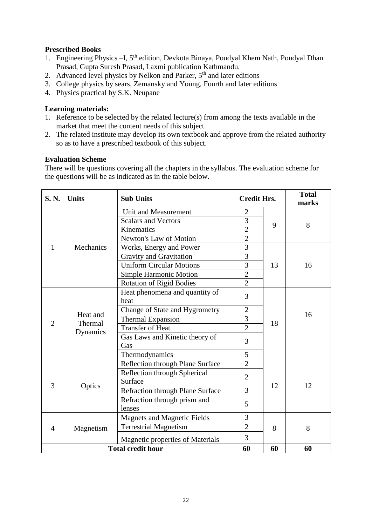# **Prescribed Books**

- 1. Engineering Physics -I, 5<sup>th</sup> edition, Devkota Binaya, Poudyal Khem Nath, Poudyal Dhan Prasad, Gupta Suresh Prasad, Laxmi publication Kathmandu.
- 2. Advanced level physics by Nelkon and Parker,  $5<sup>th</sup>$  and later editions
- 3. College physics by sears, Zemansky and Young, Fourth and later editions
- 4. Physics practical by S.K. Neupane

# **Learning materials:**

- 1. Reference to be selected by the related lecture(s) from among the texts available in the market that meet the content needs of this subject.
- 2. The related institute may develop its own textbook and approve from the related authority so as to have a prescribed textbook of this subject.

# **Evaluation Scheme**

There will be questions covering all the chapters in the syllabus. The evaluation scheme for the questions will be as indicated as in the table below.

| S. N.          | <b>Units</b>                    | <b>Sub Units</b>                        | <b>Credit Hrs.</b> |    | <b>Total</b><br>marks |
|----------------|---------------------------------|-----------------------------------------|--------------------|----|-----------------------|
|                |                                 | Unit and Measurement                    | 2                  |    |                       |
|                |                                 | <b>Scalars and Vectors</b>              | 3                  | 9  | 8                     |
|                |                                 | Kinematics                              | $\overline{2}$     |    |                       |
|                |                                 | Newton's Law of Motion                  | $\overline{2}$     |    |                       |
| 1              | Mechanics                       | Works, Energy and Power                 | 3                  |    |                       |
|                |                                 | Gravity and Gravitation                 | 3                  |    |                       |
|                |                                 | <b>Uniform Circular Motions</b>         | 3                  | 13 | 16                    |
|                |                                 | Simple Harmonic Motion                  | $\mathbf{2}$       |    |                       |
|                |                                 | <b>Rotation of Rigid Bodies</b>         | $\overline{2}$     |    |                       |
|                | Heat and<br>Thermal<br>Dynamics | Heat phenomena and quantity of<br>heat  | 3                  |    |                       |
|                |                                 | Change of State and Hygrometry          | $\overline{2}$     |    |                       |
|                |                                 | <b>Thermal Expansion</b>                | 3                  |    | 16                    |
| $\overline{2}$ |                                 | <b>Transfer of Heat</b>                 | $\overline{2}$     | 18 |                       |
|                |                                 | Gas Laws and Kinetic theory of<br>Gas   | 3                  |    |                       |
|                |                                 | Thermodynamics                          | 5                  |    |                       |
|                |                                 | Reflection through Plane Surface        | $\overline{2}$     |    |                       |
| 3              |                                 | Reflection through Spherical<br>Surface | $\overline{2}$     |    | 12                    |
|                | Optics                          | <b>Refraction through Plane Surface</b> | $\overline{3}$     | 12 |                       |
|                |                                 | Refraction through prism and<br>lenses  | 5                  |    |                       |
| $\overline{4}$ |                                 | <b>Magnets and Magnetic Fields</b>      | 3                  |    |                       |
|                | Magnetism                       | <b>Terrestrial Magnetism</b>            | $\overline{2}$     | 8  | 8                     |
|                |                                 | <b>Magnetic properties of Materials</b> | $\overline{3}$     |    |                       |
|                |                                 | <b>Total credit hour</b>                | 60                 | 60 | 60                    |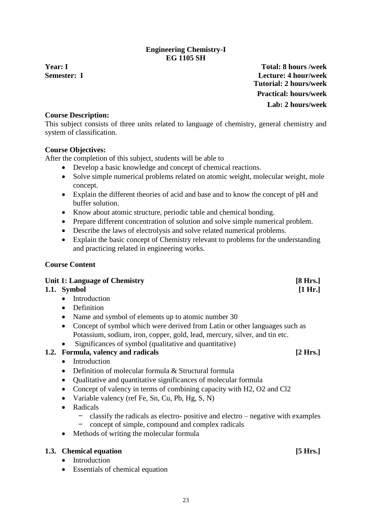# **Engineering Chemistry-I EG 1105 SH**

<span id="page-24-0"></span>

**Year: I Total: 8 hours /week Semester: I Lecture: 4 hour/week Tutorial: 2 hours/week Practical: hours/week Lab: 2 hours/week**

# **Course Description:**

This subject consists of three units related to language of chemistry, general chemistry and system of classification.

# **Course Objectives:**

After the completion of this subject, students will be able to

- Develop a basic knowledge and concept of chemical reactions.
- Solve simple numerical problems related on atomic weight, molecular weight, mole concept.
- Explain the different theories of acid and base and to know the concept of pH and buffer solution.
- Know about atomic structure, periodic table and chemical bonding.
- Prepare different concentration of solution and solve simple numerical problem.
- Describe the laws of electrolysis and solve related numerical problems.
- Explain the basic concept of Chemistry relevant to problems for the understanding and practicing related in engineering works.

# **Course Content**

| Unit 1: Language of Chemistry |             | [8 Hrs.]       |         |
|-------------------------------|-------------|----------------|---------|
|                               | 1.1. Symbol |                | [1 Hr.] |
|                               |             | • Introduction |         |
|                               |             | • Definition   |         |
|                               |             |                |         |

- Name and symbol of elements up to atomic number 30
- Concept of symbol which were derived from Latin or other languages such as Potassium, sodium, iron, copper, gold, lead, mercury, silver, and tin etc.
- Significances of symbol (qualitative and quantitative)

# **1.2. Formula, valency and radicals [2 Hrs.]**

- Introduction
- Definition of molecular formula & Structural formula
- Qualitative and quantitative significances of molecular formula
- Concept of valency in terms of combining capacity with H2, O2 and Cl2
- Variable valency (ref Fe, Sn, Cu, Pb, Hg, S, N)
- Radicals
	- classify the radicals as electro- positive and electro negative with examples
	- concept of simple, compound and complex radicals
- Methods of writing the molecular formula

# **1.3. Chemical equation [5 Hrs.]**

- Introduction
- Essentials of chemical equation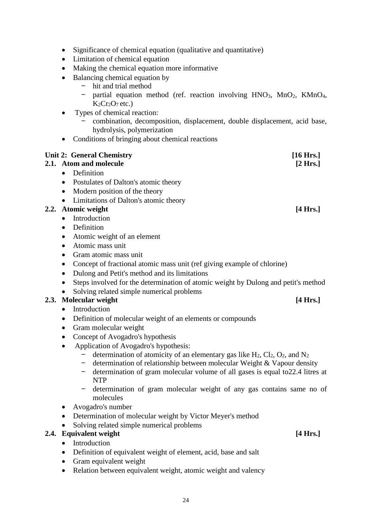- Significance of chemical equation (qualitative and quantitative)
- Limitation of chemical equation
- Making the chemical equation more informative
- Balancing chemical equation by
	- hit and trial method<br>– partial equation me
	- partial equation method (ref. reaction involving  $HNO<sub>3</sub>$ ,  $MnO<sub>2</sub>$ ,  $KMnO<sub>4</sub>$ ,  $K_2Cr_2O_7$  etc.)
- Types of chemical reaction:
	- combination, decomposition, displacement, double displacement, acid base, hydrolysis, polymerization
- Conditions of bringing about chemical reactions

| <b>Unit 2: General Chemistry</b>                                                                  | $[16 \text{ Hrs.}]$ |
|---------------------------------------------------------------------------------------------------|---------------------|
| 2.1. Atom and molecule                                                                            | $[2 \text{ Hrs.}]$  |
| Definition<br>$\bullet$                                                                           |                     |
| Postulates of Dalton's atomic theory<br>$\bullet$                                                 |                     |
| Modern position of the theory<br>$\bullet$                                                        |                     |
| Limitations of Dalton's atomic theory<br>$\bullet$                                                |                     |
| 2.2. Atomic weight                                                                                | $[4 \text{ Hrs.}]$  |
| Introduction<br>$\bullet$                                                                         |                     |
| Definition<br>$\bullet$                                                                           |                     |
| Atomic weight of an element<br>$\bullet$                                                          |                     |
| Atomic mass unit<br>$\bullet$                                                                     |                     |
| Gram atomic mass unit<br>$\bullet$                                                                |                     |
| Concept of fractional atomic mass unit (ref giving example of chlorine)<br>٠                      |                     |
| Dulong and Petit's method and its limitations<br>$\bullet$                                        |                     |
| Steps involved for the determination of atomic weight by Dulong and petit's method<br>$\bullet$   |                     |
| Solving related simple numerical problems                                                         |                     |
| 2.3. Molecular weight                                                                             | $[4 \text{ Hrs.}]$  |
| Introduction<br>$\bullet$                                                                         |                     |
| Definition of molecular weight of an elements or compounds<br>$\bullet$                           |                     |
| Gram molecular weight<br>$\bullet$                                                                |                     |
| Concept of Avogadro's hypothesis<br>$\bullet$                                                     |                     |
| Application of Avogadro's hypothesis:<br>$\bullet$                                                |                     |
| determination of atomicity of an elementary gas like $H_2$ , $Cl_2$ , $O_2$ , and $N_2$           |                     |
| determination of relationship between molecular Weight & Vapour density                           |                     |
| determination of gram molecular volume of all gases is equal to 22.4 litres at<br>-<br><b>NTP</b> |                     |
| determination of gram molecular weight of any gas contains same no of                             |                     |
| molecules                                                                                         |                     |
| Avogadro's number                                                                                 |                     |
| Determination of molecular weight by Victor Meyer's method<br>$\bullet$                           |                     |
| Solving related simple numerical problems                                                         |                     |
| 2.4. Equivalent weight                                                                            | $[4 \text{ Hrs.}]$  |
| Introduction<br>$\bullet$                                                                         |                     |
|                                                                                                   |                     |

- Definition of equivalent weight of element, acid, base and salt
- Gram equivalent weight
- Relation between equivalent weight, atomic weight and valency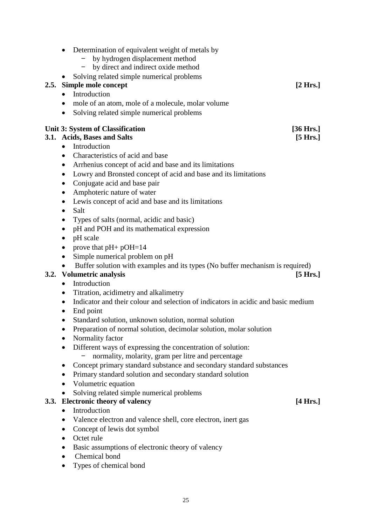| 2.5. | Determination of equivalent weight of metals by<br>by hydrogen displacement method<br>by direct and indirect oxide method<br>Solving related simple numerical problems<br>Simple mole concept<br>Introduction<br>mole of an atom, mole of a molecule, molar volume<br>Solving related simple numerical problems<br>$\bullet$ | [2 Hrs.]           |
|------|------------------------------------------------------------------------------------------------------------------------------------------------------------------------------------------------------------------------------------------------------------------------------------------------------------------------------|--------------------|
|      | <b>Unit 3: System of Classification</b>                                                                                                                                                                                                                                                                                      | [36 Hrs.]          |
|      | 3.1. Acids, Bases and Salts                                                                                                                                                                                                                                                                                                  | [5 Hrs.]           |
|      | Introduction<br>$\bullet$                                                                                                                                                                                                                                                                                                    |                    |
|      | Characteristics of acid and base<br>$\bullet$                                                                                                                                                                                                                                                                                |                    |
|      | Arrhenius concept of acid and base and its limitations<br>$\bullet$                                                                                                                                                                                                                                                          |                    |
|      | Lowry and Bronsted concept of acid and base and its limitations<br>$\bullet$                                                                                                                                                                                                                                                 |                    |
|      | Conjugate acid and base pair                                                                                                                                                                                                                                                                                                 |                    |
|      | Amphoteric nature of water                                                                                                                                                                                                                                                                                                   |                    |
|      | Lewis concept of acid and base and its limitations                                                                                                                                                                                                                                                                           |                    |
|      | Salt<br>$\bullet$                                                                                                                                                                                                                                                                                                            |                    |
|      | Types of salts (normal, acidic and basic)                                                                                                                                                                                                                                                                                    |                    |
|      | pH and POH and its mathematical expression                                                                                                                                                                                                                                                                                   |                    |
|      | pH scale                                                                                                                                                                                                                                                                                                                     |                    |
|      | prove that $pH+ pOH=14$                                                                                                                                                                                                                                                                                                      |                    |
|      | Simple numerical problem on pH<br>$\bullet$                                                                                                                                                                                                                                                                                  |                    |
|      | Buffer solution with examples and its types (No buffer mechanism is required)                                                                                                                                                                                                                                                |                    |
| 3.2. | <b>Volumetric analysis</b>                                                                                                                                                                                                                                                                                                   | $[5 \text{ Hrs.}]$ |
|      | Introduction<br>$\bullet$                                                                                                                                                                                                                                                                                                    |                    |
|      | Titration, acidimetry and alkalimetry<br>$\bullet$                                                                                                                                                                                                                                                                           |                    |
|      | Indicator and their colour and selection of indicators in acidic and basic medium<br>$\bullet$                                                                                                                                                                                                                               |                    |
|      | End point                                                                                                                                                                                                                                                                                                                    |                    |
|      | Standard solution, unknown solution, normal solution                                                                                                                                                                                                                                                                         |                    |
|      | Preparation of normal solution, decimolar solution, molar solution                                                                                                                                                                                                                                                           |                    |
|      | Normality factor                                                                                                                                                                                                                                                                                                             |                    |
|      | Different ways of expressing the concentration of solution:                                                                                                                                                                                                                                                                  |                    |
|      | normality, molarity, gram per litre and percentage                                                                                                                                                                                                                                                                           |                    |
|      | Concept primary standard substance and secondary standard substances                                                                                                                                                                                                                                                         |                    |
|      | Primary standard solution and secondary standard solution                                                                                                                                                                                                                                                                    |                    |
|      | Volumetric equation                                                                                                                                                                                                                                                                                                          |                    |
|      | Solving related simple numerical problems                                                                                                                                                                                                                                                                                    |                    |
| 3.3. | <b>Electronic theory of valency</b><br>Introduction                                                                                                                                                                                                                                                                          | [4 Hrs.]           |
|      |                                                                                                                                                                                                                                                                                                                              |                    |
|      | Valence electron and valence shell, core electron, inert gas                                                                                                                                                                                                                                                                 |                    |
|      | Concept of lewis dot symbol                                                                                                                                                                                                                                                                                                  |                    |
|      | Octet rule                                                                                                                                                                                                                                                                                                                   |                    |

- Basic assumptions of electronic theory of valency
- Chemical bond
- Types of chemical bond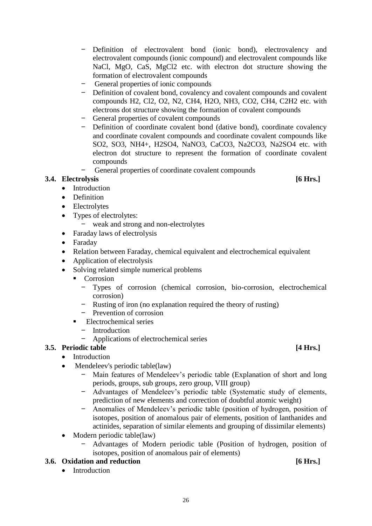- Definition of electrovalent bond (ionic bond), electrovalency and electrovalent compounds (ionic compound) and electrovalent compounds like NaCl, MgO, CaS, MgCl2 etc. with electron dot structure showing the formation of electrovalent compounds
- General properties of ionic compounds
- Definition of covalent bond, covalency and covalent compounds and covalent compounds H2, Cl2, O2, N2, CH4, H2O, NH3, CO2, CH4, C2H2 etc. with electrons dot structure showing the formation of covalent compounds
- General properties of covalent compounds
- Definition of coordinate covalent bond (dative bond), coordinate covalency and coordinate covalent compounds and coordinate covalent compounds like SO2, SO3, NH4+, H2SO4, NaNO3, CaCO3, Na2CO3, Na2SO4 etc. with electron dot structure to represent the formation of coordinate covalent compounds
- General properties of coordinate covalent compounds

# **3.4. Electrolysis [6 Hrs.]**

- Introduction
- Definition
- Electrolytes
- Types of electrolytes:
	- weak and strong and non-electrolytes
- Faraday laws of electrolysis
- Faraday
- Relation between Faraday, chemical equivalent and electrochemical equivalent
- Application of electrolysis
- Solving related simple numerical problems
	- Corrosion
		- Types of corrosion (chemical corrosion, bio-corrosion, electrochemical corrosion)
		- Rusting of iron (no explanation required the theory of rusting)
		- Prevention of corrosion
	- Electrochemical series
		- Introduction
		- Applications of electrochemical series

#### **3.5. Periodic table [4 Hrs.]**

- **Introduction**
- Mendeleev's periodic table(law)
	- Main features of Mendeleev's periodic table (Explanation of short and long periods, groups, sub groups, zero group, VIII group)
	- Advantages of Mendeleev's periodic table (Systematic study of elements, prediction of new elements and correction of doubtful atomic weight)
	- Anomalies of Mendeleev's periodic table (position of hydrogen, position of isotopes, position of anomalous pair of elements, position of lanthanides and actinides, separation of similar elements and grouping of dissimilar elements)
- Modern periodic table(law)
	- Advantages of Modern periodic table (Position of hydrogen, position of isotopes, position of anomalous pair of elements)

# **3.6. Oxidation and reduction [6 Hrs.]**

**Introduction**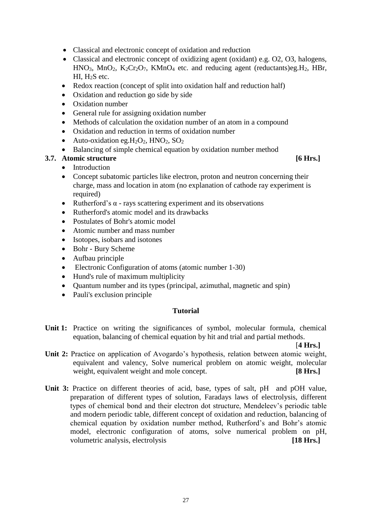- Classical and electronic concept of oxidation and reduction
- Classical and electronic concept of oxidizing agent (oxidant) e.g. O2, O3, halogens,  $HNO<sub>3</sub>$ ,  $MnO<sub>2</sub>$ ,  $K<sub>2</sub>Cr<sub>2</sub>O<sub>7</sub>$ ,  $KMnO<sub>4</sub>$  etc. and reducing agent (reductants)eg. H<sub>2</sub>, HBr, HI, H<sub>2</sub>S etc.
- Redox reaction (concept of split into oxidation half and reduction half)
- Oxidation and reduction go side by side
- Oxidation number
- General rule for assigning oxidation number
- Methods of calculation the oxidation number of an atom in a compound
- Oxidation and reduction in terms of oxidation number
- Auto-oxidation eg. $H_2O_2$ , HNO<sub>2</sub>, SO<sub>2</sub>
- Balancing of simple chemical equation by oxidation number method

# **3.7. Atomic structure [6 Hrs.]**

- **Introduction**
- Concept subatomic particles like electron, proton and neutron concerning their charge, mass and location in atom (no explanation of cathode ray experiment is required)
- Rutherford's  $\alpha$  rays scattering experiment and its observations
- Rutherford's atomic model and its drawbacks
- Postulates of Bohr's atomic model
- Atomic number and mass number
- Isotopes, isobars and isotones
- Bohr Bury Scheme
- Aufbau principle
- Electronic Configuration of atoms (atomic number 1-30)
- Hund's rule of maximum multiplicity
- Quantum number and its types (principal, azimuthal, magnetic and spin)
- Pauli's exclusion principle

### **Tutorial**

**Unit 1:** Practice on writing the significances of symbol, molecular formula, chemical equation, balancing of chemical equation by hit and trial and partial methods.

#### [**4 Hrs.]**

- **Unit 2:** Practice on application of Avogardo's hypothesis, relation between atomic weight, equivalent and valency, Solve numerical problem on atomic weight, molecular weight, equivalent weight and mole concept. **[8 Hrs.]**
- Unit 3: Practice on different theories of acid, base, types of salt, pH and pOH value, preparation of different types of solution, Faradays laws of electrolysis, different types of chemical bond and their electron dot structure, Mendeleev's periodic table and modern periodic table, different concept of oxidation and reduction, balancing of chemical equation by oxidation number method, Rutherford's and Bohr's atomic model, electronic configuration of atoms, solve numerical problem on pH, volumetric analysis, electrolysis **[18 Hrs.]**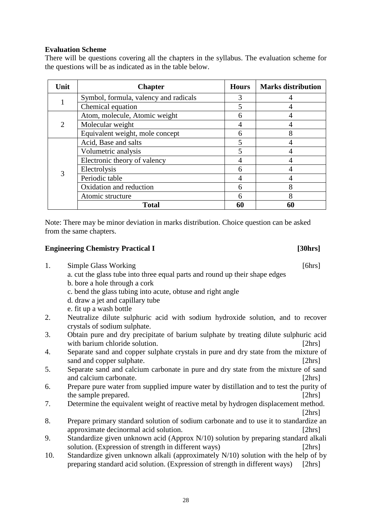# **Evaluation Scheme**

There will be questions covering all the chapters in the syllabus. The evaluation scheme for the questions will be as indicated as in the table below.

| Unit | <b>Chapter</b>                        | <b>Hours</b> | <b>Marks distribution</b> |
|------|---------------------------------------|--------------|---------------------------|
|      | Symbol, formula, valency and radicals | 3            |                           |
|      | Chemical equation                     |              |                           |
|      | Atom, molecule, Atomic weight         | 6            |                           |
| 2    | Molecular weight                      |              |                           |
|      | Equivalent weight, mole concept       | 6            |                           |
|      | Acid, Base and salts                  |              |                           |
|      | Volumetric analysis                   |              |                           |
|      | Electronic theory of valency          |              |                           |
|      | Electrolysis                          | h            |                           |
|      | Periodic table                        |              |                           |
|      | Oxidation and reduction               | 6            | o                         |
|      | Atomic structure                      |              | Ω                         |
|      | <b>Total</b>                          | 60           |                           |

Note: There may be minor deviation in marks distribution. Choice question can be asked from the same chapters.

#### **Engineering Chemistry Practical I [30hrs]**

- 1. Simple Glass Working [6hrs] a. cut the glass tube into three equal parts and round up their shape edges
	- b. bore a hole through a cork
	- c. bend the glass tubing into acute, obtuse and right angle
	- d. draw a jet and capillary tube
	- e. fit up a wash bottle
- 2. Neutralize dilute sulphuric acid with sodium hydroxide solution, and to recover crystals of sodium sulphate.
- 3. Obtain pure and dry precipitate of barium sulphate by treating dilute sulphuric acid with barium chloride solution. *I* [2hrs]
- 4. Separate sand and copper sulphate crystals in pure and dry state from the mixture of sand and copper sulphate. [2hrs]
- 5. Separate sand and calcium carbonate in pure and dry state from the mixture of sand and calcium carbonate. [2hrs] [2hrs]
- 6. Prepare pure water from supplied impure water by distillation and to test the purity of the sample prepared. [2hrs]
- 7. Determine the equivalent weight of reactive metal by hydrogen displacement method. [2hrs]
- 8. Prepare primary standard solution of sodium carbonate and to use it to standardize an approximate decinormal acid solution. [2hrs]
- 9. Standardize given unknown acid (Approx N/10) solution by preparing standard alkali solution. (Expression of strength in different ways) [2hrs]
- 10. Standardize given unknown alkali (approximately N/10) solution with the help of by preparing standard acid solution. (Expression of strength in different ways) [2hrs]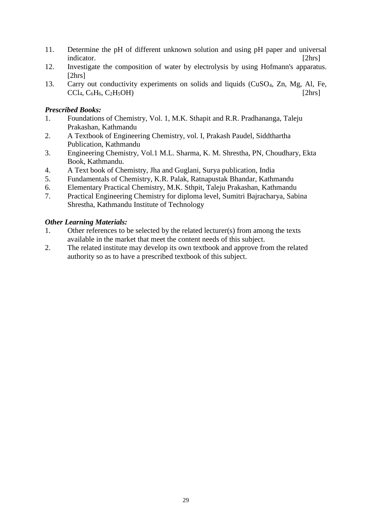- 11. Determine the pH of different unknown solution and using pH paper and universal indicator. [2hrs]
- 12. Investigate the composition of water by electrolysis by using Hofmann's apparatus. [2hrs]
- 13. Carry out conductivity experiments on solids and liquids (CuSO4, Zn, Mg, Al, Fe,  $\text{CCl}_4, \text{C}_6\text{H}_6, \text{C}_2\text{H}_5\text{OH}$  [2hrs]

### *Prescribed Books:*

- 1. Foundations of Chemistry, Vol. 1, M.K. Sthapit and R.R. Pradhananga, Taleju Prakashan, Kathmandu
- 2. A Textbook of Engineering Chemistry, vol. I, Prakash Paudel, Siddthartha Publication, Kathmandu
- 3. Engineering Chemistry, Vol.1 M.L. Sharma, K. M. Shrestha, PN, Choudhary, Ekta Book, Kathmandu.
- 4. A Text book of Chemistry, Jha and Guglani, Surya publication, India
- 5. Fundamentals of Chemistry, K.R. Palak, Ratnapustak Bhandar, Kathmandu
- 6. Elementary Practical Chemistry, M.K. Sthpit, Taleju Prakashan, Kathmandu
- 7. Practical Engineering Chemistry for diploma level, Sumitri Bajracharya, Sabina Shrestha, Kathmandu Institute of Technology

### *Other Learning Materials:*

- 1. Other references to be selected by the related lecturer(s) from among the texts available in the market that meet the content needs of this subject.
- 2. The related institute may develop its own textbook and approve from the related authority so as to have a prescribed textbook of this subject.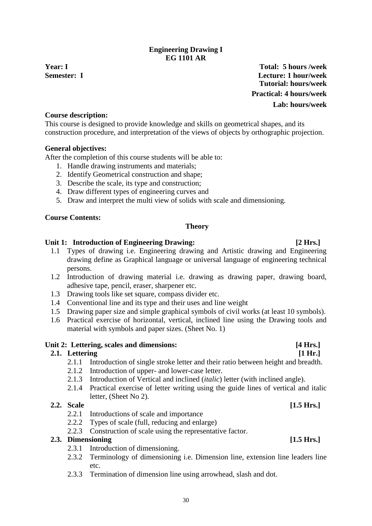# **Engineering Drawing I EG 1101 AR**

<span id="page-31-0"></span>

**Year: I Total: 5 hours /week Semester: I Lecture: 1 hour/week Tutorial: hours/week Practical: 4 hours/week Lab: hours/week**

## **Course description:**

This course is designed to provide knowledge and skills on geometrical shapes, and its construction procedure, and interpretation of the views of objects by orthographic projection.

### **General objectives:**

After the completion of this course students will be able to:

- 1. Handle drawing instruments and materials;
- 2. Identify Geometrical construction and shape;
- 3. Describe the scale, its type and construction;
- 4. Draw different types of engineering curves and
- 5. Draw and interpret the multi view of solids with scale and dimensioning.

### **Course Contents:**

### **Theory**

### Unit 1: Introduction of Engineering Drawing: [2 Hrs.]

- 1.1 Types of drawing i.e. Engineering drawing and Artistic drawing and Engineering drawing define as Graphical language or universal language of engineering technical persons.
- 1.2 Introduction of drawing material i.e. drawing as drawing paper, drawing board, adhesive tape, pencil, eraser, sharpener etc.
- 1.3 Drawing tools like set square, compass divider etc.
- 1.4 Conventional line and its type and their uses and line weight
- 1.5 Drawing paper size and simple graphical symbols of civil works (at least 10 symbols).
- 1.6 Practical exercise of horizontal, vertical, inclined line using the Drawing tools and material with symbols and paper sizes. (Sheet No. 1)

#### Unit 2: Lettering, scales and dimensions: *[4 Hrs.]*

# **2.1. Lettering [1 Hr.]**

- 2.1.1 Introduction of single stroke letter and their ratio between height and breadth.
- 2.1.2 Introduction of upper- and lower-case letter.
- 2.1.3 Introduction of Vertical and inclined (*italic*) letter (with inclined angle).
- 2.1.4 Practical exercise of letter writing using the guide lines of vertical and italic letter, (Sheet No 2).

### **2.2. Scale [1.5 Hrs.]**

- 2.2.1 Introductions of scale and importance
- 2.2.2 Types of scale (full, reducing and enlarge)
- 2.2.3 Construction of scale using the representative factor.

# **2.3. Dimensioning [1.5 Hrs.]**

- 2.3.1 Introduction of dimensioning.
- 2.3.2 Terminology of dimensioning i.e. Dimension line, extension line leaders line etc.
- 2.3.3 Termination of dimension line using arrowhead, slash and dot.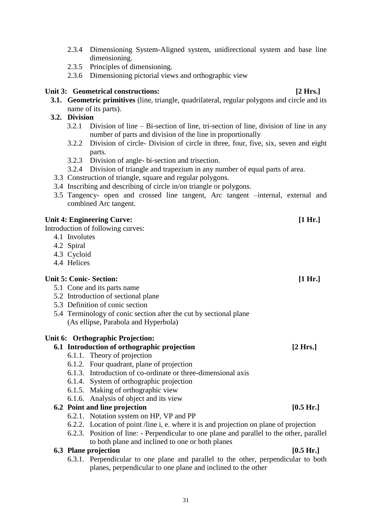- 2.3.4 Dimensioning System-Aligned system, unidirectional system and base line dimensioning.
- 2.3.5 Principles of dimensioning.
- 2.3.6 Dimensioning pictorial views and orthographic view

# Unit 3: Geometrical constructions: *Lease Secure 2 Hrs. P* Hrs.

**3.1. Geometric primitives** (line, triangle, quadrilateral, regular polygons and circle and its name of its parts).

# **3.2. Division**

- 3.2.1 Division of line Bi-section of line, tri-section of line, division of line in any number of parts and division of the line in proportionally
- 3.2.2 Division of circle- Division of circle in three, four, five, six, seven and eight parts.
- 3.2.3 Division of angle- bi-section and trisection.
- 3.2.4 Division of triangle and trapezium in any number of equal parts of area.
- 3.3 Construction of triangle, square and regular polygons.
- 3.4 Inscribing and describing of circle in/on triangle or polygons.
- 3.5 Tangency- open and crossed line tangent, Arc tangent –internal, external and combined Arc tangent.

## Unit 4: Engineering Curve: *[1 Hr.]*

Introduction of following curves:

- 4.1 Involutes
- 4.2 Spiral
- 4.3 Cycloid
- 4.4 Helices

# **Unit 5: Conic- Section: [1 Hr.]**

- 5.1 Cone and its parts name
- 5.2 Introduction of sectional plane
- 5.3 Definition of conic section
- 5.4 Terminology of conic section after the cut by sectional plane (As ellipse, Parabola and Hyperbola)

# **Unit 6: Orthographic Projection:**

# **6.1 Introduction of orthographic projection [2 Hrs.]**

- 6.1.1. Theory of projection
- 6.1.2. Four quadrant, plane of projection
- 6.1.3. Introduction of co-ordinate or three-dimensional axis
- 6.1.4. System of orthographic projection
- 6.1.5. Making of orthographic view
- 6.1.6. Analysis of object and its view

### **6.2 Point and line projection [0.5 Hr.]**

- 6.2.1. Notation system on HP, VP and PP
- 6.2.2. Location of point /line i, e. where it is and projection on plane of projection
- 6.2.3. Position of line: Perpendicular to one plane and parallel to the other, parallel to both plane and inclined to one or both planes

#### **6.3 Plane projection [0.5 Hr.]**

6.3.1. Perpendicular to one plane and parallel to the other, perpendicular to both planes, perpendicular to one plane and inclined to the other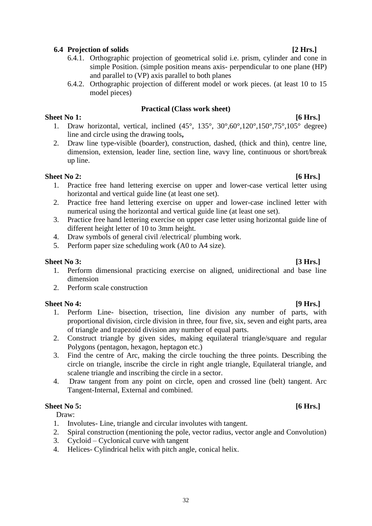### **6.4 Projection of solids [2 Hrs.]**

- 6.4.1. Orthographic projection of geometrical solid i.e. prism, cylinder and cone in simple Position. (simple position means axis- perpendicular to one plane (HP) and parallel to (VP) axis parallel to both planes
- 6.4.2. Orthographic projection of different model or work pieces. (at least 10 to 15 model pieces)

#### **Practical (Class work sheet)**

#### **Sheet No 1: [6 Hrs.]**

- 1. Draw horizontal, vertical, inclined  $(45^\circ, 135^\circ, 30^\circ, 60^\circ, 120^\circ, 150^\circ, 75^\circ, 105^\circ)$  degree) line and circle using the drawing tools**,**
- 2. Draw line type-visible (boarder), construction, dashed, (thick and thin), centre line, dimension, extension, leader line, section line, wavy line, continuous or short/break up line.

#### **Sheet No 2: [6 Hrs.]**

- 1. Practice free hand lettering exercise on upper and lower-case vertical letter using horizontal and vertical guide line (at least one set).
- 2. Practice free hand lettering exercise on upper and lower-case inclined letter with numerical using the horizontal and vertical guide line (at least one set).
- 3. Practice free hand lettering exercise on upper case letter using horizontal guide line of different height letter of 10 to 3mm height.
- 4. Draw symbols of general civil /electrical/ plumbing work.
- 5. Perform paper size scheduling work (A0 to A4 size).

#### **Sheet No 3: [3 Hrs.]**

- 1. Perform dimensional practicing exercise on aligned, unidirectional and base line dimension
- 2. Perform scale construction

#### **Sheet No 4: [9 Hrs.]**

- 1. Perform Line- bisection, trisection, line division any number of parts, with proportional division, circle division in three, four five, six, seven and eight parts, area of triangle and trapezoid division any number of equal parts.
- 2. Construct triangle by given sides, making equilateral triangle/square and regular Polygons (pentagon, hexagon, heptagon etc.)
- 3. Find the centre of Arc, making the circle touching the three points. Describing the circle on triangle, inscribe the circle in right angle triangle, Equilateral triangle, and scalene triangle and inscribing the circle in a sector.
- 4. Draw tangent from any point on circle, open and crossed line (belt) tangent. Arc Tangent-Internal, External and combined.

#### **Sheet No 5: [6 Hrs.]**

Draw:

- 1. Involutes- Line, triangle and circular involutes with tangent.
- 2. Spiral construction (mentioning the pole, vector radius, vector angle and Convolution)
- 3. Cycloid Cyclonical curve with tangent
- 4. Helices- Cylindrical helix with pitch angle, conical helix.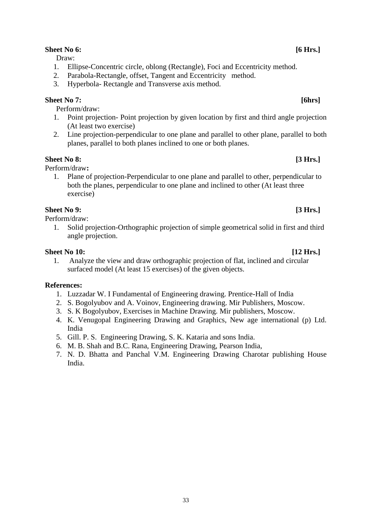### **Sheet No 6: [6 Hrs.]**

Draw:

- 1. Ellipse-Concentric circle, oblong (Rectangle), Foci and Eccentricity method.
- 2. Parabola-Rectangle, offset, Tangent and Eccentricity method.
- 3. Hyperbola- Rectangle and Transverse axis method.

# **Sheet No 7: [6hrs]**

Perform/draw:

- 1. Point projection- Point projection by given location by first and third angle projection (At least two exercise)
- 2. Line projection-perpendicular to one plane and parallel to other plane, parallel to both planes, parallel to both planes inclined to one or both planes.

# **Sheet No 8: [3 Hrs.]**

Perform/draw**:** 

1. Plane of projection-Perpendicular to one plane and parallel to other, perpendicular to both the planes, perpendicular to one plane and inclined to other (At least three exercise)

# **Sheet No 9: [3 Hrs.]**

Perform/draw:

1. Solid projection-Orthographic projection of simple geometrical solid in first and third angle projection.

### **Sheet No 10: [12 Hrs.]**

1. Analyze the view and draw orthographic projection of flat, inclined and circular surfaced model (At least 15 exercises) of the given objects.

# **References:**

- 1. Luzzadar W. I Fundamental of Engineering drawing. Prentice-Hall of India
- 2. S. Bogolyubov and A. Voinov, Engineering drawing. Mir Publishers, Moscow.
- 3. S. K Bogolyubov, Exercises in Machine Drawing. Mir publishers, Moscow.
- 4. K. Venugopal Engineering Drawing and Graphics, New age international (p) Ltd. India
- 5. Gill. P. S. Engineering Drawing, S. K. Kataria and sons India.
- 6. M. B. Shah and B.C. Rana, Engineering Drawing, Pearson India,
- 7. N. D. Bhatta and Panchal V.M. Engineering Drawing Charotar publishing House India.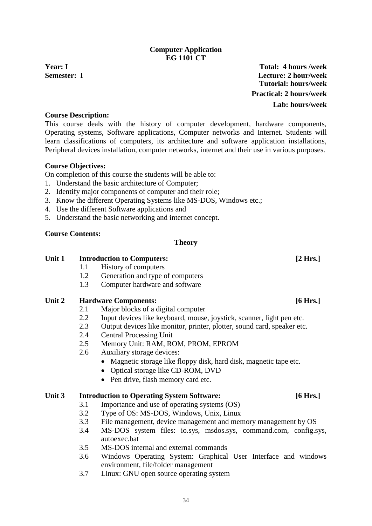# 34

### **Computer Application EG 1101 CT**

<span id="page-35-0"></span>

**Year: I Total: 4 hours /week Semester: I Lecture: 2 hour/week Tutorial: hours/week Practical: 2 hours/week Lab: hours/week**

### **Course Description:**

This course deals with the history of computer development, hardware components, Operating systems, Software applications, Computer networks and Internet. Students will learn classifications of computers, its architecture and software application installations, Peripheral devices installation, computer networks, internet and their use in various purposes.

### **Course Objectives:**

On completion of this course the students will be able to:

- 1. Understand the basic architecture of Computer;
- 2. Identify major components of computer and their role;
- 3. Know the different Operating Systems like MS-DOS, Windows etc.;
- 4. Use the different Software applications and
- 5. Understand the basic networking and internet concept.

# **Course Contents:**

#### **Theory**

### **Unit 1 Introduction to Computers: [2 Hrs.]**

- 1.1 History of computers
- 1.2 Generation and type of computers
- 1.3 Computer hardware and software

# **Unit 2 Hardware Components: [6 Hrs.]**

- 2.1 Major blocks of a digital computer
- 2.2 Input devices like keyboard, mouse, joystick, scanner, light pen etc.
- 2.3 Output devices like monitor, printer, plotter, sound card, speaker etc.
- 2.4 Central Processing Unit
- 2.5 Memory Unit: RAM, ROM, PROM, EPROM
- 2.6 Auxiliary storage devices:
	- Magnetic storage like floppy disk, hard disk, magnetic tape etc.
	- Optical storage like CD-ROM, DVD
	- Pen drive, flash memory card etc.

#### **Unit 3 Introduction to Operating System Software: [6 Hrs.]**

- 3.1 Importance and use of operating systems (OS)
- 3.2 Type of OS: MS-DOS, Windows, Unix, Linux
- 3.3 File management, device management and memory management by OS
- 3.4 MS-DOS system files: io.sys, msdos.sys, command.com, config.sys, autoexec.bat
- 3.5 MS-DOS internal and external commands
- 3.6 Windows Operating System: Graphical User Interface and windows environment, file/folder management
- 3.7 Linux: GNU open source operating system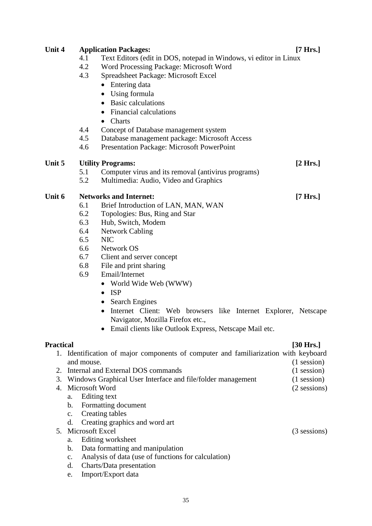# **Unit 4 Application Packages: [7 Hrs.]** 4.1 Text Editors (edit in DOS, notepad in Windows, vi editor in Linux 4.2 Word Processing Package: Microsoft Word 4.3 Spreadsheet Package: Microsoft Excel • Entering data • Using formula • Basic calculations • Financial calculations • Charts 4.4 Concept of Database management system 4.5 Database management package: Microsoft Access 4.6 Presentation Package: Microsoft PowerPoint **Unit 5 Utility Programs: [2 Hrs.]** 5.1 Computer virus and its removal (antivirus programs) 5.2 Multimedia: Audio, Video and Graphics **Unit 6 Networks and Internet: [7 Hrs.]** 6.1 Brief Introduction of LAN, MAN, WAN 6.2 Topologies: Bus, Ring and Star 6.3 Hub, Switch, Modem 6.4 Network Cabling 6.5 NIC 6.6 Network OS 6.7 Client and server concept 6.8 File and print sharing 6.9 Email/Internet • World Wide Web (WWW) • ISP • Search Engines • Internet Client: Web browsers like Internet Explorer, Netscape Navigator, Mozilla Firefox etc., • Email clients like Outlook Express, Netscape Mail etc. **Practical [30 Hrs.]** 1. Identification of major components of computer and familiarization with keyboard and mouse. (1 session) 2. Internal and External DOS commands (1 session) 3. Windows Graphical User Interface and file/folder management (1 session) 4. Microsoft Word (2 sessions) a. Editing text b. Formatting document c. Creating tables d. Creating graphics and word art 5. Microsoft Excel (3 sessions) a. Editing worksheet b. Data formatting and manipulation c. Analysis of data (use of functions for calculation)

- d. Charts/Data presentation
- e. Import/Export data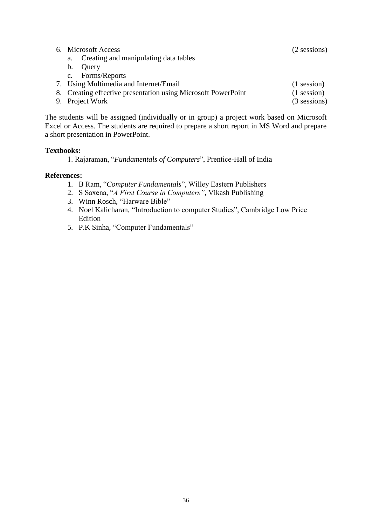| 6. Microsoft Access                                           | $(2$ sessions) |
|---------------------------------------------------------------|----------------|
| Creating and manipulating data tables<br>a.                   |                |
| Query<br>b.                                                   |                |
| Forms/Reports<br>$\mathbf{C}$ .                               |                |
| 7. Using Multimedia and Internet/Email                        | $(1$ session)  |
| 8. Creating effective presentation using Microsoft PowerPoint | $(1$ session)  |
| 9. Project Work                                               | $(3$ sessions) |
|                                                               |                |

The students will be assigned (individually or in group) a project work based on Microsoft Excel or Access. The students are required to prepare a short report in MS Word and prepare a short presentation in PowerPoint.

### **Textbooks:**

1. Rajaraman, "*Fundamentals of Computers*", Prentice-Hall of India

#### **References:**

- 1. B Ram, "*Computer Fundamentals*", Willey Eastern Publishers
- 2. S Saxena, "*A First Course in Computers"*, Vikash Publishing
- 3. Winn Rosch, "Harware Bible"
- 4. Noel Kalicharan, "Introduction to computer Studies", Cambridge Low Price Edition
- 5. P.K Sinha, "Computer Fundamentals"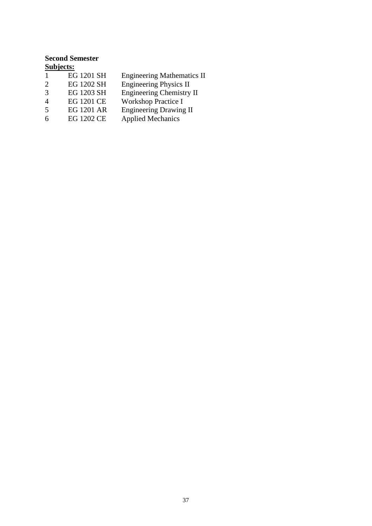# <span id="page-38-0"></span>**Second Semester Subjects:**

|               | EG 1201 SH        | <b>Engineering Mathematics II</b> |
|---------------|-------------------|-----------------------------------|
| $\mathcal{D}$ | EG 1202 SH        | <b>Engineering Physics II</b>     |
| 3             | EG 1203 SH        | Engineering Chemistry II          |
| 4             | <b>EG 1201 CE</b> | <b>Workshop Practice I</b>        |
| .5            | <b>EG 1201 AR</b> | <b>Engineering Drawing II</b>     |
| 6             | <b>EG 1202 CE</b> | <b>Applied Mechanics</b>          |
|               |                   |                                   |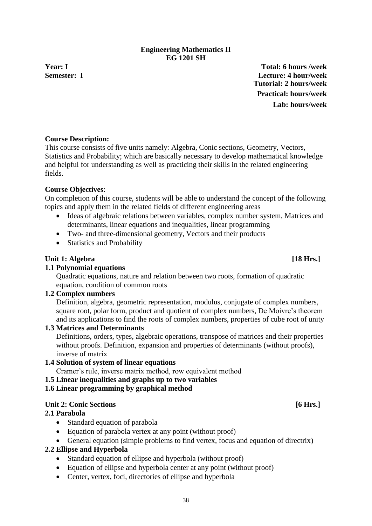# 38

# **Engineering Mathematics II EG 1201 SH**

<span id="page-39-0"></span>**Year: I Total: 6 hours /week Semester: I Lecture: 4 hour/week Tutorial: 2 hours/week Practical: hours/week Lab: hours/week**

# **Course Description:**

This course consists of five units namely: Algebra, Conic sections, Geometry, Vectors, Statistics and Probability; which are basically necessary to develop mathematical knowledge and helpful for understanding as well as practicing their skills in the related engineering fields.

# **Course Objectives**:

On completion of this course, students will be able to understand the concept of the following topics and apply them in the related fields of different engineering areas

- Ideas of algebraic relations between variables, complex number system, Matrices and determinants, linear equations and inequalities, linear programming
- Two- and three-dimensional geometry, Vectors and their products
- Statistics and Probability

# **Unit 1: Algebra [18 Hrs.]**

# **1.1 Polynomial equations**

Quadratic equations, nature and relation between two roots, formation of quadratic equation, condition of common roots

# **1.2 Complex numbers**

Definition, algebra, geometric representation, modulus, conjugate of complex numbers, square root, polar form, product and quotient of complex numbers, De Moivre's theorem and its applications to find the roots of complex numbers, properties of cube root of unity

# **1.3 Matrices and Determinants**

Definitions, orders, types, algebraic operations, transpose of matrices and their properties without proofs. Definition, expansion and properties of determinants (without proofs), inverse of matrix

# **1.4 Solution of system of linear equations**

Cramer's rule, inverse matrix method, row equivalent method

# **1.5 Linear inequalities and graphs up to two variables**

# **1.6 Linear programming by graphical method**

# **Unit 2: Conic Sections [6 Hrs.]**

# **2.1 Parabola**

- Standard equation of parabola
- Equation of parabola vertex at any point (without proof)
- General equation (simple problems to find vertex, focus and equation of directrix)

# **2.2 Ellipse and Hyperbola**

- Standard equation of ellipse and hyperbola (without proof)
- Equation of ellipse and hyperbola center at any point (without proof)
- Center, vertex, foci, directories of ellipse and hyperbola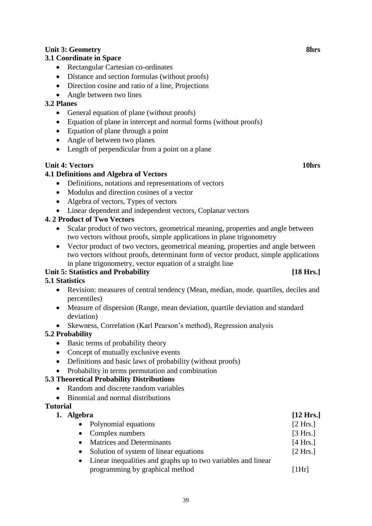# **Unit 3: Geometry 8hrs**

# **3.1 Coordinate in Space**

- Rectangular Cartesian co-ordinates
- Distance and section formulas (without proofs)
- Direction cosine and ratio of a line, Projections
- Angle between two lines

### **3.2 Planes**

- General equation of plane (without proofs)
- Equation of plane in intercept and normal forms (without proofs)
- Equation of plane through a point
- Angle of between two planes
- Length of perpendicular from a point on a plane

#### **Unit 4: Vectors 10hrs**

### **4.1 Definitions and Algebra of Vectors**

- Definitions, notations and representations of vectors
- Modulus and direction cosines of a vector
- Algebra of vectors, Types of vectors
- Linear dependent and independent vectors, Coplanar vectors

## **4. 2 Product of Two Vectors**

- Scalar product of two vectors, geometrical meaning, properties and angle between two vectors without proofs, simple applications in plane trigonometry
- Vector product of two vectors, geometrical meaning, properties and angle between two vectors without proofs, determinant form of vector product, simple applications in plane trigonometry, vector equation of a straight line

# Unit 5: Statistics and Probability **[18 Hrs.]**

# **5.1 Statistics**

- Revision: measures of central tendency (Mean, median, mode. quartiles, deciles and percentiles)
- Measure of dispersion (Range, mean deviation, quartile deviation and standard deviation)
- Skewness, Correlation (Karl Pearson's method), Regression analysis

# **5.2 Probability**

- Basic terms of probability theory
- Concept of mutually exclusive events
- Definitions and basic laws of probability (without proofs)
- Probability in terms permutation and combination

#### **5.3 Theoretical Probability Distributions**

- Random and discrete random variables
- Binomial and normal distributions

#### **Tutorial**

**1. Algebra [12 Hrs.]**

| • Polynomial equations                                          | [2 Hrs.] |
|-----------------------------------------------------------------|----------|
| • Complex numbers                                               | [3 Hrs.] |
| • Matrices and Determinants                                     | [4 Hrs.] |
| • Solution of system of linear equations                        | [2 Hrs.] |
| • Linear inequalities and graphs up to two variables and linear |          |

programming by graphical method [1Hr]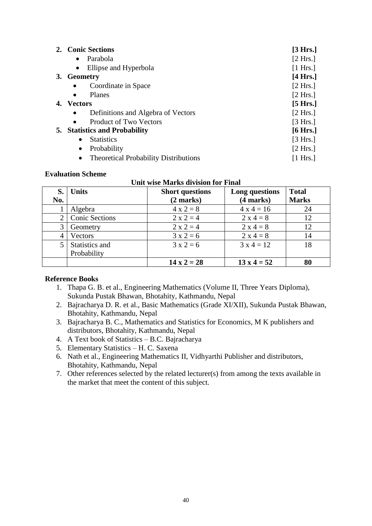| 2. Conic Sections                                         | [3 Hrs.]           |
|-----------------------------------------------------------|--------------------|
| Parabola                                                  | [2 Hrs.]           |
| Ellipse and Hyperbola                                     | [1 Hrs.]           |
| 3. Geometry                                               | $[4 \text{ Hrs.}]$ |
| Coordinate in Space                                       | [2 Hrs.]           |
| Planes<br>$\bullet$                                       | [2 Hrs.]           |
| 4. Vectors                                                | $[5$ Hrs.]         |
| Definitions and Algebra of Vectors<br>$\bullet$           | [2 Hrs.]           |
| <b>Product of Two Vectors</b><br>$\bullet$                | [3 Hrs.]           |
| <b>5.</b> Statistics and Probability                      | $[6 \text{ Hrs.}]$ |
| <b>Statistics</b><br>$\bullet$                            | [3 Hrs.]           |
| Probability<br>$\bullet$                                  | [2 Hrs.]           |
| <b>Theoretical Probability Distributions</b><br>$\bullet$ | [1 Hrs.]           |

#### **Evaluation Scheme**

| UTHU WISC MIATRS CHVISION TOT FINAL |                       |                        |                    |              |  |
|-------------------------------------|-----------------------|------------------------|--------------------|--------------|--|
| S.                                  | <b>Units</b>          | <b>Short questions</b> | Long questions     | <b>Total</b> |  |
| No.                                 |                       | $(2 \text{ marks})$    | (4 marks)          | <b>Marks</b> |  |
|                                     | Algebra               | $4 x 2 = 8$            | $4x4 = 16$         | 24           |  |
| 2                                   | <b>Conic Sections</b> | $2 x 2 = 4$            | $2 x 4 = 8$        | 12           |  |
| 3                                   | Geometry              | $2 x 2 = 4$            | $2 x 4 = 8$        | 12           |  |
| $\overline{4}$                      | Vectors               | $3x2=6$                | $2 x 4 = 8$        | 14           |  |
| $5^{\circ}$                         | Statistics and        | $3x2=6$                | $3x4 = 12$         | 18           |  |
|                                     | Probability           |                        |                    |              |  |
|                                     |                       | $14 \times 2 = 28$     | $13 \times 4 = 52$ | 80           |  |

# **Unit wise Marks division for Final**

#### **Reference Books**

- 1. Thapa G. B. et al., Engineering Mathematics (Volume II, Three Years Diploma), Sukunda Pustak Bhawan, Bhotahity, Kathmandu, Nepal
- 2. Bajracharya D. R. et al., Basic Mathematics (Grade XI/XII), Sukunda Pustak Bhawan, Bhotahity, Kathmandu, Nepal
- 3. Bajracharya B. C., Mathematics and Statistics for Economics, M K publishers and distributors, Bhotahity, Kathmandu, Nepal
- 4. A Text book of Statistics B.C. Bajracharya
- 5. Elementary Statistics H. C. Saxena
- 6. Nath et al., Engineering Mathematics II, Vidhyarthi Publisher and distributors, Bhotahity, Kathmandu, Nepal
- 7. Other references selected by the related lecturer(s) from among the texts available in the market that meet the content of this subject.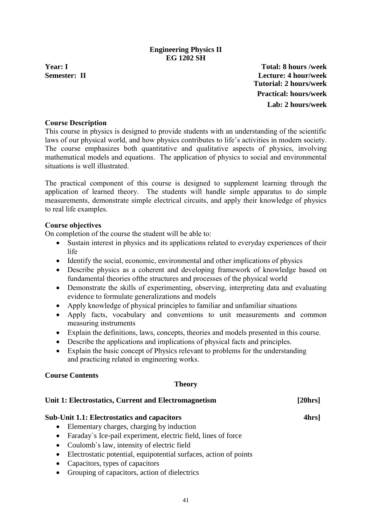### **Engineering Physics II EG 1202 SH**

<span id="page-42-0"></span>**Year: I Total: 8 hours /week Semester: II Lecture: 4 hour/week Tutorial: 2 hours/week Practical: hours/week Lab: 2 hours/week**

### **Course Description**

This course in physics is designed to provide students with an understanding of the scientific laws of our physical world, and how physics contributes to life's activities in modern society. The course emphasizes both quantitative and qualitative aspects of physics, involving mathematical models and equations. The application of physics to social and environmental situations is well illustrated.

The practical component of this course is designed to supplement learning through the application of learned theory. The students will handle simple apparatus to do simple measurements, demonstrate simple electrical circuits, and apply their knowledge of physics to real life examples.

### **Course objectives**

On completion of the course the student will be able to:

- Sustain interest in physics and its applications related to everyday experiences of their life
- Identify the social, economic, environmental and other implications of physics
- Describe physics as a coherent and developing framework of knowledge based on fundamental theories ofthe structures and processes of the physical world
- Demonstrate the skills of experimenting, observing, interpreting data and evaluating evidence to formulate generalizations and models
- Apply knowledge of physical principles to familiar and unfamiliar situations
- Apply facts, vocabulary and conventions to unit measurements and common measuring instruments
- Explain the definitions, laws, concepts, theories and models presented in this course.
- Describe the applications and implications of physical facts and principles.
- Explain the basic concept of Physics relevant to problems for the understanding and practicing related in engineering works.

#### **Course Contents**

#### **Theory**

### **Unit 1: Electrostatics, Current and Electromagnetism [20hrs]**

#### **Sub-Unit 1.1: Electrostatics and capacitors 4hrs]**

- Elementary charges, charging by induction
- Faraday's Ice-pail experiment, electric field, lines of force
- Coulomb`s law, intensity of electric field
- Electrostatic potential, equipotential surfaces, action of points
- Capacitors, types of capacitors
- Grouping of capacitors, action of dielectrics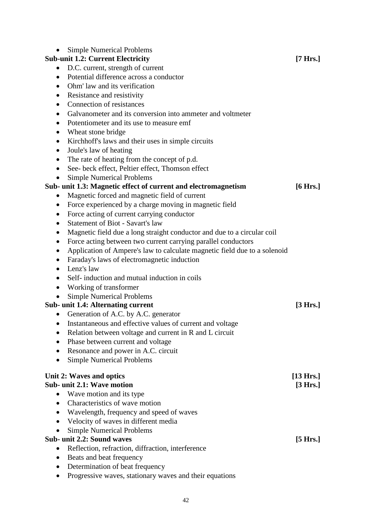| <b>Simple Numerical Problems</b>                                                          |                     |
|-------------------------------------------------------------------------------------------|---------------------|
| <b>Sub-unit 1.2: Current Electricity</b>                                                  | $[7 \text{ Hrs.}]$  |
| D.C. current, strength of current<br>$\bullet$<br>Potential difference across a conductor |                     |
| $\bullet$<br>Ohm' law and its verification                                                |                     |
| $\bullet$                                                                                 |                     |
| Resistance and resistivity<br>$\bullet$                                                   |                     |
| Connection of resistances<br>$\bullet$                                                    |                     |
| Galvanometer and its conversion into ammeter and voltmeter<br>$\bullet$                   |                     |
| Potentiometer and its use to measure emf<br>$\bullet$                                     |                     |
| Wheat stone bridge<br>$\bullet$                                                           |                     |
| Kirchhoff's laws and their uses in simple circuits<br>$\bullet$                           |                     |
| Joule's law of heating<br>$\bullet$                                                       |                     |
| The rate of heating from the concept of p.d.<br>$\bullet$                                 |                     |
| See- beck effect, Peltier effect, Thomson effect<br>$\bullet$                             |                     |
| <b>Simple Numerical Problems</b>                                                          |                     |
| Sub- unit 1.3: Magnetic effect of current and electromagnetism                            | $[6 \text{ Hrs.}]$  |
| Magnetic forced and magnetic field of current<br>$\bullet$                                |                     |
| Force experienced by a charge moving in magnetic field<br>$\bullet$                       |                     |
| Force acting of current carrying conductor<br>$\bullet$                                   |                     |
| <b>Statement of Biot - Savart's law</b><br>$\bullet$                                      |                     |
| Magnetic field due a long straight conductor and due to a circular coil<br>$\bullet$      |                     |
| Force acting between two current carrying parallel conductors<br>$\bullet$                |                     |
| Application of Ampere's law to calculate magnetic field due to a solenoid<br>$\bullet$    |                     |
| Faraday's laws of electromagnetic induction<br>$\bullet$                                  |                     |
| Lenz's law<br>$\bullet$                                                                   |                     |
| Self-induction and mutual induction in coils<br>$\bullet$                                 |                     |
| Working of transformer<br>$\bullet$                                                       |                     |
| <b>Simple Numerical Problems</b>                                                          |                     |
| <b>Sub- unit 1.4: Alternating current</b>                                                 | [3 Hrs.]            |
| Generation of A.C. by A.C. generator                                                      |                     |
| • Instantaneous and effective values of current and voltage                               |                     |
| Relation between voltage and current in R and L circuit                                   |                     |
| Phase between current and voltage                                                         |                     |
| Resonance and power in A.C. circuit                                                       |                     |
| <b>Simple Numerical Problems</b>                                                          |                     |
| Unit 2: Waves and optics                                                                  | $[13 \text{ Hrs.}]$ |
| Sub- unit 2.1: Wave motion                                                                | [3 Hrs.]            |
| Wave motion and its type<br>$\bullet$                                                     |                     |
| Characteristics of wave motion                                                            |                     |
| Wavelength, frequency and speed of waves                                                  |                     |
| Velocity of waves in different media                                                      |                     |
| <b>Simple Numerical Problems</b>                                                          |                     |
| Sub- unit 2.2: Sound waves                                                                | $[5 \text{ Hrs.}]$  |
| Reflection, refraction, diffraction, interference                                         |                     |
| Beats and beat frequency                                                                  |                     |
| Determination of beat frequency<br>٠                                                      |                     |
|                                                                                           |                     |

• Progressive waves, stationary waves and their equations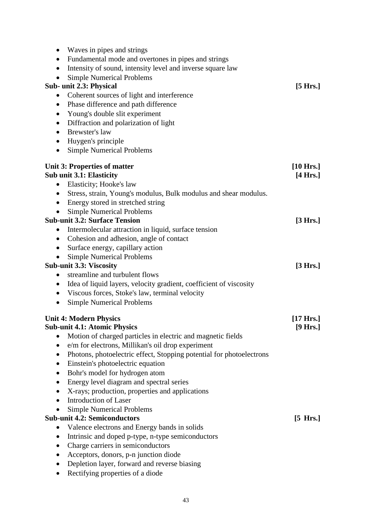| Waves in pipes and strings<br>Fundamental mode and overtones in pipes and strings<br>$\bullet$<br>Intensity of sound, intensity level and inverse square law<br>$\bullet$<br><b>Simple Numerical Problems</b><br>$\bullet$<br>Sub- unit 2.3: Physical<br>Coherent sources of light and interference<br>$\bullet$<br>Phase difference and path difference<br>$\bullet$<br>Young's double slit experiment<br>$\bullet$<br>Diffraction and polarization of light<br>$\bullet$<br>Brewster's law<br>$\bullet$<br>Huygen's principle<br>$\bullet$<br><b>Simple Numerical Problems</b><br>$\bullet$ | $[5 \text{ Hrs.}]$  |
|-----------------------------------------------------------------------------------------------------------------------------------------------------------------------------------------------------------------------------------------------------------------------------------------------------------------------------------------------------------------------------------------------------------------------------------------------------------------------------------------------------------------------------------------------------------------------------------------------|---------------------|
| <b>Unit 3: Properties of matter</b>                                                                                                                                                                                                                                                                                                                                                                                                                                                                                                                                                           | $[10 \text{ Hrs.}]$ |
| <b>Sub unit 3.1: Elasticity</b>                                                                                                                                                                                                                                                                                                                                                                                                                                                                                                                                                               | $[4 \text{ Hrs.}]$  |
| Elasticity; Hooke's law<br>$\bullet$                                                                                                                                                                                                                                                                                                                                                                                                                                                                                                                                                          |                     |
| Stress, strain, Young's modulus, Bulk modulus and shear modulus.<br>$\bullet$                                                                                                                                                                                                                                                                                                                                                                                                                                                                                                                 |                     |
| Energy stored in stretched string<br>$\bullet$                                                                                                                                                                                                                                                                                                                                                                                                                                                                                                                                                |                     |
| <b>Simple Numerical Problems</b><br><b>Sub-unit 3.2: Surface Tension</b>                                                                                                                                                                                                                                                                                                                                                                                                                                                                                                                      | [3 Hrs.]            |
| Intermolecular attraction in liquid, surface tension<br>$\bullet$                                                                                                                                                                                                                                                                                                                                                                                                                                                                                                                             |                     |
| Cohesion and adhesion, angle of contact<br>$\bullet$                                                                                                                                                                                                                                                                                                                                                                                                                                                                                                                                          |                     |
| Surface energy, capillary action<br>$\bullet$                                                                                                                                                                                                                                                                                                                                                                                                                                                                                                                                                 |                     |
| <b>Simple Numerical Problems</b><br>$\bullet$                                                                                                                                                                                                                                                                                                                                                                                                                                                                                                                                                 |                     |
| <b>Sub-unit 3.3: Viscosity</b>                                                                                                                                                                                                                                                                                                                                                                                                                                                                                                                                                                | [3 Hrs.]            |
| streamline and turbulent flows<br>$\bullet$                                                                                                                                                                                                                                                                                                                                                                                                                                                                                                                                                   |                     |
| Idea of liquid layers, velocity gradient, coefficient of viscosity<br>$\bullet$                                                                                                                                                                                                                                                                                                                                                                                                                                                                                                               |                     |
| Viscous forces, Stoke's law, terminal velocity<br>$\bullet$                                                                                                                                                                                                                                                                                                                                                                                                                                                                                                                                   |                     |
| <b>Simple Numerical Problems</b><br>$\bullet$                                                                                                                                                                                                                                                                                                                                                                                                                                                                                                                                                 |                     |
| <b>Unit 4: Modern Physics</b>                                                                                                                                                                                                                                                                                                                                                                                                                                                                                                                                                                 | $[17 \text{ Hrs.}]$ |
| <b>Sub-unit 4.1: Atomic Physics</b>                                                                                                                                                                                                                                                                                                                                                                                                                                                                                                                                                           | $[9 \text{ Hrs.}]$  |
| Motion of charged particles in electric and magnetic fields                                                                                                                                                                                                                                                                                                                                                                                                                                                                                                                                   |                     |
| e/m for electrons, Millikan's oil drop experiment<br>$\bullet$                                                                                                                                                                                                                                                                                                                                                                                                                                                                                                                                |                     |
| Photons, photoelectric effect, Stopping potential for photoelectrons<br>$\bullet$                                                                                                                                                                                                                                                                                                                                                                                                                                                                                                             |                     |
| Einstein's photoelectric equation<br>$\bullet$                                                                                                                                                                                                                                                                                                                                                                                                                                                                                                                                                |                     |
| Bohr's model for hydrogen atom<br>$\bullet$                                                                                                                                                                                                                                                                                                                                                                                                                                                                                                                                                   |                     |
| Energy level diagram and spectral series<br>$\bullet$                                                                                                                                                                                                                                                                                                                                                                                                                                                                                                                                         |                     |
| X-rays; production, properties and applications                                                                                                                                                                                                                                                                                                                                                                                                                                                                                                                                               |                     |
| <b>Introduction of Laser</b>                                                                                                                                                                                                                                                                                                                                                                                                                                                                                                                                                                  |                     |
| <b>Simple Numerical Problems</b>                                                                                                                                                                                                                                                                                                                                                                                                                                                                                                                                                              |                     |
| <b>Sub-unit 4.2: Semiconductors</b>                                                                                                                                                                                                                                                                                                                                                                                                                                                                                                                                                           | $[5 \text{ Hrs.}]$  |
| Valence electrons and Energy bands in solids<br>$\bullet$                                                                                                                                                                                                                                                                                                                                                                                                                                                                                                                                     |                     |
| Intrinsic and doped p-type, n-type semiconductors                                                                                                                                                                                                                                                                                                                                                                                                                                                                                                                                             |                     |
| Charge carriers in semiconductors<br>Acceptors, donors, p-n junction diode                                                                                                                                                                                                                                                                                                                                                                                                                                                                                                                    |                     |
| Depletion layer, forward and reverse biasing                                                                                                                                                                                                                                                                                                                                                                                                                                                                                                                                                  |                     |
|                                                                                                                                                                                                                                                                                                                                                                                                                                                                                                                                                                                               |                     |

• Rectifying properties of a diode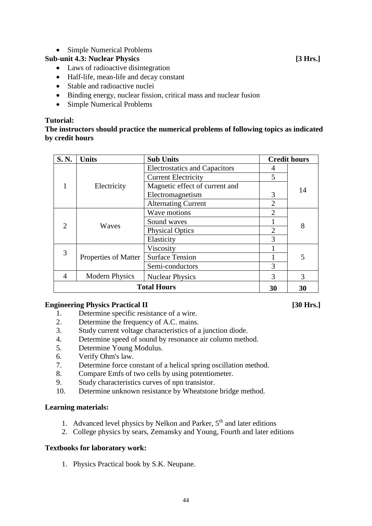• Simple Numerical Problems

# **Sub-unit 4.3: Nuclear Physics [3 Hrs.]**

- Laws of radioactive disintegration
- Half-life, mean-life and decay constant
- Stable and radioactive nuclei
- Binding energy, nuclear fission, critical mass and nuclear fusion
- Simple Numerical Problems

# **Tutorial:**

### **The instructors should practice the numerical problems of following topics as indicated by credit hours**

| S. N.                          | <b>Units</b>          | <b>Sub Units</b>                     |                | <b>Credit hours</b> |  |
|--------------------------------|-----------------------|--------------------------------------|----------------|---------------------|--|
|                                |                       | <b>Electrostatics and Capacitors</b> | 4              |                     |  |
|                                |                       | <b>Current Electricity</b>           | 5              |                     |  |
|                                | Electricity           | Magnetic effect of current and       |                | 14                  |  |
|                                |                       | Electromagnetism                     | 3              |                     |  |
|                                |                       | <b>Alternating Current</b>           | $\overline{2}$ |                     |  |
|                                | Waves                 | Wave motions                         | $\overline{2}$ | 8                   |  |
| $\mathcal{D}_{\mathcal{L}}$    |                       | Sound waves                          |                |                     |  |
|                                |                       | <b>Physical Optics</b>               | $\overline{2}$ |                     |  |
|                                |                       | Elasticity                           | 3              |                     |  |
| 3                              |                       | Viscosity                            |                |                     |  |
|                                | Properties of Matter  | <b>Surface Tension</b>               |                | 5                   |  |
|                                |                       | Semi-conductors                      | 3              |                     |  |
| 4                              | <b>Modern Physics</b> | <b>Nuclear Physics</b>               | 3              | 3                   |  |
| <b>Total Hours</b><br>30<br>30 |                       |                                      |                |                     |  |

# **Engineering Physics Practical II [30 Hrs.]**

- 1. Determine specific resistance of a wire.
- 2. Determine the frequency of A.C. mains.
- 3. Study current voltage characteristics of a junction diode.
- 4. Determine speed of sound by resonance air column method.
- 5. Determine Young Modulus.
- 6. Verify Ohm's law.
- 7. Determine force constant of a helical spring oscillation method.
- 8. Compare Emfs of two cells by using potentiometer.
- 9. Study characteristics curves of npn transistor.
- 10. Determine unknown resistance by Wheatstone bridge method.

# **Learning materials:**

- 1. Advanced level physics by Nelkon and Parker,  $5<sup>th</sup>$  and later editions
- 2. College physics by sears, Zemansky and Young, Fourth and later editions

# **Textbooks for laboratory work:**

1. Physics Practical book by S.K. Neupane.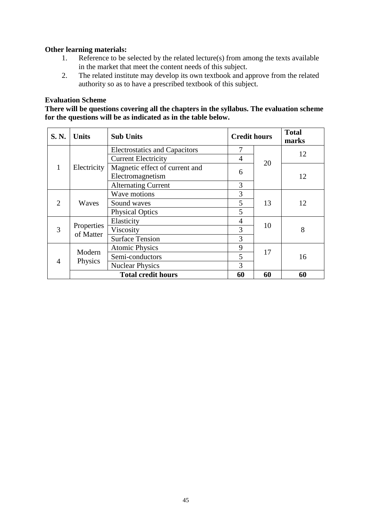### **Other learning materials:**

- 1. Reference to be selected by the related lecture(s) from among the texts available in the market that meet the content needs of this subject.
- 2. The related institute may develop its own textbook and approve from the related authority so as to have a prescribed textbook of this subject.

#### **Evaluation Scheme**

**There will be questions covering all the chapters in the syllabus. The evaluation scheme for the questions will be as indicated as in the table below.**

| <b>S. N.</b>   | <b>Units</b>            | <b>Sub Units</b>                     | <b>Credit hours</b> |    | <b>Total</b><br>marks |
|----------------|-------------------------|--------------------------------------|---------------------|----|-----------------------|
|                |                         | <b>Electrostatics and Capacitors</b> | 7                   |    | 12                    |
|                |                         | <b>Current Electricity</b>           | 4                   | 20 |                       |
| $\mathbf{1}$   | Electricity             | Magnetic effect of current and       | 6                   |    |                       |
|                |                         | Electromagnetism                     |                     |    | 12                    |
|                |                         | <b>Alternating Current</b>           | 3                   |    |                       |
|                | Waves                   | Wave motions                         | 3                   |    |                       |
| $\overline{2}$ |                         | Sound waves                          | 5                   | 13 | 12                    |
|                |                         | <b>Physical Optics</b>               | 5                   |    |                       |
|                | Properties<br>of Matter | Elasticity                           | $\overline{4}$      |    |                       |
| 3              |                         | Viscosity                            | 3                   | 10 | 8                     |
|                |                         | <b>Surface Tension</b>               | 3                   |    |                       |
| $\overline{4}$ | Modern<br>Physics       | <b>Atomic Physics</b>                | 9                   | 17 |                       |
|                |                         | Semi-conductors                      | 5                   |    | 16                    |
|                |                         | <b>Nuclear Physics</b>               | $\overline{3}$      |    |                       |
|                |                         | <b>Total credit hours</b>            | 60                  | 60 | 60                    |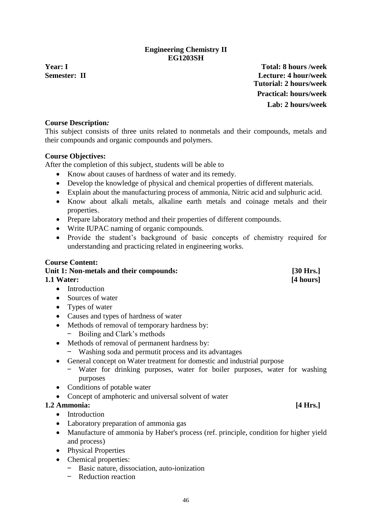46

## **Engineering Chemistry II EG1203SH**

<span id="page-47-0"></span>**Year: I Total: 8 hours /week Semester: II Lecture: 4 hour/week Tutorial: 2 hours/week Practical: hours/week Lab: 2 hours/week**

### **Course Description***:*

This subject consists of three units related to nonmetals and their compounds, metals and their compounds and organic compounds and polymers.

### **Course Objectives:**

After the completion of this subject, students will be able to

- Know about causes of hardness of water and its remedy.
- Develop the knowledge of physical and chemical properties of different materials.
- Explain about the manufacturing process of ammonia, Nitric acid and sulphuric acid.
- Know about alkali metals, alkaline earth metals and coinage metals and their properties.
- Prepare laboratory method and their properties of different compounds.
- Write IUPAC naming of organic compounds.
- Provide the student's background of basic concepts of chemistry required for understanding and practicing related in engineering works.

### **Course Content:**

# Unit 1: Non-metals and their compounds: [30 Hrs.] **1.1 Water: [4 hours]**

- Introduction
- Sources of water
- Types of water
- Causes and types of hardness of water
- Methods of removal of temporary hardness by:
	- Boiling and Clark's methods
- Methods of removal of permanent hardness by:
	- Washing soda and permutit process and its advantages
- General concept on Water treatment for domestic and industrial purpose
	- Water for drinking purposes, water for boiler purposes, water for washing purposes
- Conditions of potable water
- Concept of amphoteric and universal solvent of water

# **1.2 Ammonia: [4 Hrs.]**

- Introduction
- Laboratory preparation of ammonia gas
- Manufacture of ammonia by Haber's process (ref. principle, condition for higher yield and process)
- Physical Properties
- Chemical properties:
	- Basic nature, dissociation, auto-ionization
	- Reduction reaction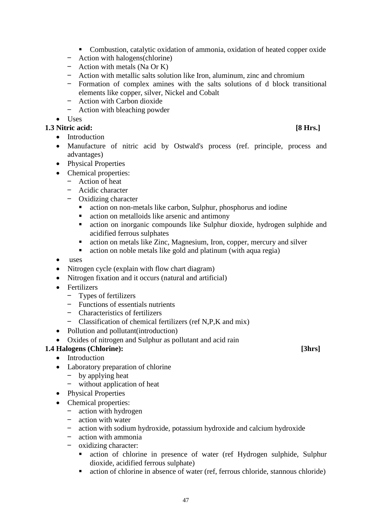- Combustion, catalytic oxidation of ammonia, oxidation of heated copper oxide
- Action with halogens(chlorine)
- Action with metals (Na Or K)
- Action with metallic salts solution like Iron, aluminum, zinc and chromium
- Formation of complex amines with the salts solutions of d block transitional elements like copper, silver, Nickel and Cobalt
- Action with Carbon dioxide
- Action with bleaching powder

# • Uses

# **1.3 Nitric acid: [8 Hrs.]**

- Introduction
- Manufacture of nitric acid by Ostwald's process (ref. principle, process and advantages)
- Physical Properties
- Chemical properties:
	- Action of heat
	- Acidic character
	- Oxidizing character
		- action on non-metals like carbon, Sulphur, phosphorus and iodine
		- action on metalloids like arsenic and antimony
		- action on inorganic compounds like Sulphur dioxide, hydrogen sulphide and acidified ferrous sulphates
		- action on metals like Zinc, Magnesium, Iron, copper, mercury and silver
		- action on noble metals like gold and platinum (with aqua regia)
- uses
- Nitrogen cycle (explain with flow chart diagram)
- Nitrogen fixation and it occurs (natural and artificial)
- Fertilizers
	- Types of fertilizers
	- Functions of essentials nutrients
	- Characteristics of fertilizers
	- Classification of chemical fertilizers (ref N,P,K and mix)
- Pollution and pollutant (introduction)
- Oxides of nitrogen and Sulphur as pollutant and acid rain

# **1.4 Halogens (Chlorine): [3hrs]**

- Introduction
- Laboratory preparation of chlorine
	- by applying heat
	- without application of heat
- Physical Properties
- Chemical properties:
	- action with hydrogen
	- action with water
	- action with sodium hydroxide, potassium hydroxide and calcium hydroxide
	- action with ammonia
	- oxidizing character:
		- action of chlorine in presence of water (ref Hydrogen sulphide, Sulphur dioxide, acidified ferrous sulphate)
		- action of chlorine in absence of water (ref, ferrous chloride, stannous chloride)

47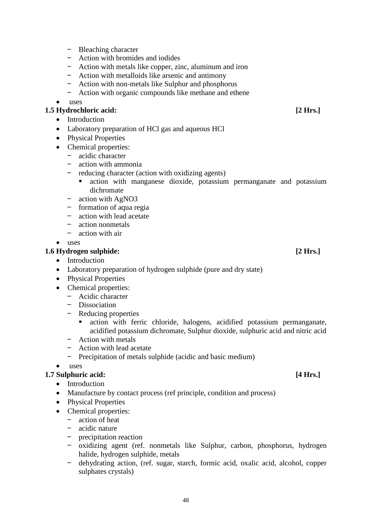- Bleaching character – Action with bromides and iodides
- Action with metals like copper, zinc, aluminum and iron
- Action with metalloids like arsenic and antimony
- Action with non-metals like Sulphur and phosphorus
- Action with organic compounds like methane and ethene

#### • uses

#### **1.5 Hydrochloric acid: [2 Hrs.]**

- Introduction
- Laboratory preparation of HCl gas and aqueous HCl
- Physical Properties
- Chemical properties:
	- acidic character
	- action with ammonia
	- reducing character (action with oxidizing agents)
		- action with manganese dioxide, potassium permanganate and potassium dichromate
	- action with AgNO3
	- formation of aqua regia
	- action with lead acetate
	- action nonmetals
	- action with air
- uses

#### **1.6 Hydrogen sulphide: [2 Hrs.]**

- Introduction
- Laboratory preparation of hydrogen sulphide (pure and dry state)
- Physical Properties
- Chemical properties:
	- Acidic character
	- Dissociation
	- Reducing properties
		- action with ferric chloride, halogens, acidified potassium permanganate, acidified potassium dichromate, Sulphur dioxide, sulphuric acid and nitric acid
	- Action with metals
	- Action with lead acetate
	- Precipitation of metals sulphide (acidic and basic medium)

• uses

#### **1.7 Sulphuric acid: [4 Hrs.]**

- Introduction
- Manufacture by contact process (ref principle, condition and process)
- Physical Properties
- Chemical properties:
	- action of heat
	- $\frac{-}{-}$  acidic nature<br> $\frac{-}{-}$  precipitation
	- precipitation reaction
	- oxidizing agent (ref. nonmetals like Sulphur, carbon, phosphorus, hydrogen halide, hydrogen sulphide, metals
	- dehydrating action, (ref. sugar, starch, formic acid, oxalic acid, alcohol, copper sulphates crystals)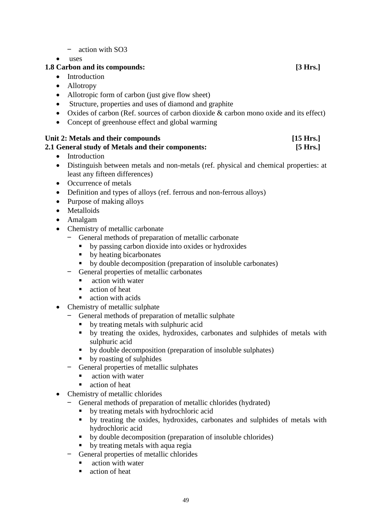- action with SO3
- uses

# **1.8 Carbon and its compounds: [3 Hrs.]**

- Introduction
- Allotropy
- Allotropic form of carbon (just give flow sheet)
- Structure, properties and uses of diamond and graphite
- Oxides of carbon (Ref. sources of carbon dioxide & carbon mono oxide and its effect)
- Concept of greenhouse effect and global warming

|  | Unit 2: Metals and their compounds | [15 Hrs.] |
|--|------------------------------------|-----------|
|  |                                    |           |

### **2.1 General study of Metals and their components: [5 Hrs.]**

- Introduction
- Distinguish between metals and non-metals (ref. physical and chemical properties: at least any fifteen differences)
- Occurrence of metals
- Definition and types of alloys (ref. ferrous and non-ferrous alloys)
- Purpose of making alloys
- Metalloids
- Amalgam
- Chemistry of metallic carbonate
	- General methods of preparation of metallic carbonate
		- by passing carbon dioxide into oxides or hydroxides
		- by heating bicarbonates
		- by double decomposition (preparation of insoluble carbonates)
	- General properties of metallic carbonates
		- action with water
		- action of heat
		- action with acids
- Chemistry of metallic sulphate
	- General methods of preparation of metallic sulphate
		- by treating metals with sulphuric acid
		- by treating the oxides, hydroxides, carbonates and sulphides of metals with sulphuric acid
		- by double decomposition (preparation of insoluble sulphates)
		- by roasting of sulphides
	- General properties of metallic sulphates
		- action with water
		- action of heat
- Chemistry of metallic chlorides
	- General methods of preparation of metallic chlorides (hydrated)
		- by treating metals with hydrochloric acid
		- by treating the oxides, hydroxides, carbonates and sulphides of metals with hydrochloric acid
		- by double decomposition (preparation of insoluble chlorides)
		- by treating metals with aqua regia
	- General properties of metallic chlorides
		- action with water
		- action of heat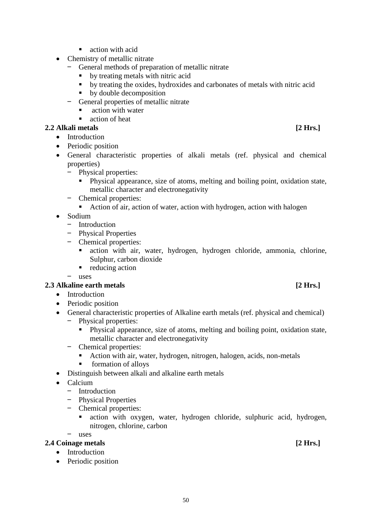50

- $\blacksquare$  action with acid
- Chemistry of metallic nitrate
	- General methods of preparation of metallic nitrate
		- by treating metals with nitric acid
		- by treating the oxides, hydroxides and carbonates of metals with nitric acid
		- by double decomposition
	- General properties of metallic nitrate
		- action with water
		- action of heat

## **2.2 Alkali metals [2 Hrs.]**

- Introduction
- Periodic position
- General characteristic properties of alkali metals (ref. physical and chemical properties)
	- Physical properties:
		- Physical appearance, size of atoms, melting and boiling point, oxidation state, metallic character and electronegativity
	- Chemical properties:
		- Action of air, action of water, action with hydrogen, action with halogen
- Sodium
	- Introduction
	- Physical Properties
	- Chemical properties:
		- action with air, water, hydrogen, hydrogen chloride, ammonia, chlorine, Sulphur, carbon dioxide
		- reducing action

– uses

# **2.3 Alkaline earth metals [2 Hrs.]**

- Introduction
- Periodic position
- General characteristic properties of Alkaline earth metals (ref. physical and chemical)
	- Physical properties:
		- Physical appearance, size of atoms, melting and boiling point, oxidation state, metallic character and electronegativity
	- Chemical properties:
		- Action with air, water, hydrogen, nitrogen, halogen, acids, non-metals
		- formation of alloys
- Distinguish between alkali and alkaline earth metals
- Calcium
	- Introduction
	- Physical Properties
	- Chemical properties:
		- action with oxygen, water, hydrogen chloride, sulphuric acid, hydrogen, nitrogen, chlorine, carbon

– uses

# **2.4 Coinage metals [2 Hrs.]**

- Introduction
- Periodic position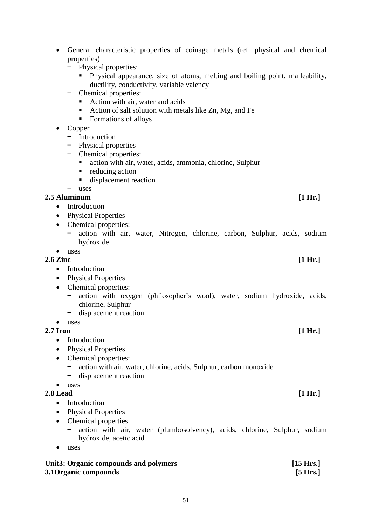- General characteristic properties of coinage metals (ref. physical and chemical properties)
	- Physical properties:
		- Physical appearance, size of atoms, melting and boiling point, malleability, ductility, conductivity, variable valency
	- Chemical properties:
		- Action with air, water and acids
		- $\blacksquare$  Action of salt solution with metals like Zn, Mg, and Fe
		- Formations of alloys
- Copper
	- Introduction
	- Physical properties
	- Chemical properties:
		- action with air, water, acids, ammonia, chlorine, Sulphur
		- reducing action
		- displacement reaction

– uses

### **2.5 Aluminum [1 Hr.]**

- Introduction
- Physical Properties
- Chemical properties:
	- action with air, water, Nitrogen, chlorine, carbon, Sulphur, acids, sodium hydroxide
- uses

#### **2.6 Zinc [1 Hr.]**

- Introduction
- Physical Properties
- Chemical properties:
	- action with oxygen (philosopher's wool), water, sodium hydroxide, acids, chlorine, Sulphur
	- displacement reaction
- uses

#### **2.7 Iron [1 Hr.]**

- Introduction
- Physical Properties
- Chemical properties:
	- action with air, water, chlorine, acids, Sulphur, carbon monoxide
	- displacement reaction

### • uses

### **2.8 Lead [1 Hr.]**

- Introduction
- Physical Properties
- Chemical properties:
	- action with air, water (plumbosolvency), acids, chlorine, Sulphur, sodium hydroxide, acetic acid
- uses

| Unit3: Organic compounds and polymers | $[15 \text{ Hrs.}]$ |
|---------------------------------------|---------------------|
| 3.1 Organic compounds                 | [5 Hrs.]            |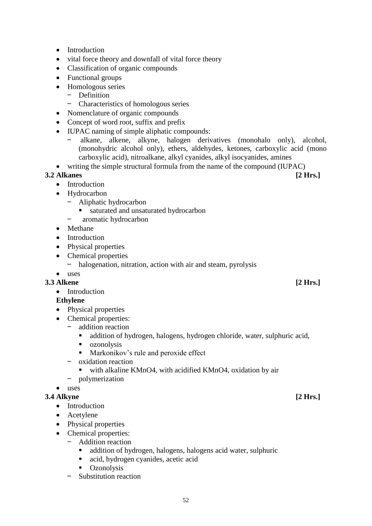- 
- 52
- Introduction
- vital force theory and downfall of vital force theory
- Classification of organic compounds
- Functional groups
- Homologous series
	- Definition
	- Characteristics of homologous series
- Nomenclature of organic compounds
- Concept of word root, suffix and prefix
- IUPAC naming of simple aliphatic compounds:
	- alkane, alkene, alkyne, halogen derivatives (monohalo only), alcohol, (monohydric alcohol only), ethers, aldehydes, ketones, carboxylic acid (mono carboxylic acid), nitroalkane, alkyl cyanides, alkyl isocyanides, amines
- writing the simple structural formula from the name of the compound (IUPAC)

# **3.2 Alkanes [2 Hrs.]**

- Introduction
- Hydrocarbon
	- Aliphatic hydrocarbon
		- saturated and unsaturated hydrocarbon
	- aromatic hydrocarbon
- Methane
- Introduction
- Physical properties
- Chemical properties
	- halogenation, nitration, action with air and steam, pyrolysis

# • uses

- **3.3 Alkene [2 Hrs.]**
	- Introduction

# **Ethylene**

- Physical properties
- Chemical properties:
	- addition reaction
	- addition of hydrogen, halogens, hydrogen chloride, water, sulphuric acid,
	- ozonolysis
	- Markonikov's rule and peroxide effect
	- oxidation reaction
		- with alkaline KMnO4, with acidified KMnO4, oxidation by air
	- polymerization
- uses

# **3.4 Alkyne [2 Hrs.]**

- Introduction
- Acetylene
- Physical properties
- Chemical properties:
	- Addition reaction
		- addition of hydrogen, halogens, halogens acid water, sulphuric
		- acid, hydrogen cyanides, acetic acid
		- Ozonolysis
	- Substitution reaction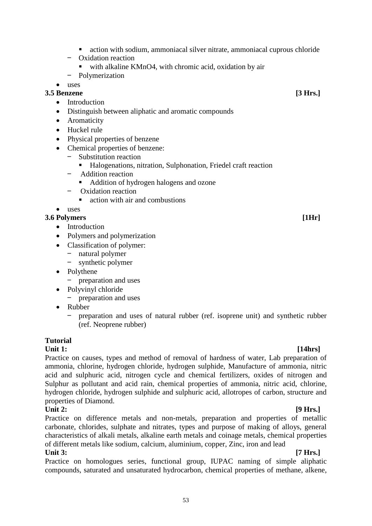- action with sodium, ammoniacal silver nitrate, ammoniacal cuprous chloride
- Oxidation reaction
	- with alkaline KMnO4, with chromic acid, oxidation by air
- Polymerization
- uses

# **3.5 Benzene [3 Hrs.]**

- Introduction
- Distinguish between aliphatic and aromatic compounds
- Aromaticity
- Huckel rule
- Physical properties of benzene
- Chemical properties of benzene:
	- Substitution reaction
		- Halogenations, nitration, Sulphonation, Friedel craft reaction
	- Addition reaction
		- Addition of hydrogen halogens and ozone
	- Oxidation reaction
		- action with air and combustions

• uses

- **3.6 Polymers [1Hr]**
	- Introduction
	- Polymers and polymerization
	- Classification of polymer:
		- natural polymer
		- synthetic polymer
	- Polythene
		- preparation and uses
	- Polyvinyl chloride
		- preparation and uses
	- Rubber
		- preparation and uses of natural rubber (ref. isoprene unit) and synthetic rubber (ref. Neoprene rubber)

# **Tutorial**

**Unit 1: [14hrs]** Practice on causes, types and method of removal of hardness of water, Lab preparation of ammonia, chlorine, hydrogen chloride, hydrogen sulphide, Manufacture of ammonia, nitric acid and sulphuric acid, nitrogen cycle and chemical fertilizers, oxides of nitrogen and Sulphur as pollutant and acid rain, chemical properties of ammonia, nitric acid, chlorine, hydrogen chloride, hydrogen sulphide and sulphuric acid, allotropes of carbon, structure and properties of Diamond.

**Unit 2: [9 Hrs.]** Practice on difference metals and non-metals, preparation and properties of metallic carbonate, chlorides, sulphate and nitrates, types and purpose of making of alloys, general characteristics of alkali metals, alkaline earth metals and coinage metals, chemical properties of different metals like sodium, calcium, aluminium, copper, Zinc, iron and lead **Unit 3: [7 Hrs.]**

Practice on homologues series, functional group, IUPAC naming of simple aliphatic compounds, saturated and unsaturated hydrocarbon, chemical properties of methane, alkene,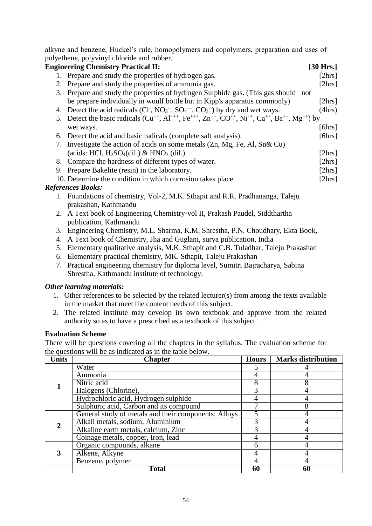alkyne and benzene, Huckel's rule, homopolymers and copolymers, preparation and uses of polyethene, polyvinyl chloride and rubber.

|    | <b>Engineering Chemistry Practical II:</b>                                                                                    | [30 Hrs.]  |
|----|-------------------------------------------------------------------------------------------------------------------------------|------------|
|    | 1. Prepare and study the properties of hydrogen gas.                                                                          | [2hrs]     |
|    | 2. Prepare and study the properties of ammonia gas.                                                                           | [2hrs]     |
|    | 3. Prepare and study the properties of hydrogen Sulphide gas. (This gas should not                                            |            |
|    | be prepare individually in woulf bottle but in Kipp's apparatus commonly)                                                     | [2hrs]     |
|    | 4. Detect the acid radicals $(Cl^{\cdot}, NO_3^{\cdot\cdot}, SO_4^{\cdot\cdot\cdot}, CO_3^{\cdot\cdot})$ by dry and wet ways. | (4hrs)     |
|    | 5. Detect the basic radicals $(Cu^{++}, A1^{+++}, Fe^{+++}, Zn^{++}, CO^{++}, Ni^{++}, Ca^{++}, Ba^{++}, Mg^{++})$ by         |            |
|    | wet ways.                                                                                                                     | [6hrs]     |
|    | 6. Detect the acid and basic radicals (complete salt analysis).                                                               | [6hrs]     |
|    | 7. Investigate the action of acids on some metals (Zn, Mg, Fe, Al, Sn& Cu)                                                    |            |
|    | (acids: HCl, $H_2SO_4(dil.)$ & HNO <sub>3</sub> (dil.)                                                                        | [ $2hrs$ ] |
|    | 8. Compare the hardness of different types of water.                                                                          | [2hrs]     |
|    | 9. Prepare Bakelite (resin) in the laboratory.                                                                                | [2hrs]     |
|    | 10. Determine the condition in which corrosion takes place.                                                                   | [ $2hrs$ ] |
|    | <b>References Books:</b>                                                                                                      |            |
|    | 1. Foundations of chemistry, Vol-2, M.K. Sthapit and R.R. Pradhananga, Taleju                                                 |            |
|    | prakashan, Kathmandu                                                                                                          |            |
|    | 2. A Text book of Engineering Chemistry-vol II, Prakash Paudel, Siddthartha                                                   |            |
|    | publication, Kathmandu                                                                                                        |            |
| 3. | Engineering Chemistry, M.L. Sharma, K.M. Shrestha, P.N. Choudhary, Ekta Book,                                                 |            |

- 4. A Text book of Chemistry, Jha and Guglani, surya publication, India
- 5. Elementary qualitative analysis, M.K. Sthapit and C.B. Tuladhar, Taleju Prakashan
- 6. Elementary practical chemistry, MK. Sthapit, Taleju Prakashan
- 7. Practical engineering chemistry for diploma level, Sumitri Bajracharya, Sabina Shrestha, Kathmandu institute of technology.

#### *Other learning materials:*

- 1. Other references to be selected by the related lecturer(s) from among the texts available in the market that meet the content needs of this subject.
- 2. The related institute may develop its own textbook and approve from the related authority so as to have a prescribed as a textbook of this subject.

#### **Evaluation Scheme**

There will be questions covering all the chapters in the syllabus. The evaluation scheme for the questions will be as indicated as in the table below.

| <b>Units</b> | <b>Chapter</b>                                       | <b>Hours</b> | <b>Marks distribution</b> |
|--------------|------------------------------------------------------|--------------|---------------------------|
|              | Water                                                |              |                           |
|              | Ammonia                                              |              |                           |
|              | Nitric acid                                          |              |                           |
|              | Halogens (Chlorine),                                 |              |                           |
|              | Hydrochloric acid, Hydrogen sulphide                 |              |                           |
|              | Sulphuric acid, Carbon and its compound              |              |                           |
|              | General study of metals and their components: Alloys |              |                           |
|              | Alkali metals, sodium, Aluminium                     |              |                           |
|              | Alkaline earth metals, calcium, Zinc                 |              |                           |
|              | Coinage metals, copper, Iron, lead                   |              |                           |
|              | Organic compounds, alkane                            |              |                           |
|              | Alkene, Alkyne                                       |              |                           |
|              | Benzene, polymer                                     |              |                           |
|              | <b>Total</b>                                         | 60           | 60                        |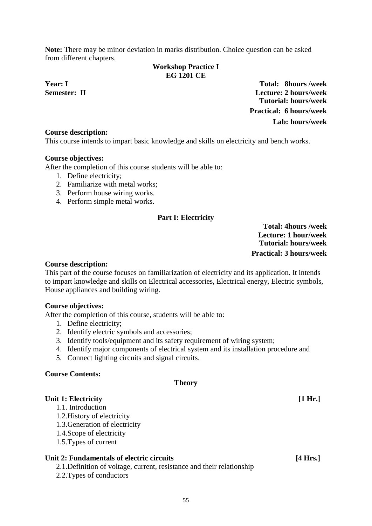<span id="page-56-0"></span>**Note:** There may be minor deviation in marks distribution. Choice question can be asked from different chapters.

#### **Workshop Practice I EG 1201 CE**

**Year: I Total: 8hours /week Semester: II Lecture: 2 hours/week Tutorial: hours/week Practical: 6 hours/week Lab: hours/week**

#### **Course description:**

This course intends to impart basic knowledge and skills on electricity and bench works.

#### **Course objectives:**

After the completion of this course students will be able to:

- 1. Define electricity;
- 2. Familiarize with metal works;
- 3. Perform house wiring works.
- 4. Perform simple metal works.

#### **Part I: Electricity**

**Total: 4hours /week Lecture: 1 hour/week Tutorial: hours/week Practical: 3 hours/week**

#### **Course description:**

This part of the course focuses on familiarization of electricity and its application. It intends to impart knowledge and skills on Electrical accessories, Electrical energy, Electric symbols, House appliances and building wiring.

#### **Course objectives:**

After the completion of this course, students will be able to:

- 1. Define electricity;
- 2. Identify electric symbols and accessories;
- 3. Identify tools/equipment and its safety requirement of wiring system;
- 4. Identify major components of electrical system and its installation procedure and
- 5. Connect lighting circuits and signal circuits.

#### **Course Contents:**

#### **Theory**

#### **Unit 1: Electricity [1 Hr.]**

- 1.1. Introduction
- 1.2.History of electricity
- 1.3.Generation of electricity
- 1.4.Scope of electricity
- 1.5.Types of current

#### **Unit 2: Fundamentals of electric circuits [4 Hrs.]**

- 2.1.Definition of voltage, current, resistance and their relationship
- 2.2.Types of conductors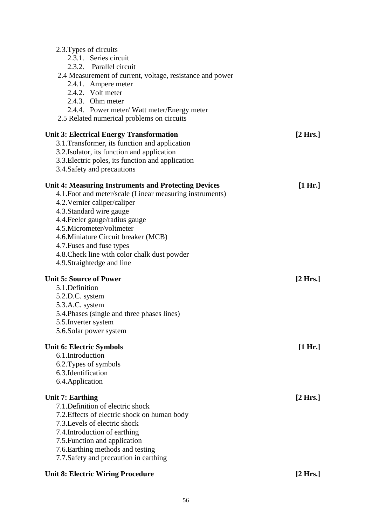| <b>Unit 8: Electric Wiring Procedure</b>                                                                                                                                                                                                                                                                                                                                                              | [2 Hrs.]           |
|-------------------------------------------------------------------------------------------------------------------------------------------------------------------------------------------------------------------------------------------------------------------------------------------------------------------------------------------------------------------------------------------------------|--------------------|
| <b>Unit 7: Earthing</b><br>7.1. Definition of electric shock<br>7.2. Effects of electric shock on human body<br>7.3. Levels of electric shock<br>7.4. Introduction of earthing<br>7.5. Function and application<br>7.6. Earthing methods and testing<br>7.7. Safety and precaution in earthing                                                                                                        | [2 Hrs.]           |
| <b>Unit 6: Electric Symbols</b><br>6.1.Introduction<br>6.2. Types of symbols<br>6.3. Identification<br>6.4. Application                                                                                                                                                                                                                                                                               | [1 Hr.]            |
| <b>Unit 5: Source of Power</b><br>5.1.Definition<br>5.2.D.C. system<br>5.3.A.C. system<br>5.4. Phases (single and three phases lines)<br>5.5. Inverter system<br>5.6. Solar power system                                                                                                                                                                                                              | [2 Hrs.]           |
| <b>Unit 4: Measuring Instruments and Protecting Devices</b><br>4.1. Foot and meter/scale (Linear measuring instruments)<br>4.2. Vernier caliper/caliper<br>4.3. Standard wire gauge<br>4.4. Feeler gauge/radius gauge<br>4.5. Micrometer/voltmeter<br>4.6. Miniature Circuit breaker (MCB)<br>4.7. Fuses and fuse types<br>4.8. Check line with color chalk dust powder<br>4.9. Straightedge and line | [1 Hr.]            |
| <b>Unit 3: Electrical Energy Transformation</b><br>3.1. Transformer, its function and application<br>3.2. Isolator, its function and application<br>3.3. Electric poles, its function and application<br>3.4. Safety and precautions                                                                                                                                                                  | $[2 \text{ Hrs.}]$ |
| 2.3. Types of circuits<br>2.3.1. Series circuit<br>2.3.2. Parallel circuit<br>2.4 Measurement of current, voltage, resistance and power<br>2.4.1. Ampere meter<br>2.4.2. Volt meter<br>2.4.3. Ohm meter<br>2.4.4. Power meter/ Watt meter/Energy meter<br>2.5 Related numerical problems on circuits                                                                                                  |                    |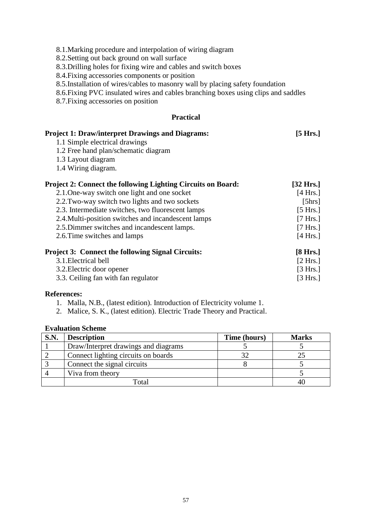8.1.Marking procedure and interpolation of wiring diagram

8.2.Setting out back ground on wall surface

8.3.Drilling holes for fixing wire and cables and switch boxes

8.4.Fixing accessories components or position

8.5.Installation of wires/cables to masonry wall by placing safety foundation

8.6.Fixing PVC insulated wires and cables branching boxes using clips and saddles

8.7.Fixing accessories on position

### **Practical**

| <b>Project 1: Draw/interpret Drawings and Diagrams:</b>             | [5 Hrs.]            |
|---------------------------------------------------------------------|---------------------|
| 1.1 Simple electrical drawings                                      |                     |
| 1.2 Free hand plan/schematic diagram                                |                     |
| 1.3 Layout diagram                                                  |                     |
| 1.4 Wiring diagram.                                                 |                     |
| <b>Project 2: Connect the following Lighting Circuits on Board:</b> | $[32 \text{ Hrs.}]$ |
| 2.1. One-way switch one light and one socket                        | [4 Hrs.]            |
| 2.2. Two-way switch two lights and two sockets                      | [5hrs]              |
| 2.3. Intermediate switches, two fluorescent lamps                   | [5 Hrs.]            |
| 2.4. Multi-position switches and incandescent lamps                 | [7 Hrs.]            |
| 2.5. Dimmer switches and incandescent lamps.                        | [7 Hrs.]            |
| 2.6. Time switches and lamps                                        | [4 Hrs.]            |
| <b>Project 3: Connect the following Signal Circuits:</b>            | [8 Hrs.]            |
| 3.1. Electrical bell                                                | [2 Hrs.]            |
| 3.2. Electric door opener                                           | [3 Hrs.]            |
| 3.3. Ceiling fan with fan regulator                                 | [3 Hrs.]            |

#### **References:**

1. Malla, N.B., (latest edition). Introduction of Electricity volume 1.

2. Malice, S. K., (latest edition). Electric Trade Theory and Practical.

### **Evaluation Scheme**

| <b>S.N.</b> | <b>Description</b>                   | Time (hours) | <b>Marks</b> |
|-------------|--------------------------------------|--------------|--------------|
|             | Draw/Interpret drawings and diagrams |              |              |
|             | Connect lighting circuits on boards  |              |              |
|             | Connect the signal circuits          |              |              |
|             | Viva from theory                     |              |              |
|             | Total                                |              |              |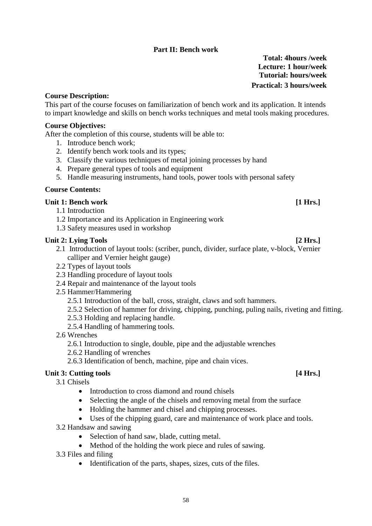# **Part II: Bench work**

**Total: 4hours /week Lecture: 1 hour/week Tutorial: hours/week Practical: 3 hours/week**

### **Course Description:**

This part of the course focuses on familiarization of bench work and its application. It intends to impart knowledge and skills on bench works techniques and metal tools making procedures.

### **Course Objectives:**

After the completion of this course, students will be able to:

- 1. Introduce bench work;
- 2. Identify bench work tools and its types;
- 3. Classify the various techniques of metal joining processes by hand
- 4. Prepare general types of tools and equipment
- 5. Handle measuring instruments, hand tools, power tools with personal safety

### **Course Contents:**

### **Unit 1: Bench work [1 Hrs.]**

- 1.1 Introduction
- 1.2 Importance and its Application in Engineering work
- 1.3 Safety measures used in workshop

### Unit 2: Lying Tools [2 Hrs.]

- 2.1 Introduction of layout tools: (scriber, punch, divider, surface plate, v-block, Vernier calliper and Vernier height gauge)
- 2.2 Types of layout tools
- 2.3 Handling procedure of layout tools
- 2.4 Repair and maintenance of the layout tools
- 2.5 Hammer/Hammering
	- 2.5.1 Introduction of the ball, cross, straight, claws and soft hammers.
	- 2.5.2 Selection of hammer for driving, chipping, punching, puling nails, riveting and fitting.
	- 2.5.3 Holding and replacing handle.
	- 2.5.4 Handling of hammering tools.
- 2.6 Wrenches
	- 2.6.1 Introduction to single, double, pipe and the adjustable wrenches
	- 2.6.2 Handling of wrenches
	- 2.6.3 Identification of bench, machine, pipe and chain vices.

# Unit 3: Cutting tools *A Example 1 A I <i>Example 1 A EXAMPLE 1 A EXAMPLE 1 A EXAMPLE 1 A EXAMPLE 1 A EXAMPLE 1 A EXAMPLE 2*

3.1 Chisels

- Introduction to cross diamond and round chisels
- Selecting the angle of the chisels and removing metal from the surface
- Holding the hammer and chisel and chipping processes.
- Uses of the chipping guard, care and maintenance of work place and tools.
- 3.2 Handsaw and sawing
	- Selection of hand saw, blade, cutting metal.
	- Method of the holding the work piece and rules of sawing.
- 3.3 Files and filing
	- Identification of the parts, shapes, sizes, cuts of the files.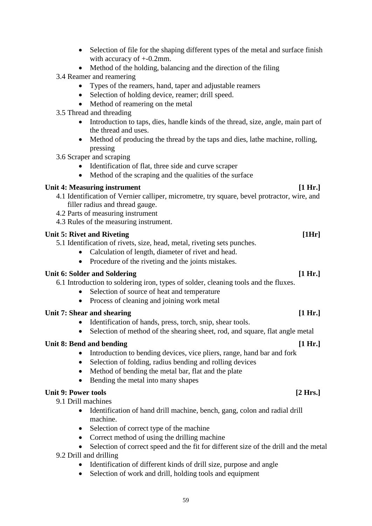- Selection of file for the shaping different types of the metal and surface finish with accuracy of +-0.2mm.
- Method of the holding, balancing and the direction of the filing
- 3.4 Reamer and reamering
	- Types of the reamers, hand, taper and adjustable reamers
	- Selection of holding device, reamer; drill speed.
	- Method of reamering on the metal
- 3.5 Thread and threading
	- Introduction to taps, dies, handle kinds of the thread, size, angle, main part of the thread and uses.
	- Method of producing the thread by the taps and dies, lathe machine, rolling, pressing
- 3.6 Scraper and scraping
	- Identification of flat, three side and curve scraper
	- Method of the scraping and the qualities of the surface

# **Unit 4: Measuring instrument [1 Hr.]**

- 4.1 Identification of Vernier calliper, micrometre, try square, bevel protractor, wire, and filler radius and thread gauge.
- 4.2 Parts of measuring instrument
- 4.3 Rules of the measuring instrument.

# Unit 5: Rivet and Riveting *[1Hr]* **[1Hr]**

- 5.1 Identification of rivets, size, head, metal, riveting sets punches.
	- Calculation of length, diameter of rivet and head.
	- Procedure of the riveting and the joints mistakes.

# **Unit 6: Solder and Soldering [1 Hr.]**

6.1 Introduction to soldering iron, types of solder, cleaning tools and the fluxes.

- Selection of source of heat and temperature
- Process of cleaning and joining work metal

# Unit 7: Shear and shearing *i l* **i** *s l l l l l l l l l l l l l l l l l l l l l l l l l l l l l*

- Identification of hands, press, torch, snip, shear tools.
- Selection of method of the shearing sheet, rod, and square, flat angle metal

# Unit 8: Bend and bending *leads* **leads [1 Hr.]** *leads leads* **<b>***leads leads leads* **<b>***leads leads leads* **<b>***leads leads leads leads leads* **<b>***leads leads leads* **<b>***leads le*

- Introduction to bending devices, vice pliers, range, hand bar and fork
- Selection of folding, radius bending and rolling devices
- Method of bending the metal bar, flat and the plate
- Bending the metal into many shapes

# **Unit 9: Power tools [2 Hrs.]**

- 9.1 Drill machines
	- Identification of hand drill machine, bench, gang, colon and radial drill machine.
	- Selection of correct type of the machine
	- Correct method of using the drilling machine
	- Selection of correct speed and the fit for different size of the drill and the metal
- 9.2 Drill and drilling
	- Identification of different kinds of drill size, purpose and angle
	- Selection of work and drill, holding tools and equipment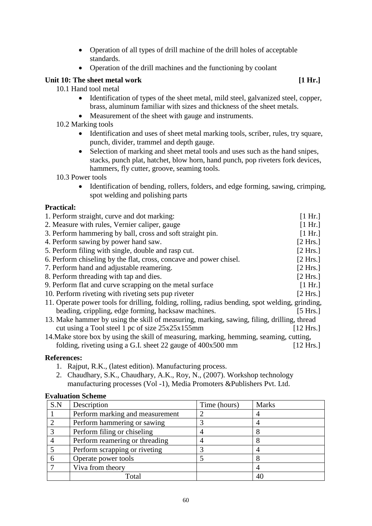- Operation of all types of drill machine of the drill holes of acceptable standards.
- Operation of the drill machines and the functioning by coolant

# **Unit 10: The sheet metal work [1 Hr.]**

10.1 Hand tool metal

- Identification of types of the sheet metal, mild steel, galvanized steel, copper, brass, aluminum familiar with sizes and thickness of the sheet metals.
- Measurement of the sheet with gauge and instruments.
- 10.2 Marking tools
	- Identification and uses of sheet metal marking tools, scriber, rules, try square, punch, divider, trammel and depth gauge.
	- Selection of marking and sheet metal tools and uses such as the hand snipes, stacks, punch plat, hatchet, blow horn, hand punch, pop riveters fork devices, hammers, fly cutter, groove, seaming tools.

10.3 Power tools

• Identification of bending, rollers, folders, and edge forming, sawing, crimping, spot welding and polishing parts

# **Practical:**

| 1. Perform straight, curve and dot marking:                                                     | [1 Hr.]   |
|-------------------------------------------------------------------------------------------------|-----------|
| 2. Measure with rules, Vernier caliper, gauge                                                   | [1 Hr.]   |
| 3. Perform hammering by ball, cross and soft straight pin.                                      | [1 Hr.]   |
| 4. Perform sawing by power hand saw.                                                            | [2 Hrs.]  |
| 5. Perform filing with single, double and rasp cut.                                             | [2 Hrs.]  |
| 6. Perform chiseling by the flat, cross, concave and power chisel.                              | [2 Hrs.]  |
| 7. Perform hand and adjustable reamering.                                                       | [2 Hrs.]  |
| 8. Perform threading with tap and dies.                                                         | [2 Hrs.]  |
| 9. Perform flat and curve scrapping on the metal surface                                        | [1 Hr.]   |
| 10. Perform riveting with riveting sets pup riveter                                             | [2 Hrs.]  |
| 11. Operate power tools for drilling, folding, rolling, radius bending, spot welding, grinding, |           |
| beading, crippling, edge forming, hacksaw machines.                                             | [5 Hrs.]  |
| 13. Make hammer by using the skill of measuring, marking, sawing, filing, drilling, thread      |           |
| cut using a Tool steel 1 pc of size 25x25x155mm                                                 | [12 Hrs.] |
| 14. Make store box by using the skill of measuring, marking, hemming, seaming, cutting,         |           |
| folding, riveting using a G.I. sheet 22 gauge of $400x500$ mm                                   | [12 Hrs.] |
|                                                                                                 |           |

# **References:**

- 1. Rajput, R.K., (latest edition). Manufacturing process.
- 2. Chaudhary, S.K., Chaudhary, A.K., Roy, N., (2007). Workshop technology manufacturing processes (Vol -1), Media Promoters &Publishers Pvt. Ltd.

# **Evaluation Scheme**

| S.N | Description                     | Time (hours) | <b>Marks</b> |
|-----|---------------------------------|--------------|--------------|
|     | Perform marking and measurement |              |              |
|     | Perform hammering or sawing     |              |              |
|     | Perform filing or chiseling     |              |              |
|     | Perform reamering or threading  |              |              |
|     | Perform scrapping or riveting   |              |              |
|     | Operate power tools             |              |              |
|     | Viva from theory                |              |              |
|     | Total                           |              |              |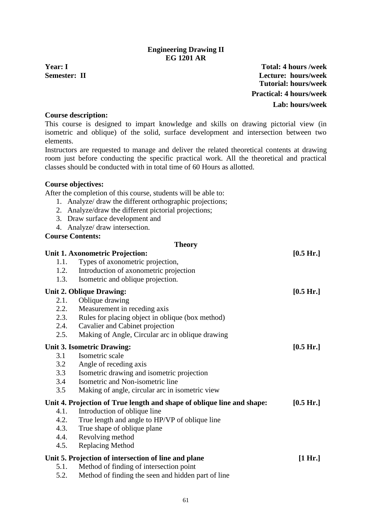### **Engineering Drawing II EG 1201 AR**

<span id="page-62-0"></span>**Year: I Total: 4 hours /week Semester: II Lecture: hours/week Tutorial: hours/week Practical: 4 hours/week Lab: hours/week**

### **Course description:**

This course is designed to impart knowledge and skills on drawing pictorial view (in isometric and oblique) of the solid, surface development and intersection between two elements.

Instructors are requested to manage and deliver the related theoretical contents at drawing room just before conducting the specific practical work. All the theoretical and practical classes should be conducted with in total time of 60 Hours as allotted.

#### **Course objectives:**

After the completion of this course, students will be able to:

- 1. Analyze/ draw the different orthographic projections;
- 2. Analyze/draw the different pictorial projections;
- 3. Draw surface development and
- 4. Analyze/ draw intersection.

#### **Course Contents:**

#### **Theory**

|      | Unit 1. Axonometric Projection:                                        | [0.5 Hr.] |
|------|------------------------------------------------------------------------|-----------|
| 1.1. | Types of axonometric projection,                                       |           |
| 1.2. | Introduction of axonometric projection                                 |           |
| 1.3. | Isometric and oblique projection.                                      |           |
|      | <b>Unit 2. Oblique Drawing:</b>                                        | [0.5 Hr.] |
| 2.1. | Oblique drawing                                                        |           |
| 2.2. | Measurement in receding axis                                           |           |
| 2.3. | Rules for placing object in oblique (box method)                       |           |
| 2.4. | Cavalier and Cabinet projection                                        |           |
| 2.5. | Making of Angle, Circular arc in oblique drawing                       |           |
|      | <b>Unit 3. Isometric Drawing:</b>                                      | [0.5 Hr.] |
| 3.1  | Isometric scale                                                        |           |
| 3.2  | Angle of receding axis                                                 |           |
| 3.3  | Isometric drawing and isometric projection                             |           |
| 3.4  | Isometric and Non-isometric line                                       |           |
| 3.5  | Making of angle, circular arc in isometric view                        |           |
|      | Unit 4. Projection of True length and shape of oblique line and shape: | [0.5 Hr.] |
| 4.1. | Introduction of oblique line                                           |           |
| 4.2. | True length and angle to HP/VP of oblique line                         |           |
| 4.3. | True shape of oblique plane                                            |           |
| 4.4. | Revolving method                                                       |           |
| 4.5. | <b>Replacing Method</b>                                                |           |
|      | Unit 5. Projection of intersection of line and plane                   | [1 Hr.]   |
| 5.1. | Method of finding of intersection point                                |           |
| 5.2. | Method of finding the seen and hidden part of line                     |           |
|      |                                                                        |           |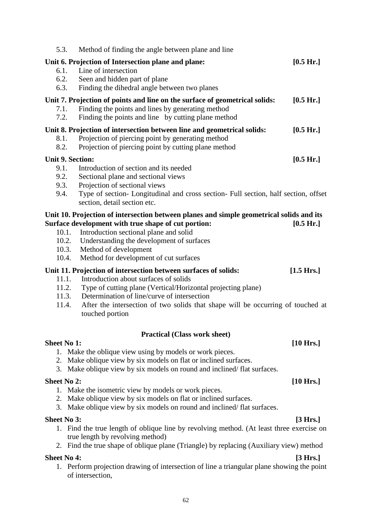| 5.3.<br>Method of finding the angle between plane and line                                                                                                                                                                                                                                                                                                        |                      |
|-------------------------------------------------------------------------------------------------------------------------------------------------------------------------------------------------------------------------------------------------------------------------------------------------------------------------------------------------------------------|----------------------|
| Unit 6. Projection of Intersection plane and plane:<br>Line of intersection<br>6.1.                                                                                                                                                                                                                                                                               | [0.5 Hr.]            |
| 6.2.<br>Seen and hidden part of plane<br>Finding the dihedral angle between two planes<br>6.3.                                                                                                                                                                                                                                                                    |                      |
| Unit 7. Projection of points and line on the surface of geometrical solids:<br>Finding the points and lines by generating method<br>7.1.<br>7.2.<br>Finding the points and line by cutting plane method                                                                                                                                                           | [0.5 Hr.]            |
| Unit 8. Projection of intersection between line and geometrical solids:<br>Projection of piercing point by generating method<br>8.1.<br>8.2.<br>Projection of piercing point by cutting plane method                                                                                                                                                              | [0.5 Hr.]            |
| <b>Unit 9. Section:</b><br>Introduction of section and its needed<br>9.1.<br>9.2.<br>Sectional plane and sectional views<br>9.3.<br>Projection of sectional views<br>Type of section- Longitudinal and cross section- Full section, half section, offset<br>9.4.<br>section, detail section etc.                                                                  | [0.5 Hr.]            |
| Unit 10. Projection of intersection between planes and simple geometrical solids and its<br>Surface development with true shape of cut portion:<br>10.1.<br>Introduction sectional plane and solid<br>10.2.<br>Understanding the development of surfaces<br>10.3.<br>Method of development<br>Method for development of cut surfaces<br>10.4.                     | [0.5 Hr.]            |
| Unit 11. Projection of intersection between surfaces of solids:<br>Introduction about surfaces of solids<br>11.1.<br>Type of cutting plane (Vertical/Horizontal projecting plane)<br>11.2.<br>11.3.<br>Determination of line/curve of intersection<br>After the intersection of two solids that shape will be occurring of touched at<br>11.4.<br>touched portion | $[1.5 \text{ Hrs.}]$ |
| <b>Practical (Class work sheet)</b><br><b>Sheet No 1:</b><br>1. Make the oblique view using by models or work pieces.<br>2. Make oblique view by six models on flat or inclined surfaces.<br>3. Make oblique view by six models on round and inclined/flat surfaces.                                                                                              | $[10 \text{ Hrs.}]$  |
| <b>Sheet No 2:</b><br>1. Make the isometric view by models or work pieces.<br>2. Make oblique view by six models on flat or inclined surfaces.<br>Make oblique view by six models on round and inclined/flat surfaces.<br>3.                                                                                                                                      | [10 Hrs.]            |
| <b>Sheet No 3:</b><br>1. Find the true length of oblique line by revolving method. (At least three exercise on<br>true length by revolving method)<br>2. Find the true shape of oblique plane (Triangle) by replacing (Auxiliary view) method                                                                                                                     | [3 Hrs.]             |
| <b>Sheet No 4:</b>                                                                                                                                                                                                                                                                                                                                                | [3 Hrs.]             |

1. Perform projection drawing of intersection of line a triangular plane showing the point of intersection,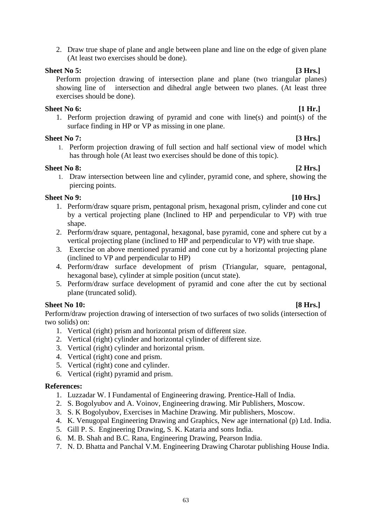2. Draw true shape of plane and angle between plane and line on the edge of given plane (At least two exercises should be done).

# **Sheet No 5: [3 Hrs.]**

Perform projection drawing of intersection plane and plane (two triangular planes) showing line of intersection and dihedral angle between two planes. (At least three exercises should be done).

# **Sheet No 6: [1 Hr.]**

1. Perform projection drawing of pyramid and cone with line(s) and point(s) of the surface finding in HP or VP as missing in one plane.

# **Sheet No 7: [3 Hrs.]**

1. Perform projection drawing of full section and half sectional view of model which has through hole (At least two exercises should be done of this topic).

# **Sheet No 8: [2 Hrs.]**

1. Draw intersection between line and cylinder, pyramid cone, and sphere, showing the piercing points.

# **Sheet No 9: [10 Hrs.]**

- 1. Perform/draw square prism, pentagonal prism, hexagonal prism, cylinder and cone cut by a vertical projecting plane (Inclined to HP and perpendicular to VP) with true shape.
- 2. Perform/draw square, pentagonal, hexagonal, base pyramid, cone and sphere cut by a vertical projecting plane (inclined to HP and perpendicular to VP) with true shape.
- 3. Exercise on above mentioned pyramid and cone cut by a horizontal projecting plane (inclined to VP and perpendicular to HP)
- 4. Perform/draw surface development of prism (Triangular, square, pentagonal, hexagonal base), cylinder at simple position (uncut state).
- 5. Perform/draw surface development of pyramid and cone after the cut by sectional plane (truncated solid).

# **Sheet No 10: [8 Hrs.]**

Perform/draw projection drawing of intersection of two surfaces of two solids (intersection of two solids) on:

- 1. Vertical (right) prism and horizontal prism of different size.
- 2. Vertical (right) cylinder and horizontal cylinder of different size.
- 3. Vertical (right) cylinder and horizontal prism.
- 4. Vertical (right) cone and prism.
- 5. Vertical (right) cone and cylinder.
- 6. Vertical (right) pyramid and prism.

# **References:**

- 1. Luzzadar W. I Fundamental of Engineering drawing. Prentice-Hall of India.
- 2. S. Bogolyubov and A. Voinov, Engineering drawing. Mir Publishers, Moscow.
- 3. S. K Bogolyubov, Exercises in Machine Drawing. Mir publishers, Moscow.
- 4. K. Venugopal Engineering Drawing and Graphics, New age international (p) Ltd. India.
- 5. Gill P. S. Engineering Drawing, S. K. Kataria and sons India.
- 6. M. B. Shah and B.C. Rana, Engineering Drawing, Pearson India.
- 7. N. D. Bhatta and Panchal V.M. Engineering Drawing Charotar publishing House India.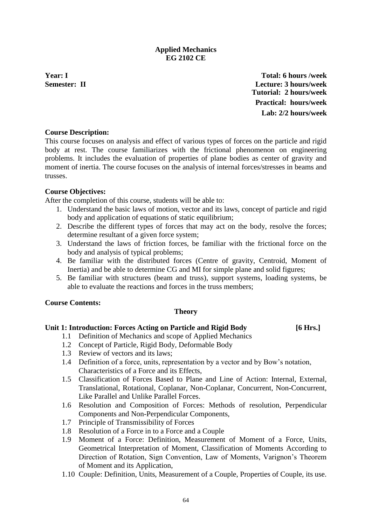# **Applied Mechanics EG 2102 CE**

<span id="page-65-0"></span>**Year: I Total: 6 hours /week Semester: II Lecture: 3 hours/week Tutorial: 2 hours/week Practical: hours/week Lab: 2/2 hours/week**

### **Course Description:**

This course focuses on analysis and effect of various types of forces on the particle and rigid body at rest. The course familiarizes with the frictional phenomenon on engineering problems. It includes the evaluation of properties of plane bodies as center of gravity and moment of inertia. The course focuses on the analysis of internal forces/stresses in beams and trusses.

### **Course Objectives:**

After the completion of this course, students will be able to:

- 1. Understand the basic laws of motion, vector and its laws, concept of particle and rigid body and application of equations of static equilibrium;
- 2. Describe the different types of forces that may act on the body, resolve the forces; determine resultant of a given force system;
- 3. Understand the laws of friction forces, be familiar with the frictional force on the body and analysis of typical problems;
- 4. Be familiar with the distributed forces (Centre of gravity, Centroid, Moment of Inertia) and be able to determine CG and MI for simple plane and solid figures;
- 5. Be familiar with structures (beam and truss), support systems, loading systems, be able to evaluate the reactions and forces in the truss members;

#### **Course Contents:**

#### **Theory**

#### **Unit 1: Introduction: Forces Acting on Particle and Rigid Body [6 Hrs.]**

- 1.1 Definition of Mechanics and scope of Applied Mechanics
- 1.2 Concept of Particle, Rigid Body, Deformable Body
- 1.3 Review of vectors and its laws;
- 1.4 Definition of a force, units, representation by a vector and by Bow's notation, Characteristics of a Force and its Effects,
- 1.5 Classification of Forces Based to Plane and Line of Action: Internal, External, Translational, Rotational, Coplanar, Non-Coplanar, Concurrent, Non-Concurrent, Like Parallel and Unlike Parallel Forces.
- 1.6 Resolution and Composition of Forces: Methods of resolution, Perpendicular Components and Non-Perpendicular Components,
- 1.7 Principle of Transmissibility of Forces
- 1.8 Resolution of a Force in to a Force and a Couple
- 1.9 Moment of a Force: Definition, Measurement of Moment of a Force, Units, Geometrical Interpretation of Moment, Classification of Moments According to Direction of Rotation, Sign Convention, Law of Moments, Varignon's Theorem of Moment and its Application,
- 1.10 Couple: Definition, Units, Measurement of a Couple, Properties of Couple, its use.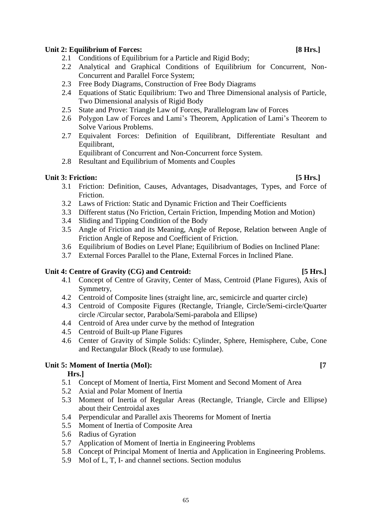### Unit 2: Equilibrium of Forces: [8 Hrs.]

- 2.1 Conditions of Equilibrium for a Particle and Rigid Body;
- 2.2 Analytical and Graphical Conditions of Equilibrium for Concurrent, Non-Concurrent and Parallel Force System;
- 2.3 Free Body Diagrams, Construction of Free Body Diagrams
- 2.4 Equations of Static Equilibrium: Two and Three Dimensional analysis of Particle, Two Dimensional analysis of Rigid Body
- 2.5 State and Prove: Triangle Law of Forces, Parallelogram law of Forces
- 2.6 Polygon Law of Forces and Lami's Theorem, Application of Lami's Theorem to Solve Various Problems.
- 2.7 Equivalent Forces: Definition of Equilibrant, Differentiate Resultant and Equilibrant,
	- Equilibrant of Concurrent and Non-Concurrent force System.
- 2.8 Resultant and Equilibrium of Moments and Couples

### Unit 3: Friction: *5 Hrs.*

- 3.1 Friction: Definition, Causes, Advantages, Disadvantages, Types, and Force of Friction.
- 3.2 Laws of Friction: Static and Dynamic Friction and Their Coefficients
- 3.3 Different status (No Friction, Certain Friction, Impending Motion and Motion)
- 3.4 Sliding and Tipping Condition of the Body
- 3.5 Angle of Friction and its Meaning, Angle of Repose, Relation between Angle of Friction Angle of Repose and Coefficient of Friction.
- 3.6 Equilibrium of Bodies on Level Plane; Equilibrium of Bodies on Inclined Plane:
- 3.7 External Forces Parallel to the Plane, External Forces in Inclined Plane.

# Unit 4: Centre of Gravity (CG) and Centroid: [5 Hrs.]

- 4.1 Concept of Centre of Gravity, Center of Mass, Centroid (Plane Figures), Axis of Symmetry,
- 4.2 Centroid of Composite lines (straight line, arc, semicircle and quarter circle)
- 4.3 Centroid of Composite Figures (Rectangle, Triangle, Circle/Semi-circle/Quarter circle /Circular sector, Parabola/Semi-parabola and Ellipse)
- 4.4 Centroid of Area under curve by the method of Integration
- 4.5 Centroid of Built-up Plane Figures
- 4.6 Center of Gravity of Simple Solids: Cylinder, Sphere, Hemisphere, Cube, Cone and Rectangular Block (Ready to use formulae).

### Unit 5: Moment of Inertia (MoI): [7]

#### **Hrs.]**

- 5.1 Concept of Moment of Inertia, First Moment and Second Moment of Area
- 5.2 Axial and Polar Moment of Inertia
- 5.3 Moment of Inertia of Regular Areas (Rectangle, Triangle, Circle and Ellipse) about their Centroidal axes
- 5.4 Perpendicular and Parallel axis Theorems for Moment of Inertia
- 5.5 Moment of Inertia of Composite Area
- 5.6 Radius of Gyration
- 5.7 Application of Moment of Inertia in Engineering Problems
- 5.8 Concept of Principal Moment of Inertia and Application in Engineering Problems.
- 5.9 MoI of L, T, I- and channel sections. Section modulus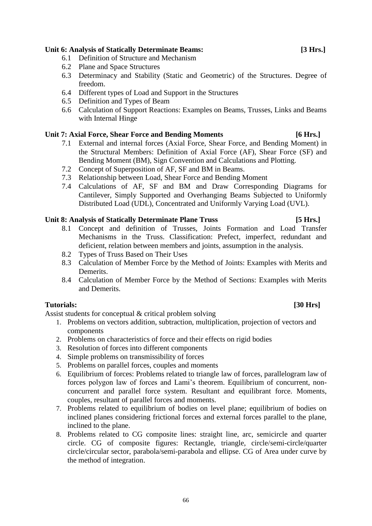# **Unit 6: Analysis of Statically Determinate Beams: [3 Hrs.]**

- 6.1 Definition of Structure and Mechanism
- 6.2 Plane and Space Structures
- 6.3 Determinacy and Stability (Static and Geometric) of the Structures. Degree of freedom.
- 6.4 Different types of Load and Support in the Structures
- 6.5 Definition and Types of Beam
- 6.6 Calculation of Support Reactions: Examples on Beams, Trusses, Links and Beams with Internal Hinge

### **Unit 7: Axial Force, Shear Force and Bending Moments [6 Hrs.]**

- 7.1 External and internal forces (Axial Force, Shear Force, and Bending Moment) in the Structural Members: Definition of Axial Force (AF), Shear Force (SF) and Bending Moment (BM), Sign Convention and Calculations and Plotting.
- 7.2 Concept of Superposition of AF, SF and BM in Beams.
- 7.3 Relationship between Load, Shear Force and Bending Moment
- 7.4 Calculations of AF, SF and BM and Draw Corresponding Diagrams for Cantilever, Simply Supported and Overhanging Beams Subjected to Uniformly Distributed Load (UDL), Concentrated and Uniformly Varying Load (UVL).

### **Unit 8: Analysis of Statically Determinate Plane Truss [5 Hrs.]**

- 8.1 Concept and definition of Trusses, Joints Formation and Load Transfer Mechanisms in the Truss. Classification: Prefect, imperfect, redundant and deficient, relation between members and joints, assumption in the analysis.
- 8.2 Types of Truss Based on Their Uses
- 8.3 Calculation of Member Force by the Method of Joints: Examples with Merits and Demerits.
- 8.4 Calculation of Member Force by the Method of Sections: Examples with Merits and Demerits.

### **Tutorials: [30 Hrs]**

Assist students for conceptual & critical problem solving

- 1. Problems on vectors addition, subtraction, multiplication, projection of vectors and components
- 2. Problems on characteristics of force and their effects on rigid bodies
- 3. Resolution of forces into different components
- 4. Simple problems on transmissibility of forces
- 5. Problems on parallel forces, couples and moments
- 6. Equilibrium of forces: Problems related to triangle law of forces, parallelogram law of forces polygon law of forces and Lami's theorem. Equilibrium of concurrent, nonconcurrent and parallel force system. Resultant and equilibrant force. Moments, couples, resultant of parallel forces and moments.
- 7. Problems related to equilibrium of bodies on level plane; equilibrium of bodies on inclined planes considering frictional forces and external forces parallel to the plane, inclined to the plane.
- 8. Problems related to CG composite lines: straight line, arc, semicircle and quarter circle. CG of composite figures: Rectangle, triangle, circle/semi-circle/quarter circle/circular sector, parabola/semi-parabola and ellipse. CG of Area under curve by the method of integration.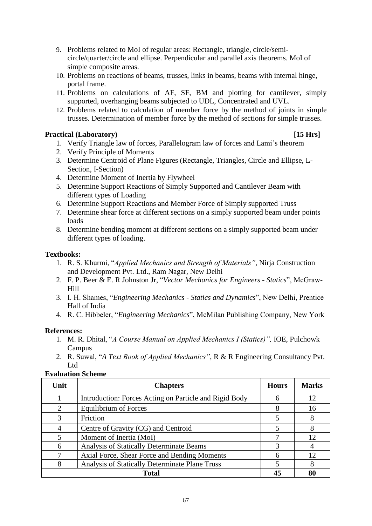- 9. Problems related to MoI of regular areas: Rectangle, triangle, circle/semicircle/quarter/circle and ellipse. Perpendicular and parallel axis theorems. MoI of simple composite areas.
- 10. Problems on reactions of beams, trusses, links in beams, beams with internal hinge, portal frame.
- 11. Problems on calculations of AF, SF, BM and plotting for cantilever, simply supported, overhanging beams subjected to UDL, Concentrated and UVL.
- 12. Problems related to calculation of member force by the method of joints in simple trusses. Determination of member force by the method of sections for simple trusses.

# **Practical (Laboratory) [15 Hrs]**

- 1. Verify Triangle law of forces, Parallelogram law of forces and Lami's theorem
- 2. Verify Principle of Moments
- 3. Determine Centroid of Plane Figures (Rectangle, Triangles, Circle and Ellipse, L-Section, I-Section)
- 4. Determine Moment of Inertia by Flywheel
- 5. Determine Support Reactions of Simply Supported and Cantilever Beam with different types of Loading
- 6. Determine Support Reactions and Member Force of Simply supported Truss
- 7. Determine shear force at different sections on a simply supported beam under points loads
- 8. Determine bending moment at different sections on a simply supported beam under different types of loading.

# **Textbooks:**

- 1. R. S. Khurmi, "*Applied Mechanics and Strength of Materials"*, Nirja Construction and Development Pvt. Ltd., Ram Nagar, New Delhi
- 2. F. P. Beer & E. R Johnston Jr, "*Vector Mechanics for Engineers - Statics*", McGraw-Hill
- 3. I. H. Shames, "*Engineering Mechanics - Statics and Dynamics*", New Delhi, Prentice Hall of India
- 4. R. C. Hibbeler, "*Engineering Mechanics*", McMilan Publishing Company, New York

# **References:**

- 1. M. R. Dhital, "*A Course Manual on Applied Mechanics I (Statics)",* IOE, Pulchowk Campus
- 2. R. Suwal, "*A Text Book of Applied Mechanics"*, R & R Engineering Consultancy Pvt. Ltd

# **Evaluation Scheme**

| Unit           | <b>Chapters</b>                                        | <b>Hours</b> | <b>Marks</b> |
|----------------|--------------------------------------------------------|--------------|--------------|
|                | Introduction: Forces Acting on Particle and Rigid Body | 6            | 12           |
| $\overline{2}$ | <b>Equilibrium of Forces</b>                           |              | 16           |
| 3              | Friction                                               |              | 8            |
| 4              | Centre of Gravity (CG) and Centroid                    |              | 8            |
|                | Moment of Inertia (MoI)                                |              | 12           |
| 6              | Analysis of Statically Determinate Beams               |              |              |
| 7              | Axial Force, Shear Force and Bending Moments           |              | 12           |
| 8              | Analysis of Statically Determinate Plane Truss         |              |              |
| <b>Total</b>   |                                                        |              | 80           |